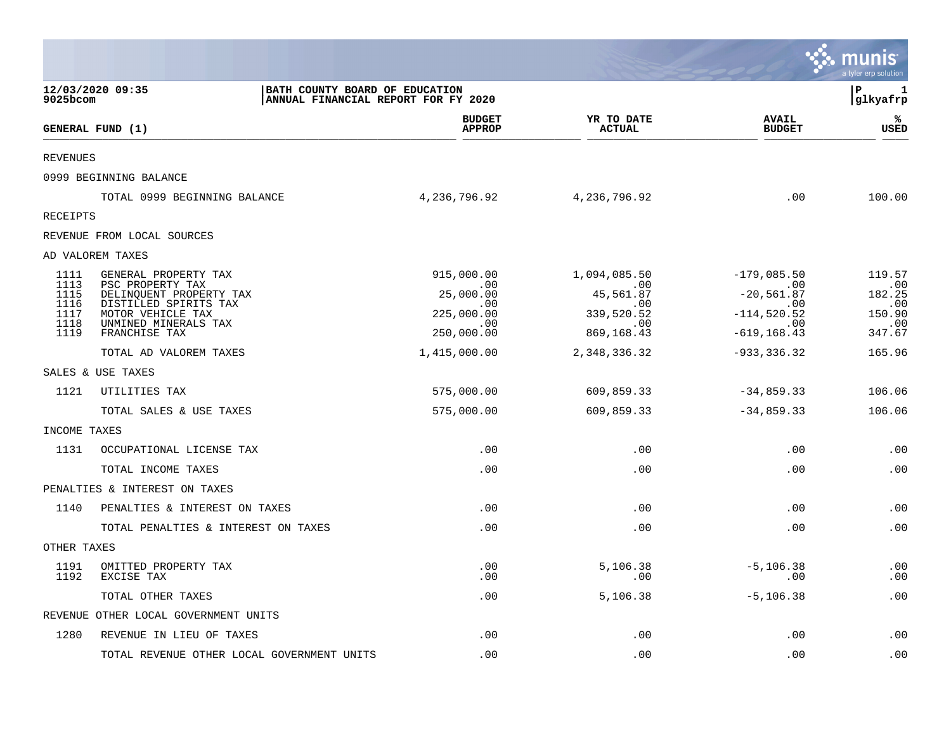|                 |                                                                                           |                                |                             |                               | munis<br>a tyler erp solution |
|-----------------|-------------------------------------------------------------------------------------------|--------------------------------|-----------------------------|-------------------------------|-------------------------------|
| 9025bcom        | BATH COUNTY BOARD OF EDUCATION<br>12/03/2020 09:35<br>ANNUAL FINANCIAL REPORT FOR FY 2020 |                                |                             |                               | Þ<br>1<br> glkyafrp           |
|                 | GENERAL FUND (1)                                                                          | <b>BUDGET</b><br><b>APPROP</b> | YR TO DATE<br><b>ACTUAL</b> | <b>AVAIL</b><br><b>BUDGET</b> | %ะ<br>USED                    |
| <b>REVENUES</b> |                                                                                           |                                |                             |                               |                               |
|                 | 0999 BEGINNING BALANCE                                                                    |                                |                             |                               |                               |
|                 | TOTAL 0999 BEGINNING BALANCE                                                              | 4,236,796.92                   | 4,236,796.92                | .00                           | 100.00                        |
| RECEIPTS        |                                                                                           |                                |                             |                               |                               |
|                 | REVENUE FROM LOCAL SOURCES                                                                |                                |                             |                               |                               |
|                 | AD VALOREM TAXES                                                                          |                                |                             |                               |                               |
| 1111<br>1113    | GENERAL PROPERTY TAX<br>PSC PROPERTY TAX                                                  | 915,000.00<br>$\sim 00$        | 1,094,085.50<br>$\sim$ 00   | $-179,085.50$<br>$\sim 00$    | 119.57<br>.00                 |
| 1115<br>1116    | DELINQUENT PROPERTY TAX<br>DISTILLED SPIRITS TAX                                          | 25,000.00<br>.00               | 45,561.87<br>$.00 \,$       | $-20,561.87$<br>$.00 \,$      | 182.25<br>.00                 |
| 1117<br>1118    | MOTOR VEHICLE TAX<br>UNMINED MINERALS TAX                                                 | 225,000.00<br>.00              | 339,520.52<br>.00           | $-114,520.52$<br>$\sim 00$    | 150.90<br>.00                 |
| 1119            | FRANCHISE TAX                                                                             | 250,000.00                     | 869, 168.43                 | $-619, 168.43$                | 347.67                        |
|                 | TOTAL AD VALOREM TAXES                                                                    | 1,415,000.00                   | 2,348,336.32                | $-933, 336.32$                | 165.96                        |
|                 | SALES & USE TAXES                                                                         |                                |                             |                               |                               |
| 1121            | UTILITIES TAX                                                                             | 575,000.00                     | 609,859.33                  | $-34,859.33$                  | 106.06                        |
|                 | TOTAL SALES & USE TAXES                                                                   | 575,000.00                     | 609,859.33                  | $-34,859.33$                  | 106.06                        |
| INCOME TAXES    |                                                                                           |                                |                             |                               |                               |
| 1131            | OCCUPATIONAL LICENSE TAX                                                                  | .00                            | .00                         | .00                           | .00                           |
|                 | TOTAL INCOME TAXES                                                                        | .00                            | .00                         | .00                           | .00                           |
|                 | PENALTIES & INTEREST ON TAXES                                                             |                                |                             |                               |                               |
| 1140            | PENALTIES & INTEREST ON TAXES                                                             | .00                            | .00                         | .00                           | .00                           |
|                 | TOTAL PENALTIES & INTEREST ON TAXES                                                       | .00                            | .00                         | .00                           | .00                           |
| OTHER TAXES     |                                                                                           |                                |                             |                               |                               |
| 1191<br>1192    | OMITTED PROPERTY TAX<br>EXCISE TAX                                                        | .00<br>.00                     | 5,106.38<br>.00             | $-5, 106.38$<br>.00           | .00<br>.00                    |
|                 | TOTAL OTHER TAXES                                                                         | .00                            | 5,106.38                    | $-5, 106.38$                  | .00                           |
|                 | REVENUE OTHER LOCAL GOVERNMENT UNITS                                                      |                                |                             |                               |                               |
| 1280            | REVENUE IN LIEU OF TAXES                                                                  | .00                            | .00                         | .00                           | .00                           |
|                 | TOTAL REVENUE OTHER LOCAL GOVERNMENT UNITS                                                | .00                            | .00                         | .00                           | .00                           |

 $\mathcal{L}^{\text{max}}$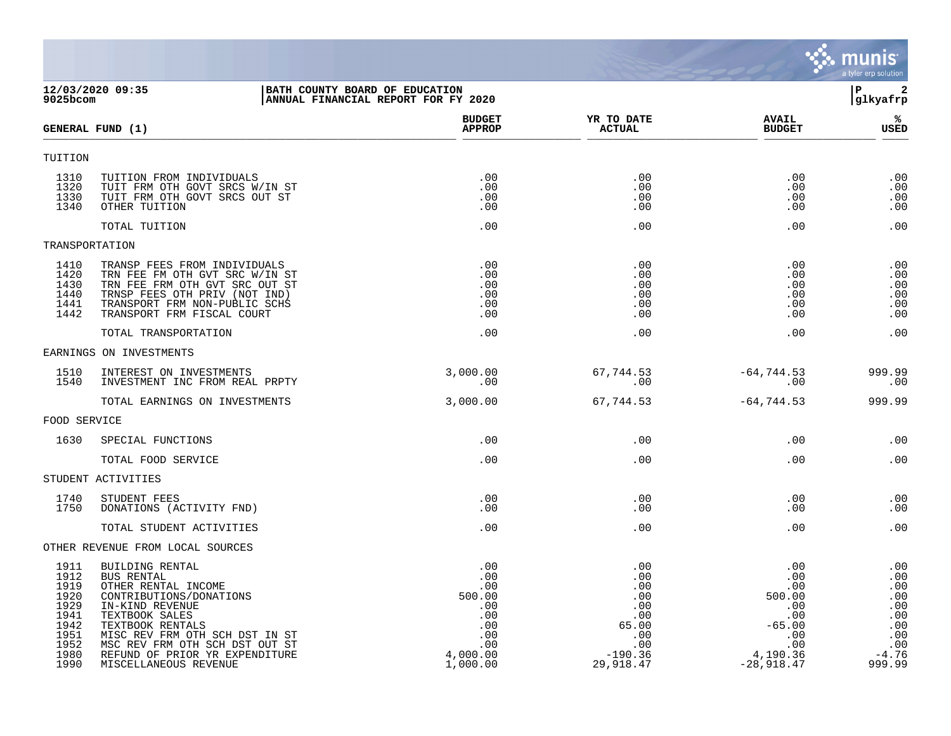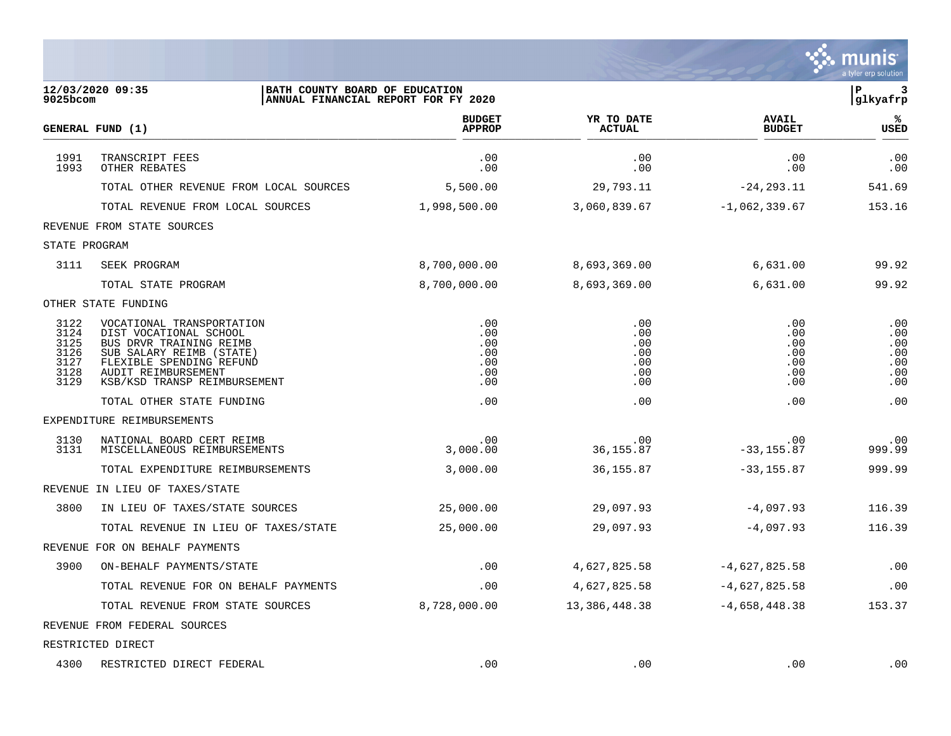|                                                      |                                                                                                                                                                                               |                                               |                                               |                                               | a tyler erp solution                          |
|------------------------------------------------------|-----------------------------------------------------------------------------------------------------------------------------------------------------------------------------------------------|-----------------------------------------------|-----------------------------------------------|-----------------------------------------------|-----------------------------------------------|
| $9025$ bcom                                          | 12/03/2020 09:35<br>BATH COUNTY BOARD OF EDUCATION<br>ANNUAL FINANCIAL REPORT FOR FY 2020                                                                                                     |                                               |                                               |                                               | P<br>3<br>glkyafrp                            |
|                                                      | GENERAL FUND (1)                                                                                                                                                                              | <b>BUDGET</b><br><b>APPROP</b>                | YR TO DATE<br><b>ACTUAL</b>                   | <b>AVAIL</b><br><b>BUDGET</b>                 | %ะ<br>USED                                    |
| 1991<br>1993                                         | TRANSCRIPT FEES<br>OTHER REBATES                                                                                                                                                              | .00<br>.00                                    | .00<br>.00                                    | .00<br>.00                                    | .00<br>.00                                    |
|                                                      | TOTAL OTHER REVENUE FROM LOCAL SOURCES                                                                                                                                                        | 5,500.00                                      | 29,793.11                                     | $-24, 293.11$                                 | 541.69                                        |
|                                                      | TOTAL REVENUE FROM LOCAL SOURCES                                                                                                                                                              | 1,998,500.00                                  | 3,060,839.67                                  | $-1,062,339.67$                               | 153.16                                        |
|                                                      | REVENUE FROM STATE SOURCES                                                                                                                                                                    |                                               |                                               |                                               |                                               |
| STATE PROGRAM                                        |                                                                                                                                                                                               |                                               |                                               |                                               |                                               |
| 3111                                                 | SEEK PROGRAM                                                                                                                                                                                  | 8,700,000.00                                  | 8,693,369.00                                  | 6,631.00                                      | 99.92                                         |
|                                                      | TOTAL STATE PROGRAM                                                                                                                                                                           | 8,700,000.00                                  | 8,693,369.00                                  | 6,631.00                                      | 99.92                                         |
|                                                      | OTHER STATE FUNDING                                                                                                                                                                           |                                               |                                               |                                               |                                               |
| 3122<br>3124<br>3125<br>3126<br>3127<br>3128<br>3129 | VOCATIONAL TRANSPORTATION<br>DIST VOCATIONAL SCHOOL<br>BUS DRVR TRAINING REIMB<br>SUB SALARY REIMB (STATE)<br>FLEXIBLE SPENDING REFUND<br>AUDIT REIMBURSEMENT<br>KSB/KSD TRANSP REIMBURSEMENT | .00<br>.00<br>.00<br>.00<br>.00<br>.00<br>.00 | .00<br>.00<br>.00<br>.00<br>.00<br>.00<br>.00 | .00<br>.00<br>.00<br>.00<br>.00<br>.00<br>.00 | .00<br>.00<br>.00<br>.00<br>.00<br>.00<br>.00 |
|                                                      | TOTAL OTHER STATE FUNDING                                                                                                                                                                     | .00                                           | .00                                           | .00                                           | .00                                           |
|                                                      | EXPENDITURE REIMBURSEMENTS                                                                                                                                                                    |                                               |                                               |                                               |                                               |
| 3130<br>3131                                         | NATIONAL BOARD CERT REIMB<br>MISCELLANEOUS REIMBURSEMENTS                                                                                                                                     | .00<br>3,000.00                               | .00<br>36, 155.87                             | .00<br>$-33, 155.87$                          | .00<br>999.99                                 |
|                                                      | TOTAL EXPENDITURE REIMBURSEMENTS                                                                                                                                                              | 3,000.00                                      | 36,155.87                                     | $-33, 155.87$                                 | 999.99                                        |
| REVENUE                                              | IN LIEU OF TAXES/STATE                                                                                                                                                                        |                                               |                                               |                                               |                                               |
| 3800                                                 | IN LIEU OF TAXES/STATE SOURCES                                                                                                                                                                | 25,000.00                                     | 29,097.93                                     | $-4,097.93$                                   | 116.39                                        |
|                                                      | TOTAL REVENUE IN LIEU OF TAXES/STATE                                                                                                                                                          | 25,000.00                                     | 29,097.93                                     | -4,097.93                                     | 116.39                                        |
|                                                      | REVENUE FOR ON BEHALF PAYMENTS                                                                                                                                                                |                                               |                                               |                                               |                                               |
| 3900                                                 | ON-BEHALF PAYMENTS/STATE                                                                                                                                                                      | .00                                           | 4,627,825.58                                  | $-4,627,825.58$                               | .00                                           |
|                                                      | TOTAL REVENUE FOR ON BEHALF PAYMENTS                                                                                                                                                          | .00                                           | 4,627,825.58                                  | $-4,627,825.58$                               | .00                                           |
|                                                      | TOTAL REVENUE FROM STATE SOURCES                                                                                                                                                              | 8,728,000.00                                  | 13, 386, 448.38                               | $-4,658,448.38$                               | 153.37                                        |
|                                                      | REVENUE FROM FEDERAL SOURCES                                                                                                                                                                  |                                               |                                               |                                               |                                               |
|                                                      | RESTRICTED DIRECT                                                                                                                                                                             |                                               |                                               |                                               |                                               |
| 4300                                                 | RESTRICTED DIRECT FEDERAL                                                                                                                                                                     | $.00 \,$                                      | .00                                           | .00                                           | .00                                           |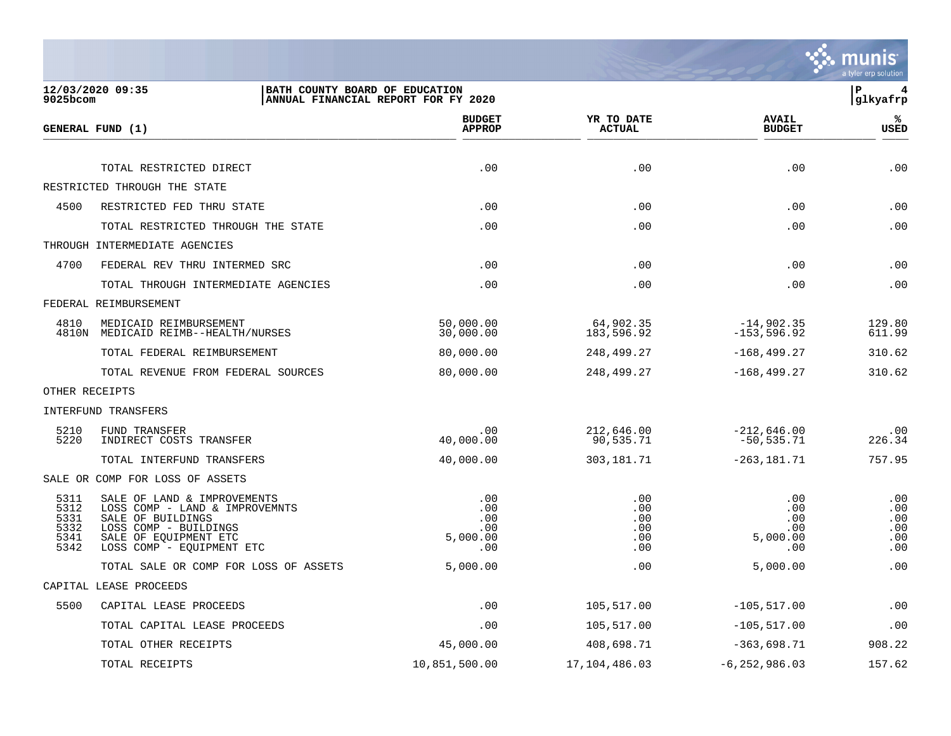

| $9025$ bcom                                  | 12/03/2020 09:35                                                                                                                                                  | BATH COUNTY BOARD OF EDUCATION<br>ANNUAL FINANCIAL REPORT FOR FY 2020 |                                        |                                             | ΙP<br>4<br>glkyafrp                    |
|----------------------------------------------|-------------------------------------------------------------------------------------------------------------------------------------------------------------------|-----------------------------------------------------------------------|----------------------------------------|---------------------------------------------|----------------------------------------|
|                                              | GENERAL FUND (1)                                                                                                                                                  | <b>BUDGET</b><br><b>APPROP</b>                                        | YR TO DATE<br><b>ACTUAL</b>            | <b>AVAIL</b><br><b>BUDGET</b>               | ℁<br><b>USED</b>                       |
|                                              | TOTAL RESTRICTED DIRECT                                                                                                                                           | .00                                                                   | .00                                    | .00                                         | .00                                    |
|                                              | RESTRICTED THROUGH THE STATE                                                                                                                                      |                                                                       |                                        |                                             |                                        |
| 4500                                         | RESTRICTED FED THRU STATE                                                                                                                                         | .00                                                                   | .00                                    | .00                                         | .00                                    |
|                                              | TOTAL RESTRICTED THROUGH THE STATE                                                                                                                                | .00                                                                   | .00                                    | .00                                         | .00                                    |
|                                              | THROUGH INTERMEDIATE AGENCIES                                                                                                                                     |                                                                       |                                        |                                             |                                        |
| 4700                                         | FEDERAL REV THRU INTERMED SRC                                                                                                                                     | .00                                                                   | .00                                    | .00                                         | .00                                    |
|                                              | TOTAL THROUGH INTERMEDIATE AGENCIES                                                                                                                               | .00                                                                   | .00                                    | .00                                         | .00                                    |
|                                              | FEDERAL REIMBURSEMENT                                                                                                                                             |                                                                       |                                        |                                             |                                        |
| 4810                                         | MEDICAID REIMBURSEMENT<br>4810N MEDICAID REIMB--HEALTH/NURSES                                                                                                     | 50,000.00<br>30,000.00                                                | 64,902.35<br>183,596.92                | $-14,902.35$<br>$-153, 596.92$              | 129.80<br>611.99                       |
|                                              | TOTAL FEDERAL REIMBURSEMENT                                                                                                                                       | 80,000.00                                                             | 248,499.27                             | $-168, 499.27$                              | 310.62                                 |
|                                              | TOTAL REVENUE FROM FEDERAL SOURCES                                                                                                                                | 80,000.00                                                             | 248,499.27                             | $-168, 499.27$                              | 310.62                                 |
|                                              | OTHER RECEIPTS                                                                                                                                                    |                                                                       |                                        |                                             |                                        |
|                                              | INTERFUND TRANSFERS                                                                                                                                               |                                                                       |                                        |                                             |                                        |
| 5210<br>5220                                 | FUND TRANSFER<br>INDIRECT COSTS TRANSFER                                                                                                                          | .00<br>40,000.00                                                      | 212,646.00<br>90,535.71                | $-212,646.00$<br>$-50,535.71$               | .00<br>226.34                          |
|                                              | TOTAL INTERFUND TRANSFERS                                                                                                                                         | 40,000.00                                                             | 303,181.71                             | $-263, 181.71$                              | 757.95                                 |
|                                              | SALE OR COMP FOR LOSS OF ASSETS                                                                                                                                   |                                                                       |                                        |                                             |                                        |
| 5311<br>5312<br>5331<br>5332<br>5341<br>5342 | SALE OF LAND & IMPROVEMENTS<br>LOSS COMP - LAND & IMPROVEMNTS<br>SALE OF BUILDINGS<br>LOSS COMP - BUILDINGS<br>SALE OF EQUIPMENT ETC<br>LOSS COMP - EQUIPMENT ETC | .00<br>.00<br>.00<br>.00<br>5,000.00<br>.00                           | .00<br>.00<br>.00<br>.00<br>.00<br>.00 | .00<br>.00<br>.00<br>.00<br>5,000.00<br>.00 | .00<br>.00<br>.00<br>.00<br>.00<br>.00 |
|                                              | TOTAL SALE OR COMP FOR LOSS OF ASSETS                                                                                                                             | 5,000.00                                                              | .00                                    | 5,000.00                                    | .00                                    |
|                                              | CAPITAL LEASE PROCEEDS                                                                                                                                            |                                                                       |                                        |                                             |                                        |
| 5500                                         | CAPITAL LEASE PROCEEDS                                                                                                                                            | .00                                                                   | 105,517.00                             | $-105, 517.00$                              | .00                                    |
|                                              | TOTAL CAPITAL LEASE PROCEEDS                                                                                                                                      | .00                                                                   | 105,517.00                             | $-105, 517.00$                              | .00                                    |
|                                              | TOTAL OTHER RECEIPTS                                                                                                                                              | 45,000.00                                                             | 408,698.71                             | $-363,698.71$                               | 908.22                                 |
|                                              | TOTAL RECEIPTS                                                                                                                                                    | 10,851,500.00                                                         | 17, 104, 486.03                        | $-6, 252, 986.03$                           | 157.62                                 |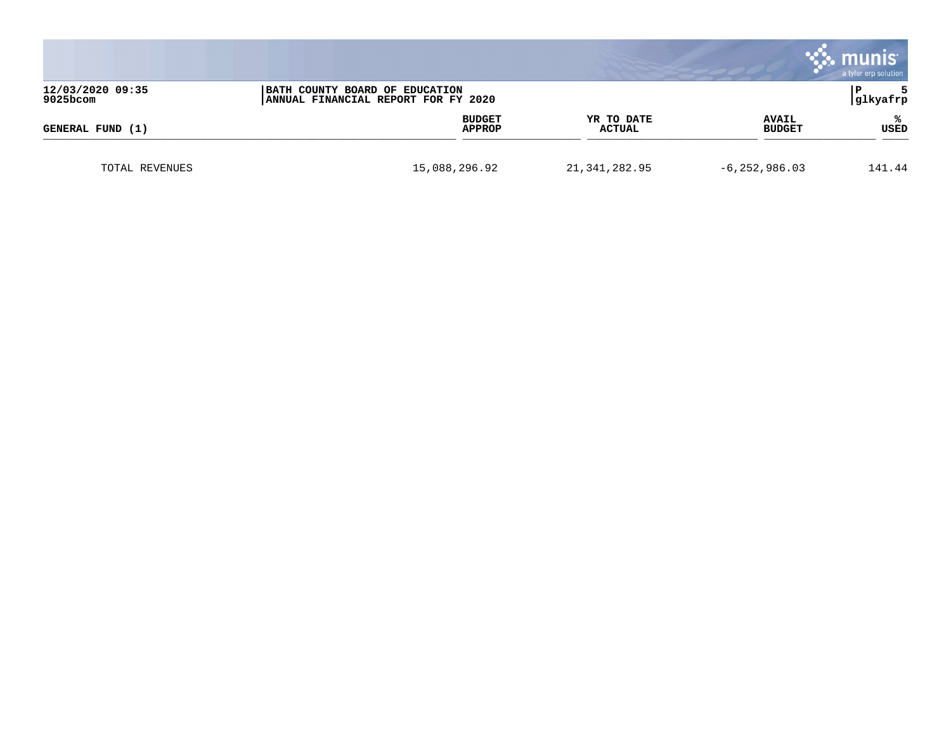|                              |                                                                       |                         |                      |                               | munis<br>a tyler erp solution |
|------------------------------|-----------------------------------------------------------------------|-------------------------|----------------------|-------------------------------|-------------------------------|
| 12/03/2020 09:35<br>9025bcom | BATH COUNTY BOARD OF EDUCATION<br>ANNUAL FINANCIAL REPORT FOR FY 2020 |                         |                      |                               | l P<br>glkyafrp               |
| GENERAL FUND (1)             |                                                                       | <b>BUDGET</b><br>APPROP | YR TO DATE<br>ACTUAL | <b>AVAIL</b><br><b>BUDGET</b> | ℁<br>USED                     |
| TOTAL REVENUES               | 15,088,296.92                                                         |                         | 21, 341, 282.95      | $-6, 252, 986.03$             | 141.44                        |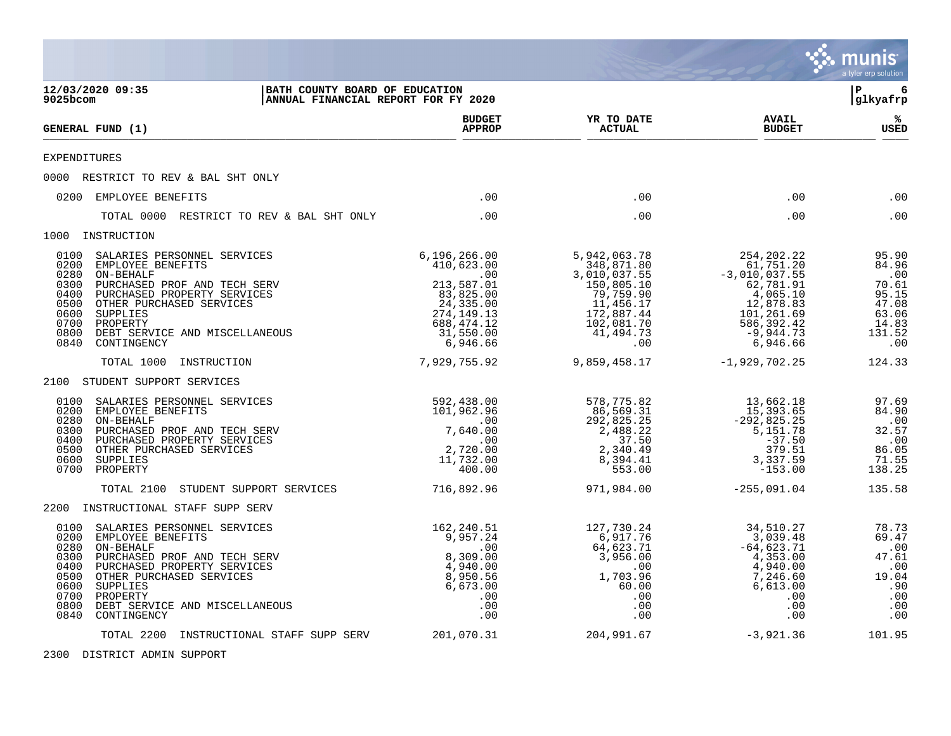|                                                                                                                                                                                                                                                                                                                   |                                                                                                                                    |                                                                                                                                    |                                                                                                                                           | munis<br>a tyler erp solution                                                       |
|-------------------------------------------------------------------------------------------------------------------------------------------------------------------------------------------------------------------------------------------------------------------------------------------------------------------|------------------------------------------------------------------------------------------------------------------------------------|------------------------------------------------------------------------------------------------------------------------------------|-------------------------------------------------------------------------------------------------------------------------------------------|-------------------------------------------------------------------------------------|
| 12/03/2020 09:35<br>9025bcom                                                                                                                                                                                                                                                                                      | BATH COUNTY BOARD OF EDUCATION<br>ANNUAL FINANCIAL REPORT FOR FY 2020                                                              |                                                                                                                                    |                                                                                                                                           | 6<br>l P<br> glkyafrp                                                               |
| GENERAL FUND (1)                                                                                                                                                                                                                                                                                                  | <b>BUDGET</b><br><b>APPROP</b>                                                                                                     | YR TO DATE<br><b>ACTUAL</b>                                                                                                        | <b>AVAIL</b><br><b>BUDGET</b>                                                                                                             | ℁<br>USED                                                                           |
| <b>EXPENDITURES</b>                                                                                                                                                                                                                                                                                               |                                                                                                                                    |                                                                                                                                    |                                                                                                                                           |                                                                                     |
| 0000 RESTRICT TO REV & BAL SHT ONLY                                                                                                                                                                                                                                                                               |                                                                                                                                    |                                                                                                                                    |                                                                                                                                           |                                                                                     |
| 0200 EMPLOYEE BENEFITS                                                                                                                                                                                                                                                                                            | .00                                                                                                                                | .00                                                                                                                                | .00                                                                                                                                       | .00                                                                                 |
| TOTAL 0000 RESTRICT TO REV & BAL SHT ONLY                                                                                                                                                                                                                                                                         | .00                                                                                                                                | .00                                                                                                                                | .00                                                                                                                                       | .00                                                                                 |
| 1000 INSTRUCTION                                                                                                                                                                                                                                                                                                  |                                                                                                                                    |                                                                                                                                    |                                                                                                                                           |                                                                                     |
| 0100<br>SALARIES PERSONNEL SERVICES<br>0200<br>EMPLOYEE BENEFITS<br>0280<br>ON-BEHALF<br>0300<br>PURCHASED PROF AND TECH SERV<br>0400<br>PURCHASED PROPERTY SERVICES<br>0500<br>OTHER PURCHASED SERVICES<br>0600<br>SUPPLIES<br>0700<br>PROPERTY<br>0800<br>DEBT SERVICE AND MISCELLANEOUS<br>0840<br>CONTINGENCY | 6, 196, 266.00<br>410,623.00<br>.00<br>213,587.01<br>83,825.00<br>24, 335.00<br>274, 149.13<br>688,474.12<br>31,550.00<br>6,946.66 | 5,942,063.78<br>348,871.80<br>3,010,037.55<br>150,805.10<br>79,759.90<br>11,456.17<br>172,887.44<br>102,081.70<br>41,494.73<br>.00 | 254, 202. 22<br>61,751.20<br>$-3,010,037.55$<br>62,781.91<br>4,065.10<br>12,878.83<br>101,261.69<br>586,392.42<br>$-9,944.73$<br>6,946.66 | 95.90<br>84.96<br>.00<br>70.61<br>95.15<br>47.08<br>63.06<br>14.83<br>131.52<br>.00 |
| TOTAL 1000<br>INSTRUCTION                                                                                                                                                                                                                                                                                         | 7,929,755.92                                                                                                                       | 9,859,458.17                                                                                                                       | $-1,929,702.25$                                                                                                                           | 124.33                                                                              |
| 2100 STUDENT SUPPORT SERVICES                                                                                                                                                                                                                                                                                     |                                                                                                                                    |                                                                                                                                    |                                                                                                                                           |                                                                                     |
| 0100<br>SALARIES PERSONNEL SERVICES<br>0200<br>EMPLOYEE BENEFITS<br>0280<br>ON-BEHALF<br>0300<br>PURCHASED PROF AND TECH SERV<br>0400<br>PURCHASED PROPERTY SERVICES<br>0500<br>OTHER PURCHASED SERVICES<br>0600<br>SUPPLIES<br>0700<br>PROPERTY                                                                  | 592,438.00<br>101,962.96<br>.00<br>7,640.00<br>.00<br>2,720.00<br>11,732.00<br>400.00                                              | 578,775.82<br>86,569.31<br>292,825.25<br>2,488.22<br>37.50<br>2,340.49<br>8,394.41<br>553.00                                       | 13,662.18<br>15,393.65<br>$-292,825.25$<br>5,151.78<br>$-37.50$<br>379.51<br>3,337.59<br>$-153.00$                                        | 97.69<br>84.90<br>.00<br>32.57<br>.00<br>86.05<br>71.55<br>138.25                   |
| TOTAL 2100<br>STUDENT SUPPORT SERVICES                                                                                                                                                                                                                                                                            | 716,892.96                                                                                                                         | 971,984.00                                                                                                                         | $-255,091.04$                                                                                                                             | 135.58                                                                              |
| 2200 INSTRUCTIONAL STAFF SUPP SERV                                                                                                                                                                                                                                                                                |                                                                                                                                    |                                                                                                                                    |                                                                                                                                           |                                                                                     |
| 0100<br>SALARIES PERSONNEL SERVICES<br>0200<br>EMPLOYEE BENEFITS<br>0280<br>ON-BEHALF<br>0300<br>PURCHASED PROF AND TECH SERV<br>0400<br>PURCHASED PROPERTY SERVICES<br>0500<br>OTHER PURCHASED SERVICES<br>0600<br>SUPPLIES<br>0700<br>PROPERTY<br>0800<br>DEBT SERVICE AND MISCELLANEOUS<br>0840<br>CONTINGENCY | 162,240.51<br>9,957.24<br>.00<br>8,309.00<br>4,940.00<br>8,950.56<br>6,673.00<br>.00<br>.00<br>.00                                 | 127,730.24<br>6,917.76<br>64,623.71<br>3,956.00<br>.00<br>1,703.96<br>60.00<br>.00<br>.00<br>.00                                   | 34,510.27<br>3,039.48<br>$-64,623.71$<br>4,353.00<br>4,940.00<br>7,246.60<br>6,613.00<br>.00<br>.00<br>.00                                | 78.73<br>69.47<br>.00<br>47.61<br>.00<br>19.04<br>.90<br>.00<br>.00<br>.00          |
| TOTAL 2200<br>INSTRUCTIONAL STAFF SUPP SERV                                                                                                                                                                                                                                                                       | 201,070.31                                                                                                                         | 204,991.67                                                                                                                         | $-3,921.36$                                                                                                                               | 101.95                                                                              |

2300 DISTRICT ADMIN SUPPORT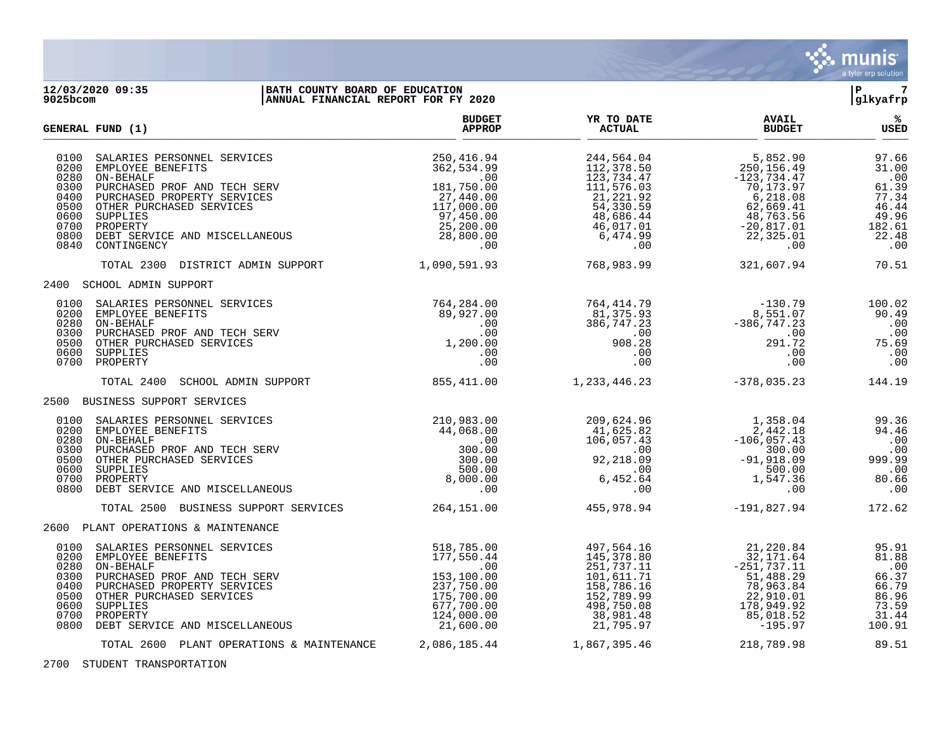

## **12/03/2020 09:35 |BATH COUNTY BOARD OF EDUCATION |P 7 9025bcom |ANNUAL FINANCIAL REPORT FOR FY 2020 |glkyafrp**

|                                                                              | GENERAL FUND (1)                                                                                                                                                                                                                  | <b>BUDGET</b><br><b>APPROP</b>                                                                                         | YR TO DATE<br><b>ACTUAL</b>                                                                                                 | <b>AVAIL</b><br><b>BUDGET</b>                                                                                                       | ℁<br>USED                                                                           |
|------------------------------------------------------------------------------|-----------------------------------------------------------------------------------------------------------------------------------------------------------------------------------------------------------------------------------|------------------------------------------------------------------------------------------------------------------------|-----------------------------------------------------------------------------------------------------------------------------|-------------------------------------------------------------------------------------------------------------------------------------|-------------------------------------------------------------------------------------|
| 0100<br>0200<br>0280<br>0300<br>0400<br>0500<br>0600<br>0700<br>0800<br>0840 | SALARIES PERSONNEL SERVICES<br>EMPLOYEE BENEFITS<br>ON-BEHALF<br>PURCHASED PROF AND TECH SERV<br>PURCHASED PROPERTY SERVICES<br>OTHER PURCHASED SERVICES<br>SUPPLIES<br>PROPERTY<br>DEBT SERVICE AND MISCELLANEOUS<br>CONTINGENCY | 250,416.94<br>362,534.99<br>.00<br>181,750.00<br>27,440.00<br>117,000.00<br>97,450.00<br>25,200.00<br>28,800.00<br>.00 | 244,564.04<br>112,378.50<br>123,734.47<br>111,576.03<br>21,221.92<br>54,330.59<br>48,686.44<br>46,017.01<br>6,474.99<br>.00 | 5,852.90<br>250,156.49<br>$-123,734.47$<br>70,173.97<br>6,218.08<br>62,669.41<br>48,763.56<br>$-20,817.01$<br>22,325.01<br>$.00 \,$ | 97.66<br>31.00<br>.00<br>61.39<br>77.34<br>46.44<br>49.96<br>182.61<br>22.48<br>.00 |
|                                                                              | TOTAL 2300 DISTRICT ADMIN SUPPORT                                                                                                                                                                                                 | 1,090,591.93                                                                                                           | 768,983.99                                                                                                                  | 321,607.94                                                                                                                          | 70.51                                                                               |
|                                                                              | 2400 SCHOOL ADMIN SUPPORT                                                                                                                                                                                                         |                                                                                                                        |                                                                                                                             |                                                                                                                                     |                                                                                     |
| 0100<br>0200<br>0280<br>0300<br>0500<br>0600<br>0700                         | SALARIES PERSONNEL SERVICES<br>EMPLOYEE BENEFITS<br>ON-BEHALF<br>PURCHASED PROF AND TECH SERV<br>OTHER PURCHASED SERVICES<br>SUPPLIES<br>PROPERTY                                                                                 | 764,284.00<br>89,927.00<br>$.00 \,$<br>.00<br>1,200.00<br>.00<br>.00                                                   | 764,414.79<br>81,375.93<br>386,747.23<br>$\sim$ 00<br>908.28<br>.00<br>.00                                                  | $-130.79$<br>8,551.07<br>$-386, 747.23$<br>.00<br>291.72<br>.00<br>.00                                                              | 100.02<br>90.49<br>.00<br>.00<br>75.69<br>.00<br>.00                                |
|                                                                              | TOTAL 2400<br>SCHOOL ADMIN SUPPORT                                                                                                                                                                                                | 855, 411.00                                                                                                            | 1, 233, 446.23                                                                                                              | $-378,035.23$                                                                                                                       | 144.19                                                                              |
|                                                                              | 2500 BUSINESS SUPPORT SERVICES                                                                                                                                                                                                    |                                                                                                                        |                                                                                                                             |                                                                                                                                     |                                                                                     |
| 0200<br>0280<br>0300<br>0500<br>0600<br>0700<br>0800                         | 0100 SALARIES PERSONNEL SERVICES<br>EMPLOYEE BENEFITS<br>ON-BEHALF<br>PURCHASED PROF AND TECH SERV<br>OTHER PURCHASED SERVICES<br>SUPPLIES<br>PROPERTY<br>DEBT SERVICE AND MISCELLANEOUS                                          | 210,983.00<br>44,068.00<br>.00<br>300.00<br>300.00<br>500.00<br>8,000.00<br>.00                                        | 209,624.96<br>41,625.82<br>106,057.43<br>.00<br>92,218.09<br>.00<br>6,452.64<br>.00                                         | 1,358.04<br>2,442.18<br>$-106, 057.43$<br>300.00<br>$-91,918.09$<br>500.00<br>1,547.36<br>.00                                       | 99.36<br>94.46<br>.00<br>00.<br>99.99<br>.00<br>80.66<br>.00                        |
|                                                                              | TOTAL 2500 BUSINESS SUPPORT SERVICES                                                                                                                                                                                              | 264,151.00                                                                                                             | 455,978.94                                                                                                                  | -191,827.94                                                                                                                         | 172.62                                                                              |
|                                                                              | 2600 PLANT OPERATIONS & MAINTENANCE                                                                                                                                                                                               |                                                                                                                        |                                                                                                                             |                                                                                                                                     |                                                                                     |
| 0100<br>0200<br>0280<br>0300<br>0400<br>0500<br>0600<br>0700<br>0800         | SALARIES PERSONNEL SERVICES<br>EMPLOYEE BENEFITS<br>ON-BEHALF<br>PURCHASED PROF AND TECH SERV<br>PURCHASED PROPERTY SERVICES<br>OTHER PURCHASED SERVICES<br>SUPPLIES<br>PROPERTY<br>DEBT SERVICE AND MISCELLANEOUS                | 518,785.00<br>177,550.44<br>.00<br>153,100.00<br>237,750.00<br>175,700.00<br>677,700.00<br>124,000.00<br>21,600.00     | 497,564.16<br>145,378.80<br>251,737.11<br>101,611.71<br>158,786.16<br>152,789.99<br>498,750.08<br>38,981.48<br>21,795.97    | 21,220.84<br>32,171.64<br>$-251,737.11$<br>51,488.29<br>78,963.84<br>22,910.01<br>178,949.92<br>85,018.52<br>-195.97                | 95.91<br>81.88<br>.00<br>66.37<br>66.79<br>86.96<br>73.59<br>31.44<br>100.91        |
|                                                                              | TOTAL 2600 PLANT OPERATIONS & MAINTENANCE                                                                                                                                                                                         | 2,086,185.44                                                                                                           | 1,867,395.46                                                                                                                | 218,789.98                                                                                                                          | 89.51                                                                               |

2700 STUDENT TRANSPORTATION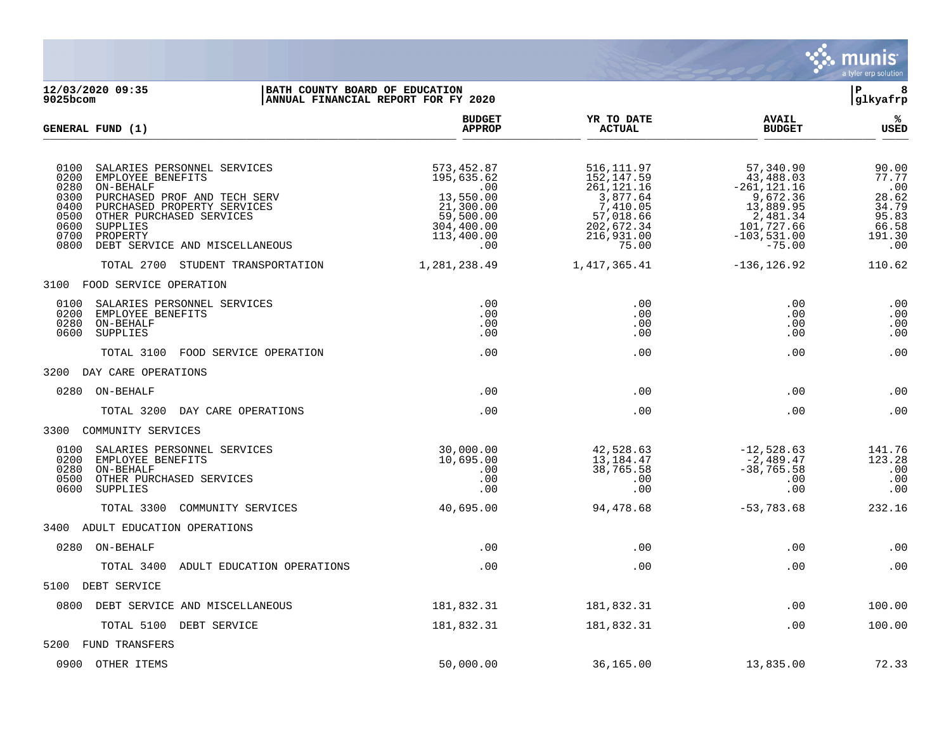

**12/03/2020 09:35 |BATH COUNTY BOARD OF EDUCATION |P 8** ANNUAL FINANCIAL REPORT FOR FY 2020 **BUDGET YR TO DATE AVAIL % GENERAL FUND (1) APPROP ACTUAL BUDGET USED**  $\frac{A_{\text{H}^{\text{F}}\text{N}}}{A_{\text{H}}\text{N}}$   $\frac{A_{\text{H}}\text{N}}{A_{\text{H}}\text{N}}$   $\frac{A_{\text{H}}\text{N}}{A_{\text{H}}\text{N}}$   $\frac{A_{\text{H}}\text{N}}{A_{\text{H}}\text{N}}$   $\frac{B_{\text{H}}\text{N}}{B_{\text{H}}\text{N}}$ 0100 SALARIES PERSONNEL SERVICES (573,452.87 516,111.97 57,340.90 57,340.90 57,340.90 57,340.90 57,5340.90 57,5<br>0200 EMPLOYEE BENEFITS (77.77 59 57.77 59 57.77 59 516,147.59 516,147.59 57,77 59 57,3408.03 57.77 0200 EMPLOYEE BENEFITS 195,635.62 152,147.59 43,488.03 77.77 00 . 00 . 261,121.16 . 261,121.16 . 261,121.16 . 261,121.16 . 261,121.16 . 261,121.16 . 261,121.16 . 261,121.1 0300 PURCHASED PROF AND TECH SERV 13,550.00  $13,550.00$ <br>0400 PURCHASED PROF AND TECH SERV 3,877.64 3,877.64 9,672.36 28.62<br>0400 PURCHASED PROPERTY SERVICES 21,300.00 7,410.05 13,889.95 34.79 0400 PURCHASED PROPERTY SERVICES 21,300.00 7,410.05 13,889.95 34.79 0500 OTHER PURCHASED SERVICES 59,500.00 57,018.66 2,481.34 95.83<br>0600 SUPPLIES 66.58 304,400.00 202,672.34 101,727.66 66.58 0600 SUPPLIES 304,400.00 202,672.34 101,727.66 66.58  $\begin{array}{cccc} 113,400.00 & 216,931.00 & -103,531.00 & 191.30 \\ 0.00 & 75.00 & -75.00 & -75.00 \end{array}$ 0800 DEBT SERVICE AND MISCELLANEOUS TOTAL 2700 STUDENT TRANSPORTATION 1,281,238.49 1,417,365.41 -136,126.92 110.62 3100 FOOD SERVICE OPERATION 0100 SALARIES PERSONNEL SERVICES .00 .00 .00 .00 0200 EMPLOYEE BENEFITS .00 .00 .00 .00 0280 ON-BEHALF .00 .00 .00 .00 0600 SUPPLIES .00 .00 .00 .00 TOTAL 3100 FOOD SERVICE OPERATION .00 .00 .00 .00 3200 DAY CARE OPERATIONS 0280 ON-BEHALF .00 .00 .00 .00 TOTAL 3200 DAY CARE OPERATIONS .00 .00 .00 .00 3300 COMMUNITY SERVICES 0100 SALARIES PERSONNEL SERVICES (30,000.00 42,528.63 -12,528.63 -12,528.63 141.76 123.28 141.76 (30,000.00 13,184.47 -2,489.47 123.28 0200 EMPLOYEE BENEFITS 10,695.00 13,184.47 -2,489.47 123.28 0280 ON-BEHALF .00 38,765.58 -38,765.58 .00 0500 OTHER PURCHASED SERVICES .00 .00 .00 .00 0600 SUPPLIES .00 .00 .00 .00 TOTAL 3300 COMMUNITY SERVICES 40,695.00 94,478.68 -53,783.68 232.16 3400 ADULT EDUCATION OPERATIONS 0280 ON-BEHALF .00 .00 .00 .00 TOTAL 3400 ADULT EDUCATION OPERATIONS .00 .00 .00 .00 5100 DEBT SERVICE 0800 DEBT SERVICE AND MISCELLANEOUS 181.832.31 181.832.31 181.832.31 181.832.31 00 00 100.00 TOTAL 5100 DEBT SERVICE  $181,832.31$   $181,832.31$   $181,832.31$   $100.00$ 5200 FUND TRANSFERS 0900 OTHER ITEMS 50,000.00 36,165.00 13,835.00 72.33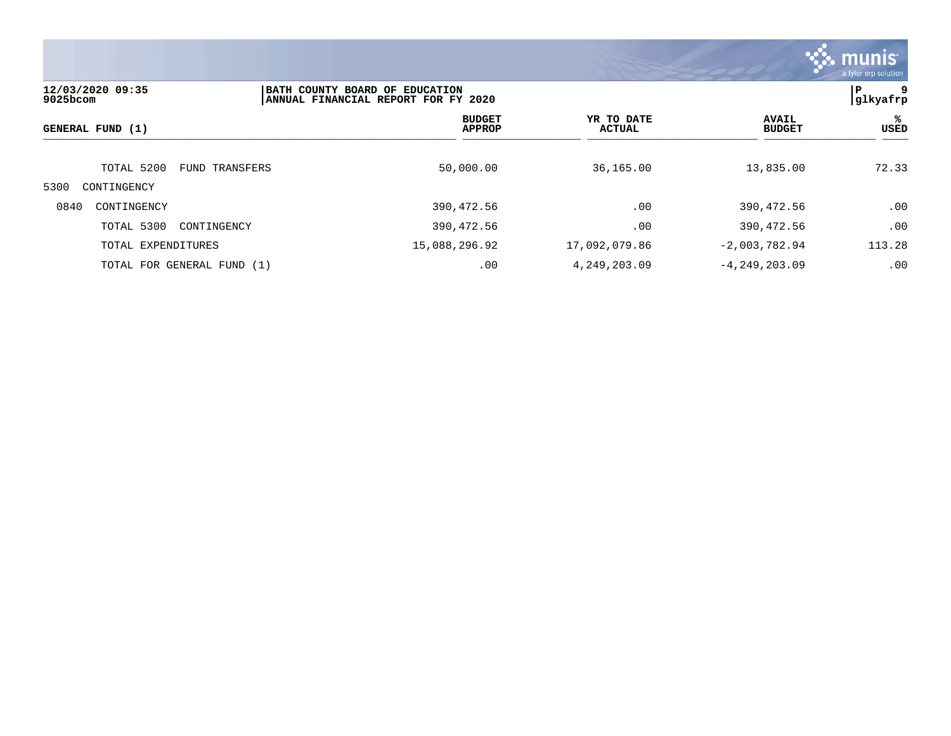

| 12/03/2020 09:35<br>$9025$ bcom |                | BATH COUNTY BOARD OF EDUCATION<br>ANNUAL FINANCIAL REPORT FOR FY 2020 |                                |                             |                   |                               | 9<br>P<br> glkyafrp |  |
|---------------------------------|----------------|-----------------------------------------------------------------------|--------------------------------|-----------------------------|-------------------|-------------------------------|---------------------|--|
| GENERAL FUND (1)                |                |                                                                       | <b>BUDGET</b><br><b>APPROP</b> | YR TO DATE<br><b>ACTUAL</b> |                   | <b>AVAIL</b><br><b>BUDGET</b> | %ะ<br>USED          |  |
| TOTAL 5200                      | FUND TRANSFERS |                                                                       | 50,000.00                      | 36,165.00                   |                   | 13,835.00                     | 72.33               |  |
| 5300<br>CONTINGENCY             |                |                                                                       |                                |                             |                   |                               |                     |  |
| 0840<br>CONTINGENCY             |                |                                                                       | 390,472.56                     | .00                         |                   | 390,472.56                    | .00                 |  |
| TOTAL 5300<br>CONTINGENCY       |                |                                                                       | 390,472.56                     | .00                         |                   | 390,472.56                    | .00                 |  |
| TOTAL EXPENDITURES              |                | 15,088,296.92                                                         |                                | 17,092,079.86               | $-2,003,782.94$   |                               | 113.28              |  |
| TOTAL FOR GENERAL FUND (1)      |                |                                                                       | .00                            | 4, 249, 203.09              | $-4, 249, 203.09$ |                               | .00                 |  |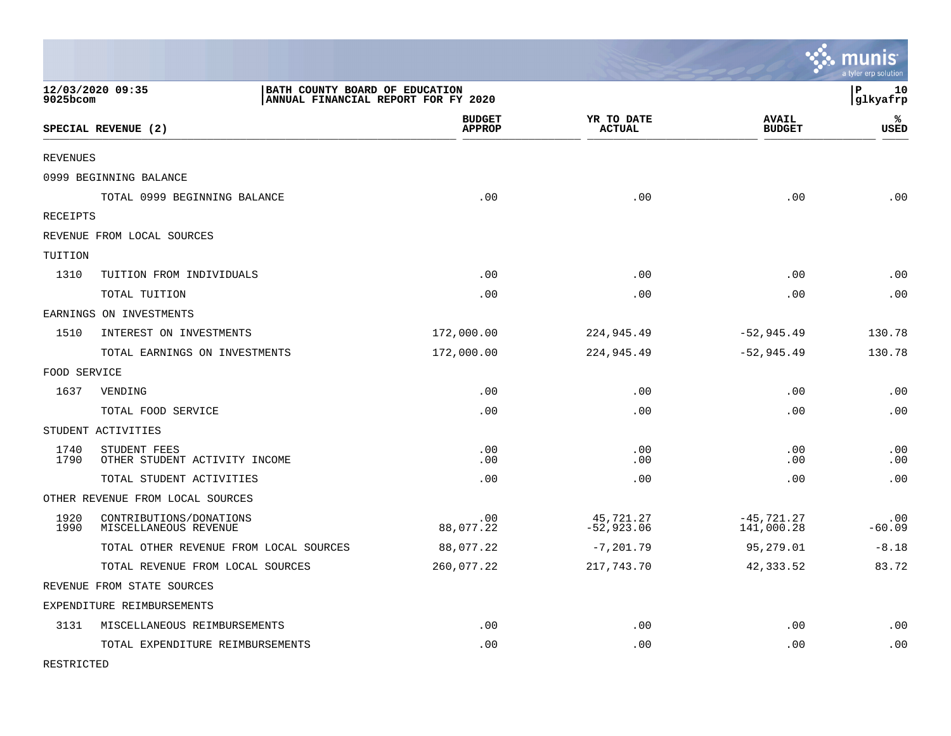|                 |                                                    |                                     |                             |                               | munis<br>a tyler erp solution |
|-----------------|----------------------------------------------------|-------------------------------------|-----------------------------|-------------------------------|-------------------------------|
| 9025bcom        | 12/03/2020 09:35<br>BATH COUNTY BOARD OF EDUCATION | ANNUAL FINANCIAL REPORT FOR FY 2020 |                             |                               | lР<br>10<br> glkyafrp         |
|                 | SPECIAL REVENUE (2)                                | <b>BUDGET</b><br><b>APPROP</b>      | YR TO DATE<br><b>ACTUAL</b> | <b>AVAIL</b><br><b>BUDGET</b> | %<br><b>USED</b>              |
| <b>REVENUES</b> |                                                    |                                     |                             |                               |                               |
|                 | 0999 BEGINNING BALANCE                             |                                     |                             |                               |                               |
|                 | TOTAL 0999 BEGINNING BALANCE                       | .00                                 | .00                         | .00                           | .00                           |
| RECEIPTS        |                                                    |                                     |                             |                               |                               |
|                 | REVENUE FROM LOCAL SOURCES                         |                                     |                             |                               |                               |
| TUITION         |                                                    |                                     |                             |                               |                               |
| 1310            | TUITION FROM INDIVIDUALS                           | .00                                 | .00                         | .00                           | .00                           |
|                 | TOTAL TUITION                                      | .00                                 | .00                         | .00                           | .00                           |
|                 | EARNINGS ON INVESTMENTS                            |                                     |                             |                               |                               |
| 1510            | INTEREST ON INVESTMENTS                            | 172,000.00                          | 224,945.49                  | $-52, 945.49$                 | 130.78                        |
|                 | TOTAL EARNINGS ON INVESTMENTS                      | 172,000.00                          | 224,945.49                  | $-52,945.49$                  | 130.78                        |
| FOOD SERVICE    |                                                    |                                     |                             |                               |                               |
| 1637            | VENDING                                            | .00                                 | .00                         | .00                           | .00                           |
|                 | TOTAL FOOD SERVICE                                 | .00                                 | .00                         | .00                           | .00                           |
|                 | STUDENT ACTIVITIES                                 |                                     |                             |                               |                               |
| 1740<br>1790    | STUDENT FEES<br>OTHER STUDENT ACTIVITY INCOME      | .00<br>.00                          | .00<br>.00                  | .00<br>.00                    | .00<br>.00                    |
|                 | TOTAL STUDENT ACTIVITIES                           | .00                                 | .00                         | .00                           | .00                           |
|                 | OTHER REVENUE FROM LOCAL SOURCES                   |                                     |                             |                               |                               |
| 1920<br>1990    | CONTRIBUTIONS/DONATIONS<br>MISCELLANEOUS REVENUE   | .00<br>88,077.22                    | 45,721.27<br>$-52,923.06$   | $-45, 721.27$<br>141,000.28   | .00<br>$-60.09$               |
|                 | TOTAL OTHER REVENUE FROM LOCAL SOURCES             | 88,077.22                           | $-7,201.79$                 | 95,279.01                     | $-8.18$                       |
|                 | TOTAL REVENUE FROM LOCAL SOURCES                   | 260,077.22                          | 217,743.70                  | 42,333.52                     | 83.72                         |
|                 | REVENUE FROM STATE SOURCES                         |                                     |                             |                               |                               |
|                 | EXPENDITURE REIMBURSEMENTS                         |                                     |                             |                               |                               |
| 3131            | MISCELLANEOUS REIMBURSEMENTS                       | .00                                 | .00                         | .00                           | .00                           |
|                 | TOTAL EXPENDITURE REIMBURSEMENTS                   | .00                                 | .00                         | .00                           | .00                           |

RESTRICTED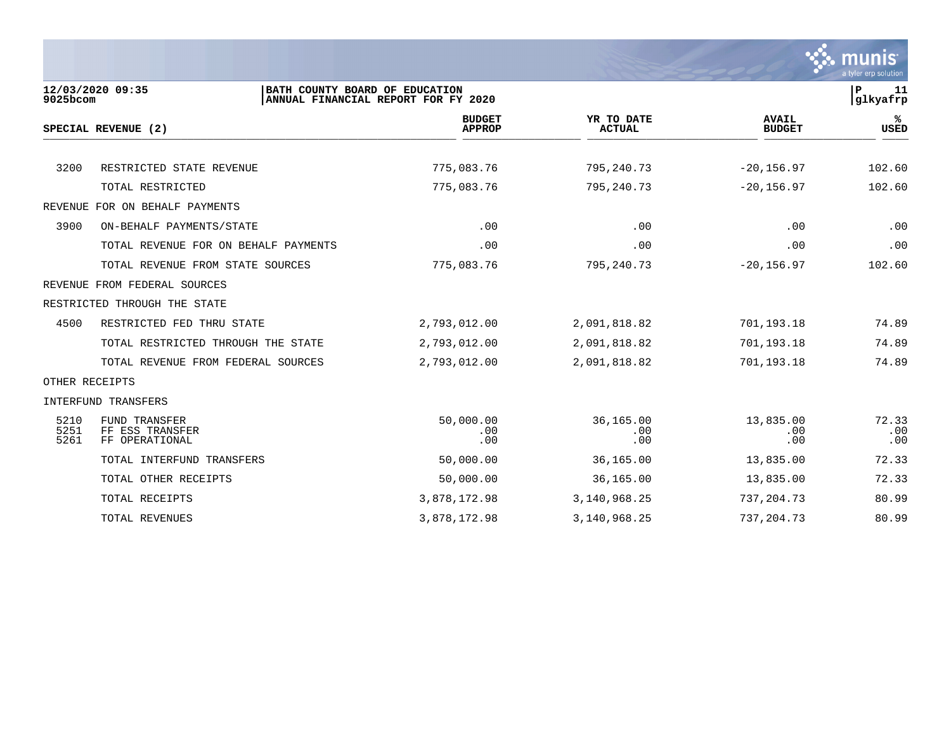

| $9025$ bcom          | 12/03/2020 09:35<br>BATH COUNTY BOARD OF EDUCATION        | ANNUAL FINANCIAL REPORT FOR FY 2020 |                             |                               | $\mathbf P$<br>11<br>glkyafrp |
|----------------------|-----------------------------------------------------------|-------------------------------------|-----------------------------|-------------------------------|-------------------------------|
|                      | SPECIAL REVENUE (2)                                       | <b>BUDGET</b><br><b>APPROP</b>      | YR TO DATE<br><b>ACTUAL</b> | <b>AVAIL</b><br><b>BUDGET</b> | %ะ<br><b>USED</b>             |
|                      |                                                           |                                     |                             |                               |                               |
| 3200                 | RESTRICTED STATE REVENUE                                  | 775,083.76                          | 795,240.73                  | $-20, 156.97$                 | 102.60                        |
|                      | TOTAL RESTRICTED                                          | 775,083.76                          | 795,240.73                  | $-20, 156.97$                 | 102.60                        |
|                      | REVENUE FOR ON BEHALF PAYMENTS                            |                                     |                             |                               |                               |
| 3900                 | ON-BEHALF PAYMENTS/STATE                                  | .00                                 | .00                         | .00                           | .00                           |
|                      | TOTAL REVENUE FOR ON BEHALF PAYMENTS                      | .00                                 | .00                         | .00                           | .00                           |
|                      | TOTAL REVENUE FROM STATE SOURCES                          | 775,083.76                          | 795,240.73                  | $-20, 156.97$                 | 102.60                        |
|                      | REVENUE FROM FEDERAL SOURCES                              |                                     |                             |                               |                               |
|                      | RESTRICTED THROUGH THE STATE                              |                                     |                             |                               |                               |
| 4500                 | RESTRICTED FED THRU STATE                                 | 2,793,012.00                        | 2,091,818.82                | 701,193.18                    | 74.89                         |
|                      | TOTAL RESTRICTED THROUGH THE STATE                        | 2,793,012.00                        | 2,091,818.82                | 701,193.18                    | 74.89                         |
|                      | TOTAL REVENUE FROM FEDERAL SOURCES                        | 2,793,012.00                        | 2,091,818.82                | 701,193.18                    | 74.89                         |
| OTHER RECEIPTS       |                                                           |                                     |                             |                               |                               |
|                      | INTERFUND TRANSFERS                                       |                                     |                             |                               |                               |
| 5210<br>5251<br>5261 | <b>FUND TRANSFER</b><br>FF ESS TRANSFER<br>FF OPERATIONAL | 50,000.00<br>.00<br>.00             | 36,165.00<br>.00<br>.00     | 13,835.00<br>.00<br>.00       | 72.33<br>.00<br>.00           |
|                      | TOTAL INTERFUND TRANSFERS                                 | 50,000.00                           | 36,165.00                   | 13,835.00                     | 72.33                         |
|                      | TOTAL OTHER RECEIPTS                                      | 50,000.00                           | 36,165.00                   | 13,835.00                     | 72.33                         |
|                      | TOTAL RECEIPTS                                            | 3,878,172.98                        | 3, 140, 968. 25             | 737, 204. 73                  | 80.99                         |
|                      | TOTAL REVENUES                                            | 3,878,172.98                        | 3, 140, 968. 25             | 737, 204. 73                  | 80.99                         |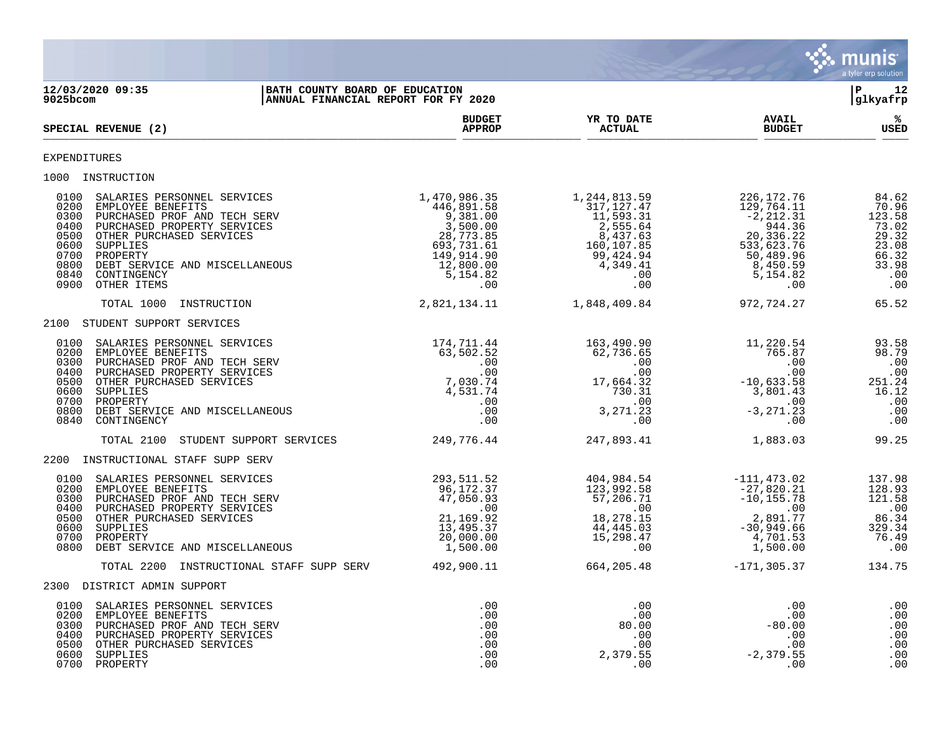

**12/03/2020 09:35 |BATH COUNTY BOARD OF EDUCATION |P 12 ANNUAL FINANCIAL REPORT FOR FY 2020 BUDGET YR TO DATE AVAIL %**  $SPECTAL REVIEW (2)$  $\frac{\text{AFR} + \text{R}}{\text{AFR}}$ EXPENDITURES 1000 INSTRUCTION<br>0100 SALARIES PERSONNEL SERVICES<br>0200 EMPLOYEE BENEFITS<br>0300 PURCHASED PROF AND TECH SERV<br>0400 PURCHASED PROPERTY SERVICES<br>0500 OTHER PURCHASED SERVICES 0100 SALARIES PERSONNEL SERVICES 1,470,986.35 1,244,813.59 226,172.76 84.62 0200 EMPLOYEE BENEFITS 446,891.58 317,127.47 129,764.11 70.96 0300 PURCHASED PROF AND TECH SERV 9,381.00 11,593.31 -2,212.31 123.58 0400 PURCHASED PROPERTY SERVICES 3,500.00 2,555.64 944.36 73.02 0500 OTHER PURCHASED SERVICES 28,773.85 8,437.63 20,336.22 29.32 0600 SUPPLIES 693,731.61 160,107.85 533,623.76 23.08 0700 PROPERTY 149,914.90 99,424.94 50,489.96 66.32 0800 DEBT SERVICE AND MISCELLANEOUS 63.98 (200.00 4,349.41 8,450.59 33.98 0840 CONTINGENCY 5,154.82 .00 5,154.82 .00 0900 OTHER ITEMS .00 .00 .00 .00 TOTAL 1000 INSTRUCTION 2,821,134.11 1,848,409.84 972,724.27 65.52 2100 STUDENT SUPPORT SERVICES 0100 SALARIES PERSONNEL SERVICES 174,711.44 163,490.90 11,220.54 93.58 0200 EMPLOYEE BENEFITS 63,502.52 62,736.65 765.87 98.79 0300 PURCHASED PROF AND TECH SERV .00 .00 .00 .00 0400 PURCHASED PROPERTY SERVICES .00 .00 .00 .00 0500 OTHER PURCHASED SERVICES 6.24 17,030.74 17,664.32 -10,633.58 251.24 0600 SUPPLIES 4,531.74 730.31 3,801.43 16.12 0700 PROPERTY .00 .00 .00 .00 0800 DEBT SERVICE AND MISCELLANEOUS .00 3,271.23 -3,271.23 .00 0840 CONTINGENCY .00 .00 .00 .00 TOTAL 2100 STUDENT SUPPORT SERVICES 249,776.44 247,893.41 1,883.03 99.25 2200 INSTRUCTIONAL STAFF SUPP SERV 0100 SALARIES PERSONNEL SERVICES 293,511.52 404,984.54 -111,473.02 137.98 0200 EMPLOYEE BENEFITS 96,172.37 123,992.58 -27,820.21 128.93 0300 PURCHASED PROF AND TECH SERV 6 (1990) 47,050.93 57,206.71 -10,155.78 121.58 0400 PURCHASED PROPERTY SERVICES .00 .00 .00 .00 0500 OTHER PURCHASED SERVICES 21,169.92 18,278.15 2,891.77 86.34 0600 SUPPLIES 13,495.37 44,445.03 -30,949.66 329.34 0700 PROPERTY 20,000.00 15,298.47 4,701.53 76.49 0800 DEBT SERVICE AND MISCELLANEOUS **1,500.00** 1,500.00 .00 .00 .00 .00 .00 .00 .00 .00 TOTAL 2200 INSTRUCTIONAL STAFF SUPP SERV 492,900.11 664,205.48 -171,305.37 134.75 2300 DISTRICT ADMIN SUPPORT 0100 SALARIES PERSONNEL SERVICES .00 .00 .00 .00 0200 EMPLOYEE BENEFITS .00 .00 .00 .00 0300 PURCHASED PROF AND TECH SERV .00 80.00 -80.00 .00 0400 PURCHASED PROPERTY SERVICES .00 .00 .00 .00 0500 OTHER PURCHASED SERVICES .00 .00 .00 .00 0600 SUPPLIES .00 2,379.55 -2,379.55 .00

0700 PROPERTY .00 .00 .00 .00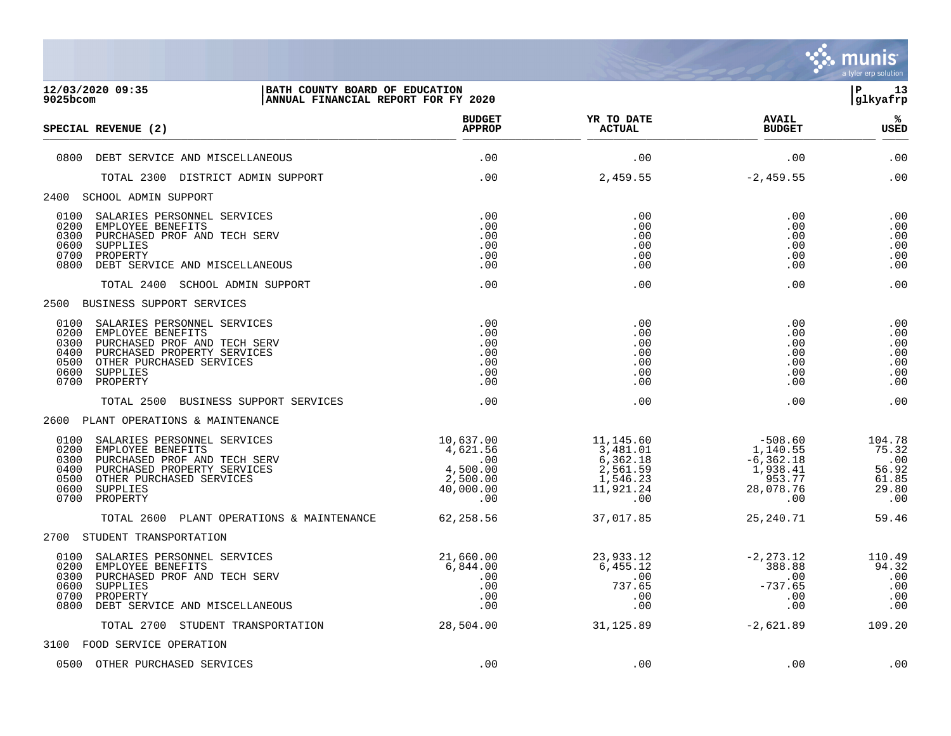

| 9025bcom                                             | 12/03/2020 09:35<br>BATH COUNTY BOARD OF EDUCATION<br>ANNUAL FINANCIAL REPORT FOR FY 2020                                                                                |                                                                                                                                                    |                                                                                     |                                                                              | l P<br>13<br>glkyafrp                                    |
|------------------------------------------------------|--------------------------------------------------------------------------------------------------------------------------------------------------------------------------|----------------------------------------------------------------------------------------------------------------------------------------------------|-------------------------------------------------------------------------------------|------------------------------------------------------------------------------|----------------------------------------------------------|
|                                                      | SPECIAL REVENUE (2)                                                                                                                                                      | <b>BUDGET</b><br><b>APPROP</b>                                                                                                                     | YR TO DATE<br><b>ACTUAL</b>                                                         | <b>AVAIL</b><br><b>BUDGET</b>                                                | ిశ<br><b>USED</b>                                        |
|                                                      | 0800 DEBT SERVICE AND MISCELLANEOUS                                                                                                                                      | .00                                                                                                                                                | .00                                                                                 | .00                                                                          | .00                                                      |
|                                                      | TOTAL 2300 DISTRICT ADMIN SUPPORT                                                                                                                                        | .00                                                                                                                                                | 2,459.55                                                                            | $-2, 459.55$                                                                 | .00                                                      |
|                                                      | 2400 SCHOOL ADMIN SUPPORT                                                                                                                                                |                                                                                                                                                    |                                                                                     |                                                                              |                                                          |
| 0100<br>0200<br>0300<br>0600<br>0700<br>0800         | SALARIES PERSONNEL SERVICES<br>EMPLOYEE BENEFITS<br>PURCHASED PROF AND TECH SERV<br>SUPPLIES<br>PROPERTY<br>DEBT SERVICE AND MISCELLANEOUS                               | .00<br>.00<br>.00<br>.00<br>.00<br>.00                                                                                                             | .00<br>.00<br>.00<br>.00<br>.00<br>.00                                              | .00<br>.00<br>.00<br>.00<br>.00<br>.00                                       | .00<br>.00<br>.00<br>.00<br>.00<br>.00                   |
|                                                      | TOTAL 2400 SCHOOL ADMIN SUPPORT                                                                                                                                          | .00                                                                                                                                                | .00                                                                                 | .00                                                                          | .00                                                      |
|                                                      | 2500 BUSINESS SUPPORT SERVICES                                                                                                                                           |                                                                                                                                                    |                                                                                     |                                                                              |                                                          |
| 0200<br>0300<br>0400<br>0500<br>0600<br>0700         | 0100 SALARIES PERSONNEL SERVICES<br>EMPLOYEE BENEFITS<br>PURCHASED PROF AND TECH SERV<br>PURCHASED PROPERTY SERVICES<br>OTHER PURCHASED SERVICES<br>SUPPLIES<br>PROPERTY | .00<br>.00<br>.00<br>.00<br>.00<br>.00<br>.00                                                                                                      | .00<br>.00<br>.00<br>.00<br>.00<br>.00<br>.00                                       | .00<br>.00<br>.00<br>.00<br>.00<br>.00<br>.00                                | .00<br>.00<br>.00<br>.00<br>.00<br>.00<br>.00            |
|                                                      | TOTAL 2500 BUSINESS SUPPORT SERVICES                                                                                                                                     | .00                                                                                                                                                | .00                                                                                 | .00                                                                          | .00                                                      |
|                                                      | 2600 PLANT OPERATIONS & MAINTENANCE                                                                                                                                      |                                                                                                                                                    |                                                                                     |                                                                              |                                                          |
| 0100<br>0200<br>0300<br>0400<br>0500<br>0600<br>0700 | SALARIES PERSONNEL SERVICES<br>EMPLOYEE BENEFITS<br>PURCHASED PROF AND TECH SERV<br>PURCHASED PROPERTY SERVICES<br>OTHER PURCHASED SERVICES<br>SUPPLIES<br>PROPERTY      | 10,637.00<br>$4,621.56$<br>$4,500.00$<br>$2.500.00$<br>$\begin{array}{c} 2,500.00 \\ 2,500.00 \\ 40,000.00 \\ .00 \end{array}$<br>40,000.00<br>.00 | 11,145.60<br>3,481.01<br>6,362.18<br>2,561.59<br>1,546.23<br>11,921.24<br>$\sim$ 00 | $-508.60$<br>1,140.55<br>-6,362.18<br>1,938.41<br>953.77<br>28,078.76<br>.00 | 104.78<br>75.32<br>.00<br>56.92<br>61.85<br>29.80<br>.00 |
|                                                      | TOTAL 2600 PLANT OPERATIONS & MAINTENANCE 62,258.56                                                                                                                      |                                                                                                                                                    | 37,017.85                                                                           | 25,240.71                                                                    | 59.46                                                    |
|                                                      | 2700 STUDENT TRANSPORTATION                                                                                                                                              |                                                                                                                                                    |                                                                                     |                                                                              |                                                          |
| 0100<br>0200<br>0300<br>0600<br>0700<br>0800         | SALARIES PERSONNEL SERVICES<br>EMPLOYEE BENEFITS<br>PURCHASED PROF AND TECH SERV<br>SUPPLIES<br>PROPERTY<br>DEBT SERVICE AND MISCELLANEOUS                               | 21,660.00<br>6,844.00<br>$.00$<br>.00                                                                                                              | 23,933.12<br>6,455.12<br>.00<br>737.65<br>.00<br>.00                                | $-2, 273.12$<br>388.88<br>.00<br>$-737.65$<br>.00<br>.00                     | 110.49<br>94.32<br>.00<br>.00<br>.00<br>.00              |
|                                                      | TOTAL 2700 STUDENT TRANSPORTATION                                                                                                                                        | 28,504.00                                                                                                                                          | 31,125.89                                                                           | $-2,621.89$                                                                  | 109.20                                                   |
|                                                      | 3100 FOOD SERVICE OPERATION                                                                                                                                              |                                                                                                                                                    |                                                                                     |                                                                              |                                                          |
|                                                      | 0500 OTHER PURCHASED SERVICES                                                                                                                                            | .00                                                                                                                                                | .00                                                                                 | .00                                                                          | .00                                                      |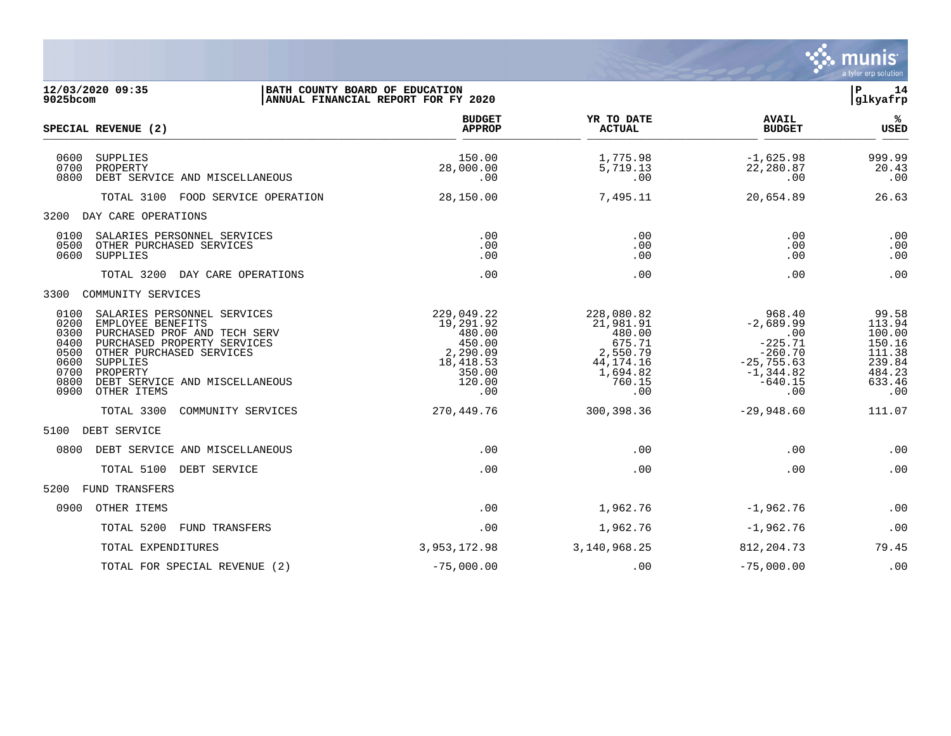

| $9025$ bcom                                                          | 12/03/2020 09:35                                                                                                                                                                                                     | BATH COUNTY BOARD OF EDUCATION<br>ANNUAL FINANCIAL REPORT FOR FY 2020                           |                                                                                                     |                                                                                                             | P<br>14<br>glkyafrp                                                                |
|----------------------------------------------------------------------|----------------------------------------------------------------------------------------------------------------------------------------------------------------------------------------------------------------------|-------------------------------------------------------------------------------------------------|-----------------------------------------------------------------------------------------------------|-------------------------------------------------------------------------------------------------------------|------------------------------------------------------------------------------------|
|                                                                      | SPECIAL REVENUE (2)                                                                                                                                                                                                  | <b>BUDGET</b><br><b>APPROP</b>                                                                  | YR TO DATE<br><b>ACTUAL</b>                                                                         | <b>AVAIL</b><br><b>BUDGET</b>                                                                               | %ะ<br><b>USED</b>                                                                  |
| 0600<br>0700<br>0800                                                 | SUPPLIES<br>PROPERTY<br>DEBT SERVICE AND MISCELLANEOUS                                                                                                                                                               | 150.00<br>28,000.00<br>.00                                                                      | 1,775.98<br>5,719.13<br>.00                                                                         | $-1,625.98$<br>22,280.87<br>.00                                                                             | 999.99<br>20.43<br>.00                                                             |
|                                                                      | TOTAL 3100 FOOD SERVICE OPERATION                                                                                                                                                                                    | 28,150.00                                                                                       | 7,495.11                                                                                            | 20,654.89                                                                                                   | 26.63                                                                              |
| 3200                                                                 | DAY CARE OPERATIONS                                                                                                                                                                                                  |                                                                                                 |                                                                                                     |                                                                                                             |                                                                                    |
| 0100<br>0500<br>0600                                                 | SALARIES PERSONNEL SERVICES<br>OTHER PURCHASED SERVICES<br><b>SUPPLIES</b>                                                                                                                                           | .00<br>.00<br>.00                                                                               | .00<br>.00<br>.00                                                                                   | .00<br>.00<br>.00                                                                                           | .00<br>.00<br>.00                                                                  |
|                                                                      | TOTAL 3200<br>DAY CARE OPERATIONS                                                                                                                                                                                    | .00                                                                                             | .00                                                                                                 | .00                                                                                                         | .00                                                                                |
| 3300                                                                 | COMMUNITY SERVICES                                                                                                                                                                                                   |                                                                                                 |                                                                                                     |                                                                                                             |                                                                                    |
| 0100<br>0200<br>0300<br>0400<br>0500<br>0600<br>0700<br>0800<br>0900 | SALARIES PERSONNEL SERVICES<br>EMPLOYEE BENEFITS<br>PURCHASED PROF AND TECH SERV<br>PURCHASED PROPERTY SERVICES<br>OTHER PURCHASED SERVICES<br>SUPPLIES<br>PROPERTY<br>DEBT SERVICE AND MISCELLANEOUS<br>OTHER ITEMS | 229,049.22<br>19,291.92<br>480.00<br>450.00<br>2,290.09<br>18,418.53<br>350.00<br>120.00<br>.00 | 228,080.82<br>21,981.91<br>480.00<br>675.71<br>2,550.79<br>44, 174. 16<br>1,694.82<br>760.15<br>.00 | 968.40<br>$-2,689.99$<br>.00<br>$-225.71$<br>$-260.70$<br>$-25, 755.63$<br>$-1, 344.82$<br>$-640.15$<br>.00 | 99.58<br>113.94<br>100.00<br>150.16<br>111.38<br>239.84<br>484.23<br>633.46<br>.00 |
|                                                                      | TOTAL 3300<br>COMMUNITY SERVICES                                                                                                                                                                                     | 270,449.76                                                                                      | 300,398.36                                                                                          | $-29,948.60$                                                                                                | 111.07                                                                             |
| 5100                                                                 | DEBT SERVICE                                                                                                                                                                                                         |                                                                                                 |                                                                                                     |                                                                                                             |                                                                                    |
| 0800                                                                 | DEBT SERVICE AND MISCELLANEOUS                                                                                                                                                                                       | .00                                                                                             | .00                                                                                                 | .00                                                                                                         | .00                                                                                |
|                                                                      | TOTAL 5100 DEBT SERVICE                                                                                                                                                                                              | .00                                                                                             | .00                                                                                                 | .00                                                                                                         | .00                                                                                |
| 5200                                                                 | <b>FUND TRANSFERS</b>                                                                                                                                                                                                |                                                                                                 |                                                                                                     |                                                                                                             |                                                                                    |
| 0900                                                                 | OTHER ITEMS                                                                                                                                                                                                          | .00                                                                                             | 1,962.76                                                                                            | $-1,962.76$                                                                                                 | .00                                                                                |
|                                                                      | TOTAL 5200<br>FUND TRANSFERS                                                                                                                                                                                         | .00                                                                                             | 1,962.76                                                                                            | $-1,962.76$                                                                                                 | .00                                                                                |
|                                                                      | TOTAL EXPENDITURES                                                                                                                                                                                                   | 3,953,172.98                                                                                    | 3,140,968.25                                                                                        | 812, 204. 73                                                                                                | 79.45                                                                              |
|                                                                      | TOTAL FOR SPECIAL REVENUE (2)                                                                                                                                                                                        | $-75,000.00$                                                                                    | .00                                                                                                 | $-75,000.00$                                                                                                | .00                                                                                |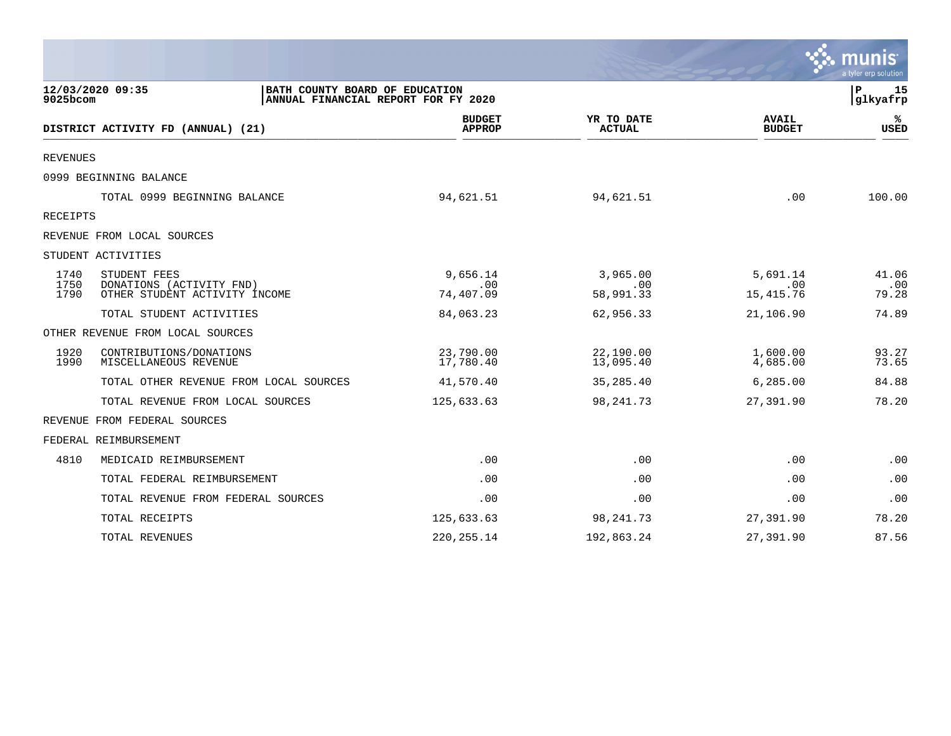|                 |                                                                                           |                                |                             |                               | $\sim$ munis<br>a tyler erp solution |
|-----------------|-------------------------------------------------------------------------------------------|--------------------------------|-----------------------------|-------------------------------|--------------------------------------|
| 9025bcom        | 12/03/2020 09:35<br>BATH COUNTY BOARD OF EDUCATION<br>ANNUAL FINANCIAL REPORT FOR FY 2020 |                                |                             |                               | $\mathbf P$<br>15<br>glkyafrp        |
|                 | DISTRICT ACTIVITY FD (ANNUAL) (21)                                                        | <b>BUDGET</b><br><b>APPROP</b> | YR TO DATE<br><b>ACTUAL</b> | <b>AVAIL</b><br><b>BUDGET</b> | ℁<br><b>USED</b>                     |
| <b>REVENUES</b> |                                                                                           |                                |                             |                               |                                      |
|                 | 0999 BEGINNING BALANCE                                                                    |                                |                             |                               |                                      |
|                 | TOTAL 0999 BEGINNING BALANCE                                                              | 94,621.51                      | 94,621.51                   | .00                           | 100.00                               |
| RECEIPTS        |                                                                                           |                                |                             |                               |                                      |
|                 | REVENUE FROM LOCAL SOURCES                                                                |                                |                             |                               |                                      |
|                 | STUDENT ACTIVITIES                                                                        |                                |                             |                               |                                      |
| 1740<br>1750    | STUDENT FEES<br>DONATIONS (ACTIVITY FND)                                                  | 9,656.14<br>.00                | 3,965.00<br>.00             | 5,691.14<br>.00               | 41.06<br>.00                         |
| 1790            | OTHER STUDENT ACTIVITY INCOME                                                             | 74,407.09                      | 58,991.33                   | 15, 415. 76                   | 79.28                                |
|                 | TOTAL STUDENT ACTIVITIES                                                                  | 84,063.23                      | 62,956.33                   | 21,106.90                     | 74.89                                |
|                 | OTHER REVENUE FROM LOCAL SOURCES                                                          |                                |                             |                               |                                      |
| 1920<br>1990    | CONTRIBUTIONS/DONATIONS<br>MISCELLANEOUS REVENUE                                          | 23,790.00<br>17,780.40         | 22,190.00<br>13,095.40      | 1,600.00<br>4,685.00          | 93.27<br>73.65                       |
|                 | TOTAL OTHER REVENUE FROM LOCAL SOURCES                                                    | 41,570.40                      | 35,285.40                   | 6,285.00                      | 84.88                                |
|                 | TOTAL REVENUE FROM LOCAL SOURCES                                                          | 125,633.63                     | 98, 241. 73                 | 27,391.90                     | 78.20                                |
|                 | REVENUE FROM FEDERAL SOURCES                                                              |                                |                             |                               |                                      |
|                 | FEDERAL REIMBURSEMENT                                                                     |                                |                             |                               |                                      |
| 4810            | MEDICAID REIMBURSEMENT                                                                    | .00                            | .00                         | .00                           | .00                                  |
|                 | TOTAL FEDERAL REIMBURSEMENT                                                               | .00                            | .00                         | .00                           | .00                                  |
|                 | TOTAL REVENUE FROM FEDERAL SOURCES                                                        | .00                            | .00                         | .00                           | .00                                  |
|                 | TOTAL RECEIPTS                                                                            | 125,633.63                     | 98, 241. 73                 | 27,391.90                     | 78.20                                |
|                 | TOTAL REVENUES                                                                            | 220, 255. 14                   | 192,863.24                  | 27,391.90                     | 87.56                                |

the contract of the contract of the contract of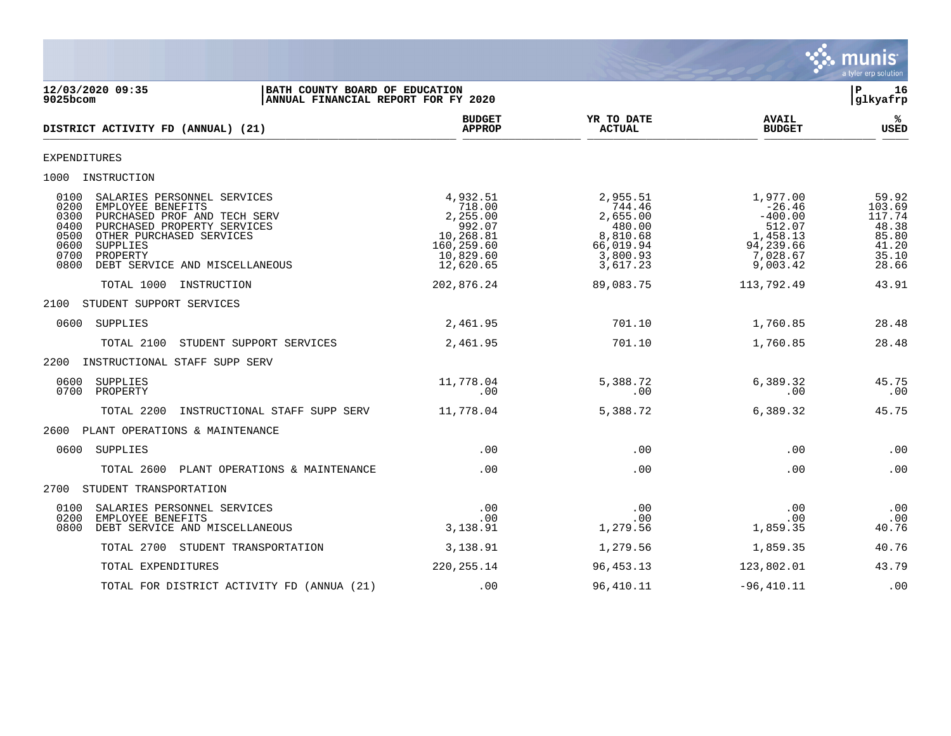

**12/03/2020 09:35 |BATH COUNTY BOARD OF EDUCATION |P 16** ANNUAL FINANCIAL REPORT FOR FY 2020 **BUDGET YR TO DATE AVAIL %**  $DISTRICT ACTIVITY FD (ANNUAL) (21)$  $\frac{MFACF}{MFACF}$  . Actival  $\frac{MFACF}{MFACF}$  . Actival  $\frac{MFACF}{MFACF}$  . Actival  $\frac{MFACF}{MFACF}$  . Actival  $\frac{MFACF}{MFACF}$ EXPENDITURES 1000 INSTRUCTION 0100 SALARIES PERSONNEL SERVICES 4,932.51 2,955.51 1,977.00 59.92 0200 EMPLOYEE BENEFITS 718.00 744.46 -26.46 103.69 0300 PURCHASED PROF AND TECH SERV 2,255.00 2,655.00 -400.00 117.74 0400 PURCHASED PROPERTY SERVICES 992.07 480.00 512.07 48.38 0500 OTHER PURCHASED SERVICES (1.268.81 ) 0.268.81 (1.268.81 ) 8,810.68 (1.458.13 (1.458.13 ) 85.80 (1.20 ) 8,810.68 (1.20 ) 8,810.68 (1.20 ) 8,810.68 (1.20 ) 8,810.68 (1.20 ) 8,810.68 (1.20 ) 8,810.68 (1.20 ) 8,810.66 (1. 0600 SUPPLIES 160,259.60 66,019.94 94,239.66 41.20 0700 PROPERTY 10,829.60 3,800.93 7,028.67 35.10 0800 DEBT SERVICE AND MISCELLANEOUS 12,620.65 3,617.23 9,003.42 28.66 TOTAL 1000 INSTRUCTION 202,876.24 89,083.75 113,792.49 43.91 2100 STUDENT SUPPORT SERVICES 0600 SUPPLIES 2,461.95 701.10 1,760.85 28.48 TOTAL 2100 STUDENT SUPPORT SERVICES 2,461.95 701.10 1,760.85 28.48 2200 INSTRUCTIONAL STAFF SUPP SERV 0600 SUPPLIES 11,778.04 5,388.72 6,389.32 45.75 0700 PROPERTY .00 .00 .00 .00 TOTAL 2200 INSTRUCTIONAL STAFF SUPP SERV 11,778.04 5,388.72 6,389.32 45.75 2600 PLANT OPERATIONS & MAINTENANCE 0600 SUPPLIES .00 .00 .00 .00 TOTAL 2600 PLANT OPERATIONS & MAINTENANCE .00 .00 .00 .00 2700 STUDENT TRANSPORTATION 0100 SALARIES PERSONNEL SERVICES .00 .00 .00 .00 0200 EMPLOYEE BENEFITS .00 .00 .00 .00 0800 DEBT SERVICE AND MISCELLANEOUS TOTAL 2700 STUDENT TRANSPORTATION 3,138.91 1,279.56 1,859.35 40.76 TOTAL EXPENDITURES 220,255.14 96,453.13 123,802.01 43.79 TOTAL FOR DISTRICT ACTIVITY FD (ANNUA (21) .00 96,410.11 -96,410.11 .00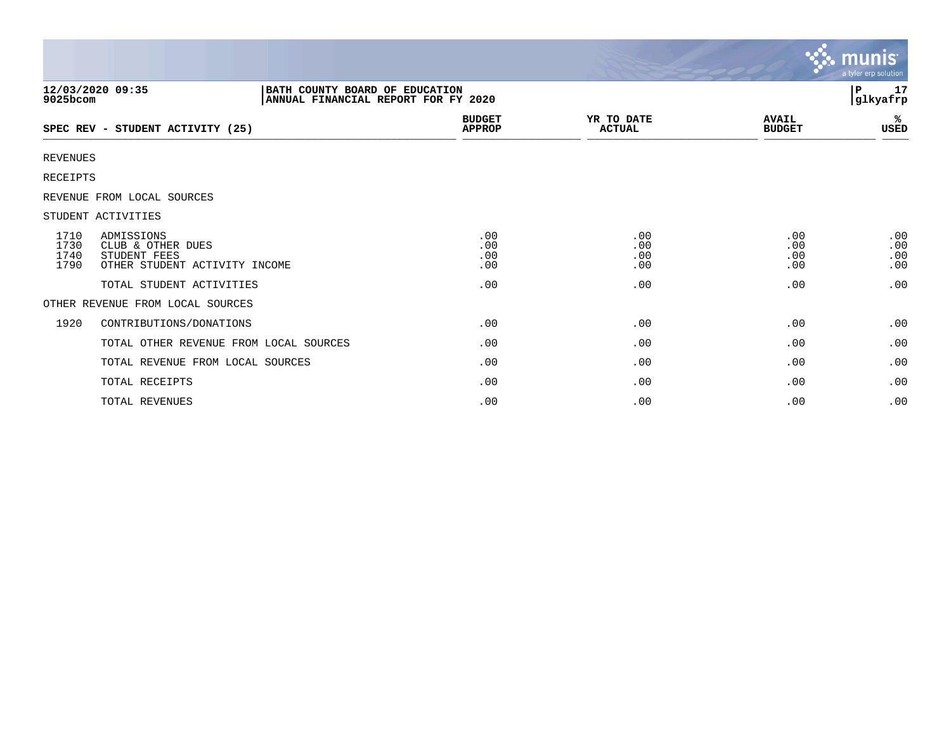|                                            |                                                                       |                                |                             |                               | <b>munis</b><br>a tyler erp solution |
|--------------------------------------------|-----------------------------------------------------------------------|--------------------------------|-----------------------------|-------------------------------|--------------------------------------|
| 12/03/2020 09:35<br>9025bcom               | BATH COUNTY BOARD OF EDUCATION<br>ANNUAL FINANCIAL REPORT FOR FY 2020 |                                |                             |                               | 17<br>P.<br>glkyafrp                 |
|                                            | SPEC REV - STUDENT ACTIVITY (25)                                      | <b>BUDGET</b><br><b>APPROP</b> | YR TO DATE<br><b>ACTUAL</b> | <b>AVAIL</b><br><b>BUDGET</b> | ℁<br>USED                            |
| <b>REVENUES</b>                            |                                                                       |                                |                             |                               |                                      |
| RECEIPTS                                   |                                                                       |                                |                             |                               |                                      |
| REVENUE FROM LOCAL SOURCES                 |                                                                       |                                |                             |                               |                                      |
| STUDENT ACTIVITIES                         |                                                                       |                                |                             |                               |                                      |
| 1710<br>ADMISSIONS<br>1730<br>1740<br>1790 | CLUB & OTHER DUES<br>STUDENT FEES<br>OTHER STUDENT ACTIVITY INCOME    | .00<br>.00<br>.00<br>.00       | .00<br>.00<br>.00<br>.00    | .00<br>.00<br>.00<br>.00      | .00<br>.00<br>.00<br>.00             |
|                                            | TOTAL STUDENT ACTIVITIES                                              | .00                            | .00                         | .00                           | .00                                  |
|                                            | OTHER REVENUE FROM LOCAL SOURCES                                      |                                |                             |                               |                                      |
| 1920                                       | CONTRIBUTIONS/DONATIONS                                               | .00                            | .00                         | .00                           | .00                                  |
|                                            | TOTAL OTHER REVENUE FROM LOCAL SOURCES                                | .00                            | .00                         | .00                           | .00                                  |
|                                            | TOTAL REVENUE FROM LOCAL SOURCES                                      | .00                            | .00                         | .00                           | .00                                  |
|                                            | TOTAL RECEIPTS                                                        | .00                            | .00                         | .00                           | .00                                  |
|                                            | TOTAL REVENUES                                                        | .00                            | .00                         | .00                           | .00                                  |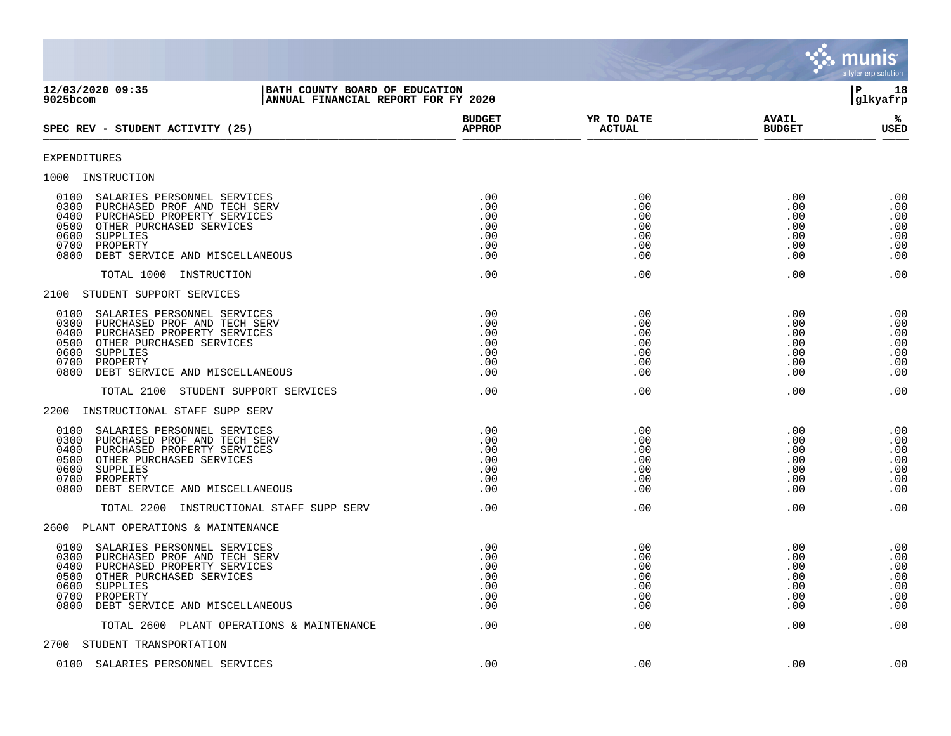|                                                                                                                                                                                                                                          |                                               |                                               |                                               | <b>munis</b><br>a tyler erp solution          |
|------------------------------------------------------------------------------------------------------------------------------------------------------------------------------------------------------------------------------------------|-----------------------------------------------|-----------------------------------------------|-----------------------------------------------|-----------------------------------------------|
| 12/03/2020 09:35<br>BATH COUNTY BOARD OF EDUCATION<br>$9025$ bcom<br>ANNUAL FINANCIAL REPORT FOR FY 2020                                                                                                                                 |                                               |                                               |                                               | ΙP<br>18<br>glkyafrp                          |
| SPEC REV - STUDENT ACTIVITY (25)                                                                                                                                                                                                         | <b>BUDGET</b><br><b>APPROP</b>                | YR TO DATE<br><b>ACTUAL</b>                   | <b>AVAIL</b><br><b>BUDGET</b>                 | %ะ<br>USED                                    |
| <b>EXPENDITURES</b>                                                                                                                                                                                                                      |                                               |                                               |                                               |                                               |
| 1000 INSTRUCTION                                                                                                                                                                                                                         |                                               |                                               |                                               |                                               |
| 0100<br>SALARIES PERSONNEL SERVICES<br>0300<br>PURCHASED PROF AND TECH SERV<br>0400<br>PURCHASED PROPERTY SERVICES<br>0500<br>OTHER PURCHASED SERVICES<br>0600<br>SUPPLIES<br>0700<br>PROPERTY<br>0800<br>DEBT SERVICE AND MISCELLANEOUS | .00<br>.00<br>.00<br>.00<br>.00<br>.00<br>.00 | .00<br>.00<br>.00<br>.00<br>.00<br>.00<br>.00 | .00<br>.00<br>.00<br>.00<br>.00<br>.00<br>.00 | .00<br>.00<br>.00<br>.00<br>.00<br>.00<br>.00 |
| TOTAL 1000 INSTRUCTION                                                                                                                                                                                                                   | .00                                           | .00                                           | .00                                           | .00                                           |
| 2100<br>STUDENT SUPPORT SERVICES                                                                                                                                                                                                         |                                               |                                               |                                               |                                               |
| 0100<br>SALARIES PERSONNEL SERVICES<br>0300<br>PURCHASED PROF AND TECH SERV<br>0400<br>PURCHASED PROPERTY SERVICES<br>0500<br>OTHER PURCHASED SERVICES<br>0600<br>SUPPLIES<br>0700<br>PROPERTY<br>0800<br>DEBT SERVICE AND MISCELLANEOUS | .00<br>.00<br>.00<br>.00<br>.00<br>.00<br>.00 | .00<br>.00<br>.00<br>.00<br>.00<br>.00<br>.00 | .00<br>.00<br>.00<br>.00<br>.00<br>.00<br>.00 | .00<br>.00<br>.00<br>.00<br>.00<br>.00<br>.00 |
| TOTAL 2100<br>STUDENT SUPPORT SERVICES                                                                                                                                                                                                   | .00                                           | .00                                           | .00                                           | .00                                           |
| INSTRUCTIONAL STAFF SUPP SERV<br>2200                                                                                                                                                                                                    |                                               |                                               |                                               |                                               |
| 0100<br>SALARIES PERSONNEL SERVICES<br>0300<br>PURCHASED PROF AND TECH SERV<br>0400<br>PURCHASED PROPERTY SERVICES<br>0500<br>OTHER PURCHASED SERVICES<br>0600<br>SUPPLIES<br>0700<br>PROPERTY<br>0800<br>DEBT SERVICE AND MISCELLANEOUS | .00<br>.00<br>.00<br>.00<br>.00<br>.00<br>.00 | .00<br>.00<br>.00<br>.00<br>.00<br>.00<br>.00 | .00<br>.00<br>.00<br>.00<br>.00<br>.00<br>.00 | .00<br>.00<br>.00<br>.00<br>.00<br>.00<br>.00 |
| TOTAL 2200<br>INSTRUCTIONAL STAFF SUPP SERV                                                                                                                                                                                              | .00                                           | .00                                           | .00                                           | .00                                           |
| 2600<br>PLANT OPERATIONS & MAINTENANCE                                                                                                                                                                                                   |                                               |                                               |                                               |                                               |
| 0100<br>SALARIES PERSONNEL SERVICES<br>0300<br>PURCHASED PROF AND TECH SERV<br>0400<br>PURCHASED PROPERTY SERVICES<br>0500 OTHER PURCHASED SERVICES<br>0600 SUPPLIES<br>0700<br>PROPERTY<br>0800<br>DEBT SERVICE AND MISCELLANEOUS       | .00<br>.00<br>.00<br>.00<br>.00<br>.00<br>.00 | .00<br>.00<br>.00<br>.00<br>.00<br>.00<br>.00 | .00<br>.00<br>.00<br>.00<br>.00<br>.00<br>.00 | .00<br>.00<br>.00<br>.00<br>.00<br>.00<br>.00 |
| TOTAL 2600 PLANT OPERATIONS & MAINTENANCE                                                                                                                                                                                                | .00                                           | .00                                           | .00                                           | .00                                           |
| 2700 STUDENT TRANSPORTATION                                                                                                                                                                                                              |                                               |                                               |                                               |                                               |
| 0100 SALARIES PERSONNEL SERVICES                                                                                                                                                                                                         | .00                                           | .00                                           | .00                                           | .00                                           |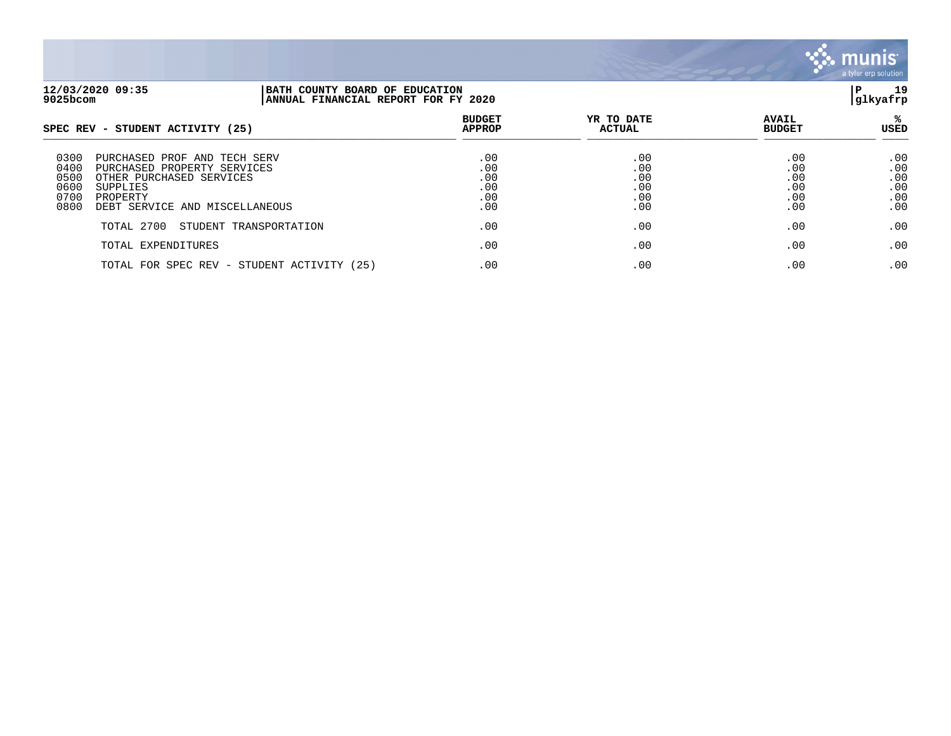

| 12/03/2020 09:35<br>9025bcom                                                                                                                                                            | BATH COUNTY BOARD OF EDUCATION<br>ANNUAL FINANCIAL REPORT FOR FY 2020 |                                        |                                        |                                        | 19<br>Р<br> glkyafrp                   |
|-----------------------------------------------------------------------------------------------------------------------------------------------------------------------------------------|-----------------------------------------------------------------------|----------------------------------------|----------------------------------------|----------------------------------------|----------------------------------------|
| SPEC REV - STUDENT ACTIVITY (25)                                                                                                                                                        |                                                                       | <b>BUDGET</b><br><b>APPROP</b>         | YR TO DATE<br><b>ACTUAL</b>            | <b>AVAIL</b><br><b>BUDGET</b>          | USED                                   |
| 0300<br>PURCHASED PROF AND<br>0400<br>PURCHASED PROPERTY SERVICES<br>0500<br>OTHER PURCHASED SERVICES<br>0600<br>SUPPLIES<br>0700<br>PROPERTY<br>0800<br>DEBT SERVICE AND MISCELLANEOUS | TECH SERV                                                             | .00<br>.00<br>.00<br>.00<br>.00<br>.00 | .00<br>.00<br>.00<br>.00<br>.00<br>.00 | .00<br>.00<br>.00<br>.00<br>.00<br>.00 | .00<br>.00<br>.00<br>.00<br>.00<br>.00 |
| TOTAL 2700                                                                                                                                                                              | STUDENT TRANSPORTATION                                                | .00                                    | .00                                    | .00                                    | .00                                    |
| TOTAL EXPENDITURES                                                                                                                                                                      |                                                                       | .00                                    | .00                                    | .00                                    | .00                                    |
|                                                                                                                                                                                         | TOTAL FOR SPEC REV - STUDENT ACTIVITY (25)                            | .00                                    | .00                                    | .00                                    | .00                                    |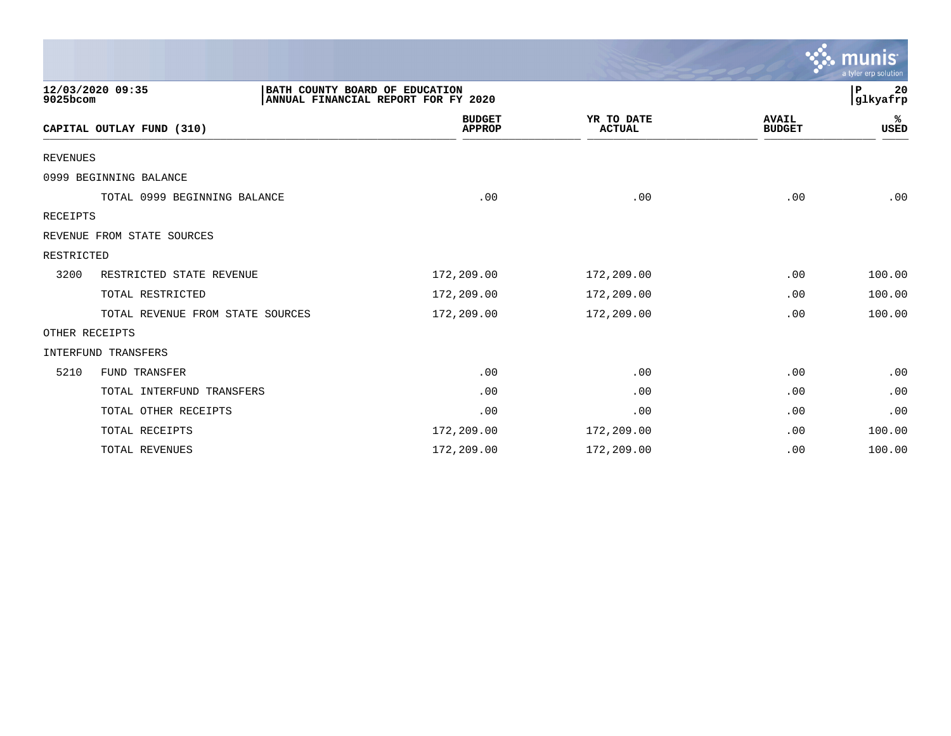|                 |                                                    |                                     |                             |                               | a tyler erp solution |
|-----------------|----------------------------------------------------|-------------------------------------|-----------------------------|-------------------------------|----------------------|
| 9025bcom        | 12/03/2020 09:35<br>BATH COUNTY BOARD OF EDUCATION | ANNUAL FINANCIAL REPORT FOR FY 2020 |                             |                               | 20<br>P<br> glkyafrp |
|                 | CAPITAL OUTLAY FUND (310)                          | <b>BUDGET</b><br><b>APPROP</b>      | YR TO DATE<br><b>ACTUAL</b> | <b>AVAIL</b><br><b>BUDGET</b> | ℁<br>USED            |
| <b>REVENUES</b> |                                                    |                                     |                             |                               |                      |
|                 | 0999 BEGINNING BALANCE                             |                                     |                             |                               |                      |
|                 | TOTAL 0999 BEGINNING BALANCE                       | .00                                 | .00                         | .00                           | .00                  |
| <b>RECEIPTS</b> |                                                    |                                     |                             |                               |                      |
|                 | REVENUE FROM STATE SOURCES                         |                                     |                             |                               |                      |
| RESTRICTED      |                                                    |                                     |                             |                               |                      |
| 3200            | RESTRICTED STATE REVENUE                           | 172,209.00                          | 172,209.00                  | .00                           | 100.00               |
|                 | TOTAL RESTRICTED                                   | 172,209.00                          | 172,209.00                  | .00                           | 100.00               |
|                 | TOTAL REVENUE FROM STATE SOURCES                   | 172,209.00                          | 172,209.00                  | .00                           | 100.00               |
|                 | OTHER RECEIPTS                                     |                                     |                             |                               |                      |
|                 | INTERFUND TRANSFERS                                |                                     |                             |                               |                      |
| 5210            | FUND TRANSFER                                      | .00                                 | .00                         | .00                           | .00                  |
|                 | TOTAL INTERFUND TRANSFERS                          | .00                                 | .00                         | .00                           | .00                  |
|                 | TOTAL OTHER RECEIPTS                               | .00                                 | .00                         | .00                           | .00                  |
|                 | TOTAL RECEIPTS                                     | 172,209.00                          | 172,209.00                  | .00                           | 100.00               |
|                 | TOTAL REVENUES                                     | 172,209.00                          | 172,209.00                  | .00                           | 100.00               |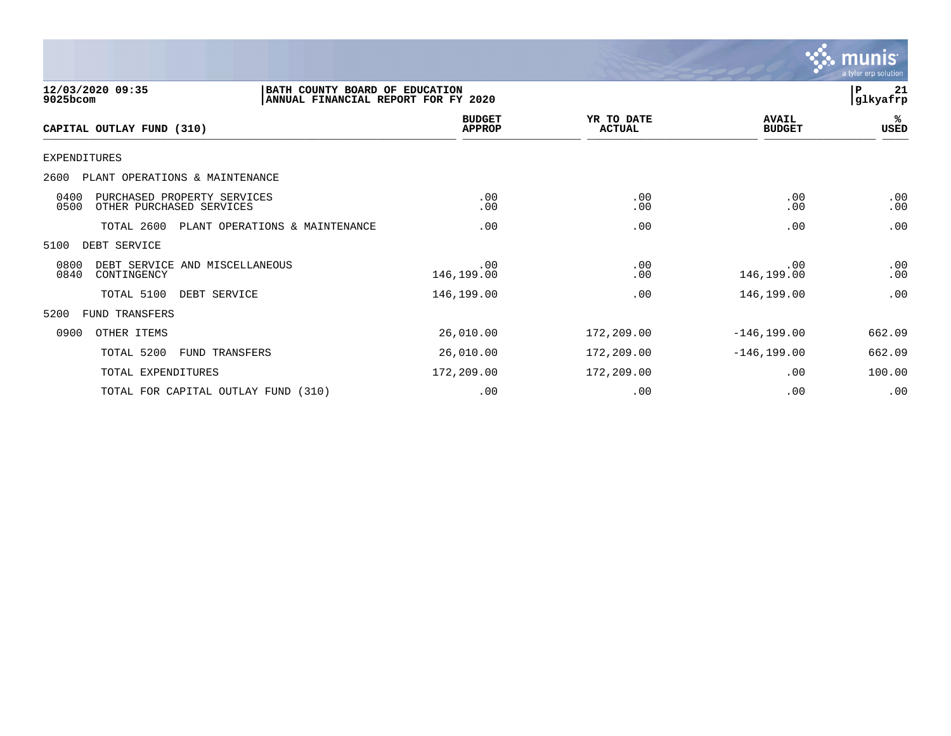

| 12/03/2020 09:35<br>9025bcom                                            | BATH COUNTY BOARD OF EDUCATION<br>ANNUAL FINANCIAL REPORT FOR FY 2020 |                                |                             |                               | P<br>21<br> glkyafrp |
|-------------------------------------------------------------------------|-----------------------------------------------------------------------|--------------------------------|-----------------------------|-------------------------------|----------------------|
| CAPITAL OUTLAY FUND (310)                                               |                                                                       | <b>BUDGET</b><br><b>APPROP</b> | YR TO DATE<br><b>ACTUAL</b> | <b>AVAIL</b><br><b>BUDGET</b> | %ะ<br>USED           |
| EXPENDITURES                                                            |                                                                       |                                |                             |                               |                      |
| 2600<br>PLANT OPERATIONS & MAINTENANCE                                  |                                                                       |                                |                             |                               |                      |
| 0400<br>PURCHASED PROPERTY SERVICES<br>OTHER PURCHASED SERVICES<br>0500 |                                                                       | .00<br>.00                     | .00<br>.00                  | .00<br>.00                    | .00<br>.00           |
| TOTAL 2600                                                              | PLANT OPERATIONS & MAINTENANCE                                        | .00                            | .00                         | .00                           | .00                  |
| 5100<br>DEBT SERVICE                                                    |                                                                       |                                |                             |                               |                      |
| 0800<br>DEBT SERVICE AND MISCELLANEOUS<br>0840<br>CONTINGENCY           |                                                                       | .00<br>146,199.00              | .00<br>.00                  | .00<br>146,199.00             | .00<br>.00           |
| TOTAL 5100                                                              | DEBT SERVICE                                                          | 146,199.00                     | .00                         | 146,199.00                    | .00                  |
| 5200<br>FUND TRANSFERS                                                  |                                                                       |                                |                             |                               |                      |
| 0900<br>OTHER ITEMS                                                     |                                                                       | 26,010.00                      | 172,209.00                  | $-146, 199.00$                | 662.09               |
| TOTAL 5200                                                              | <b>FUND TRANSFERS</b>                                                 | 26,010.00                      | 172,209.00                  | $-146, 199.00$                | 662.09               |
| TOTAL EXPENDITURES                                                      |                                                                       | 172,209.00                     | 172,209.00                  | .00                           | 100.00               |
|                                                                         | TOTAL FOR CAPITAL OUTLAY FUND (310)                                   | .00                            | .00                         | .00                           | .00                  |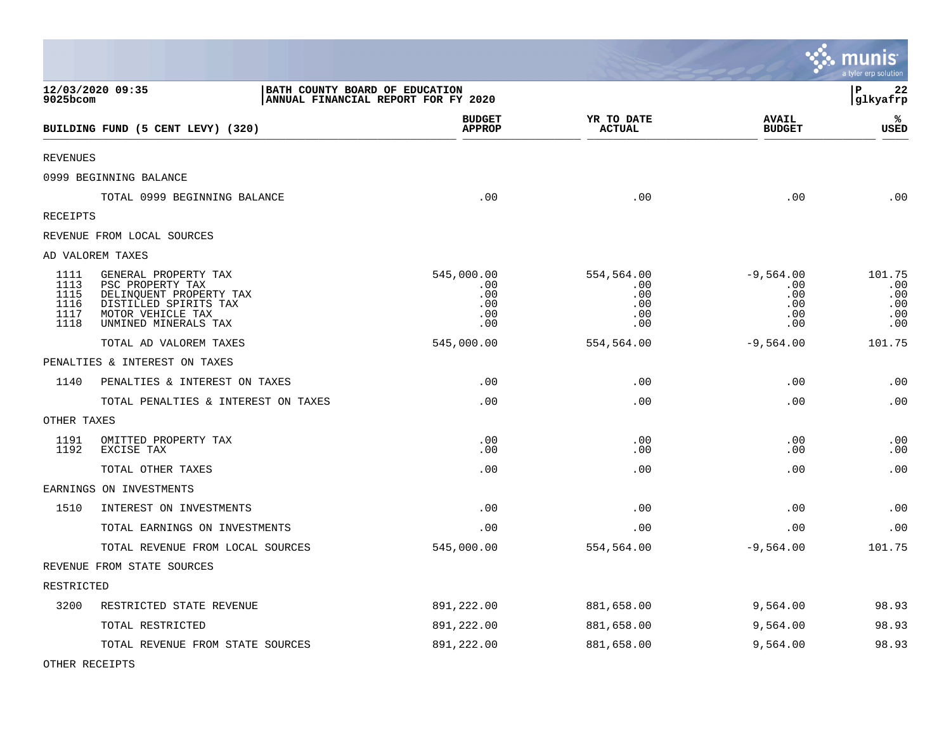|                                              |                                                                                                                                           |                                                                       |                                               |                                                | munis<br>a tyler erp solution             |
|----------------------------------------------|-------------------------------------------------------------------------------------------------------------------------------------------|-----------------------------------------------------------------------|-----------------------------------------------|------------------------------------------------|-------------------------------------------|
| 9025bcom                                     | 12/03/2020 09:35                                                                                                                          | BATH COUNTY BOARD OF EDUCATION<br>ANNUAL FINANCIAL REPORT FOR FY 2020 |                                               |                                                | $\, {\bf P}$<br>22<br>glkyafrp            |
|                                              | BUILDING FUND (5 CENT LEVY) (320)                                                                                                         | <b>BUDGET</b><br><b>APPROP</b>                                        | YR TO DATE<br><b>ACTUAL</b>                   | <b>AVAIL</b><br><b>BUDGET</b>                  | ℁<br><b>USED</b>                          |
| <b>REVENUES</b>                              |                                                                                                                                           |                                                                       |                                               |                                                |                                           |
|                                              | 0999 BEGINNING BALANCE                                                                                                                    |                                                                       |                                               |                                                |                                           |
|                                              | TOTAL 0999 BEGINNING BALANCE                                                                                                              | .00                                                                   | .00                                           | .00                                            | .00                                       |
| RECEIPTS                                     |                                                                                                                                           |                                                                       |                                               |                                                |                                           |
|                                              | REVENUE FROM LOCAL SOURCES                                                                                                                |                                                                       |                                               |                                                |                                           |
|                                              | AD VALOREM TAXES                                                                                                                          |                                                                       |                                               |                                                |                                           |
| 1111<br>1113<br>1115<br>1116<br>1117<br>1118 | GENERAL PROPERTY TAX<br>PSC PROPERTY TAX<br>DELINQUENT PROPERTY TAX<br>DISTILLED SPIRITS TAX<br>MOTOR VEHICLE TAX<br>UNMINED MINERALS TAX | 545,000.00<br>.00<br>.00<br>.00<br>.00<br>.00                         | 554,564.00<br>.00<br>.00<br>.00<br>.00<br>.00 | $-9,564.00$<br>.00<br>.00<br>.00<br>.00<br>.00 | 101.75<br>.00<br>.00<br>.00<br>.00<br>.00 |
|                                              | TOTAL AD VALOREM TAXES                                                                                                                    | 545,000.00                                                            | 554,564.00                                    | $-9,564.00$                                    | 101.75                                    |
|                                              | PENALTIES & INTEREST ON TAXES                                                                                                             |                                                                       |                                               |                                                |                                           |
| 1140                                         | PENALTIES & INTEREST ON TAXES                                                                                                             | .00                                                                   | .00                                           | .00                                            | .00                                       |
|                                              | TOTAL PENALTIES & INTEREST ON TAXES                                                                                                       | .00                                                                   | .00                                           | .00                                            | .00                                       |
| OTHER TAXES                                  |                                                                                                                                           |                                                                       |                                               |                                                |                                           |
| 1191<br>1192                                 | OMITTED PROPERTY TAX<br>EXCISE TAX                                                                                                        | .00<br>.00                                                            | .00<br>.00                                    | .00<br>.00                                     | .00<br>.00                                |
|                                              | TOTAL OTHER TAXES                                                                                                                         | .00                                                                   | .00                                           | .00                                            | .00                                       |
|                                              | EARNINGS ON INVESTMENTS                                                                                                                   |                                                                       |                                               |                                                |                                           |
| 1510                                         | INTEREST ON INVESTMENTS                                                                                                                   | .00                                                                   | .00                                           | .00                                            | .00                                       |
|                                              | TOTAL EARNINGS ON INVESTMENTS                                                                                                             | .00                                                                   | .00                                           | .00                                            | .00                                       |
|                                              | TOTAL REVENUE FROM LOCAL SOURCES                                                                                                          | 545,000.00                                                            | 554,564.00                                    | $-9,564.00$                                    | 101.75                                    |
|                                              | REVENUE FROM STATE SOURCES                                                                                                                |                                                                       |                                               |                                                |                                           |
| RESTRICTED                                   |                                                                                                                                           |                                                                       |                                               |                                                |                                           |
| 3200                                         | RESTRICTED STATE REVENUE                                                                                                                  | 891,222.00                                                            | 881,658.00                                    | 9,564.00                                       | 98.93                                     |
|                                              | TOTAL RESTRICTED                                                                                                                          | 891,222.00                                                            | 881,658.00                                    | 9,564.00                                       | 98.93                                     |
|                                              | TOTAL REVENUE FROM STATE SOURCES                                                                                                          | 891,222.00                                                            | 881,658.00                                    | 9,564.00                                       | 98.93                                     |

 $\mathcal{L}$ 

OTHER RECEIPTS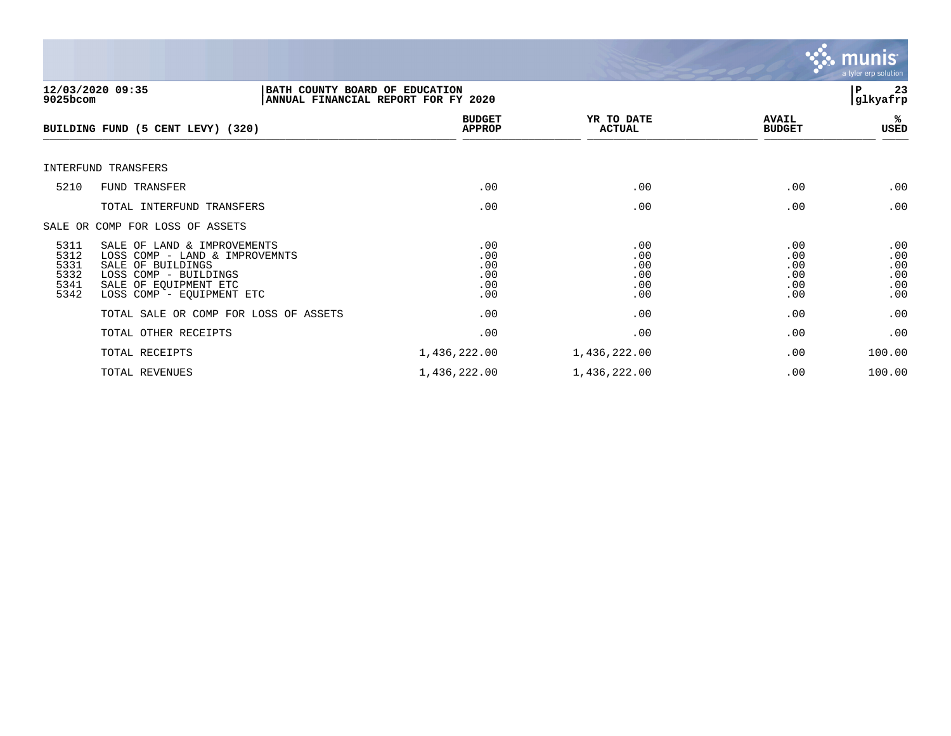

| $9025$ bcom                                  | 12/03/2020 09:35<br>BATH COUNTY BOARD OF EDUCATION<br>ANNUAL FINANCIAL REPORT FOR FY 2020                                                                         |                                        |                                        |                                        | 23<br>ΙP<br>glkyafrp                   |
|----------------------------------------------|-------------------------------------------------------------------------------------------------------------------------------------------------------------------|----------------------------------------|----------------------------------------|----------------------------------------|----------------------------------------|
|                                              | BUILDING FUND (5 CENT LEVY) (320)                                                                                                                                 | <b>BUDGET</b><br><b>APPROP</b>         | YR TO DATE<br><b>ACTUAL</b>            | <b>AVAIL</b><br><b>BUDGET</b>          | %ะ<br>USED                             |
|                                              | INTERFUND TRANSFERS                                                                                                                                               |                                        |                                        |                                        |                                        |
| 5210                                         | FUND TRANSFER                                                                                                                                                     | .00                                    | .00                                    | .00                                    | .00                                    |
|                                              | TOTAL INTERFUND TRANSFERS                                                                                                                                         | .00                                    | .00                                    | .00                                    | .00                                    |
|                                              | SALE OR COMP FOR LOSS OF ASSETS                                                                                                                                   |                                        |                                        |                                        |                                        |
| 5311<br>5312<br>5331<br>5332<br>5341<br>5342 | SALE OF LAND & IMPROVEMENTS<br>LOSS COMP - LAND & IMPROVEMNTS<br>SALE OF BUILDINGS<br>LOSS COMP - BUILDINGS<br>SALE OF EOUIPMENT ETC<br>LOSS COMP - EQUIPMENT ETC | .00<br>.00<br>.00<br>.00<br>.00<br>.00 | .00<br>.00<br>.00<br>.00<br>.00<br>.00 | .00<br>.00<br>.00<br>.00<br>.00<br>.00 | .00<br>.00<br>.00<br>.00<br>.00<br>.00 |
|                                              | TOTAL SALE OR COMP FOR LOSS OF ASSETS                                                                                                                             | .00                                    | .00                                    | .00                                    | .00                                    |
|                                              | TOTAL OTHER RECEIPTS                                                                                                                                              | .00                                    | .00                                    | .00                                    | .00                                    |
|                                              | TOTAL RECEIPTS                                                                                                                                                    | 1,436,222.00                           | 1,436,222.00                           | .00                                    | 100.00                                 |
|                                              | TOTAL REVENUES                                                                                                                                                    | 1,436,222.00                           | 1,436,222.00                           | .00                                    | 100.00                                 |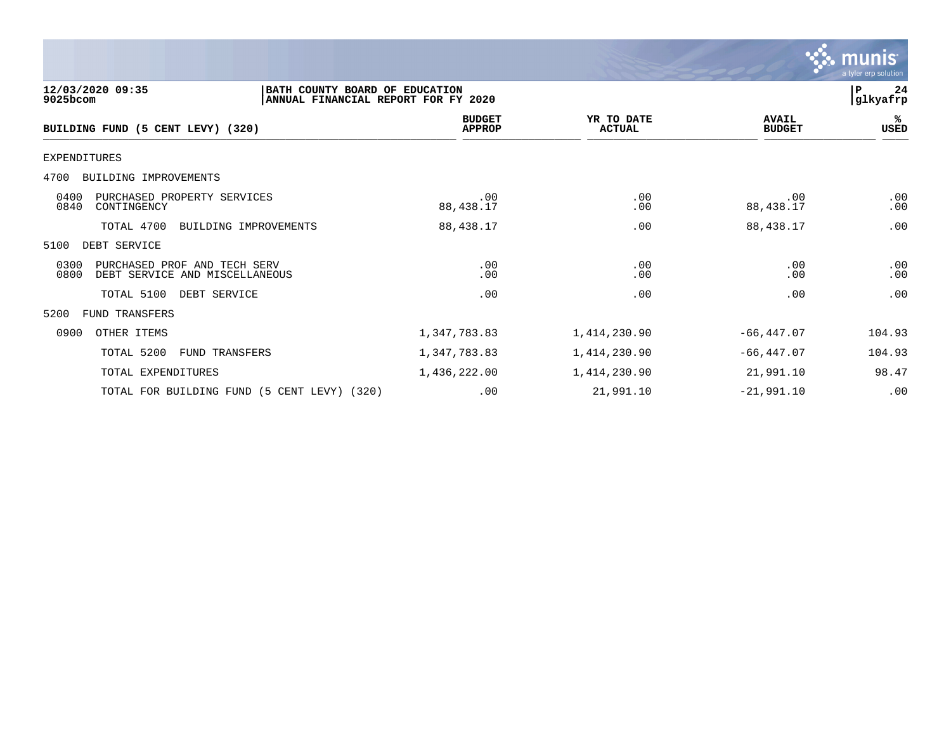|                                                                                                       |                                |                             |                               | munis<br>a tyler erp solution |
|-------------------------------------------------------------------------------------------------------|--------------------------------|-----------------------------|-------------------------------|-------------------------------|
| 12/03/2020 09:35<br>BATH COUNTY BOARD OF EDUCATION<br>9025bcom<br>ANNUAL FINANCIAL REPORT FOR FY 2020 |                                |                             |                               | 24<br>P<br> glkyafrp          |
| BUILDING FUND (5 CENT LEVY) (320)                                                                     | <b>BUDGET</b><br><b>APPROP</b> | YR TO DATE<br><b>ACTUAL</b> | <b>AVAIL</b><br><b>BUDGET</b> | ℁<br>USED                     |
| <b>EXPENDITURES</b>                                                                                   |                                |                             |                               |                               |
| BUILDING IMPROVEMENTS<br>4700                                                                         |                                |                             |                               |                               |
| 0400<br>PURCHASED PROPERTY SERVICES<br>0840<br>CONTINGENCY                                            | .00<br>88, 438.17              | .00<br>.00                  | .00<br>88,438.17              | .00<br>.00                    |
| TOTAL 4700<br>BUILDING IMPROVEMENTS                                                                   | 88, 438.17                     | .00                         | 88,438.17                     | .00                           |
| DEBT SERVICE<br>5100                                                                                  |                                |                             |                               |                               |
| 0300<br>PURCHASED PROF AND TECH SERV<br>0800<br>DEBT SERVICE AND MISCELLANEOUS                        | .00<br>.00                     | .00<br>.00                  | .00<br>.00                    | .00<br>.00                    |
| TOTAL 5100<br>DEBT SERVICE                                                                            | .00                            | .00                         | .00                           | .00                           |
| 5200<br>FUND TRANSFERS                                                                                |                                |                             |                               |                               |
| 0900<br>OTHER ITEMS                                                                                   | 1,347,783.83                   | 1,414,230.90                | $-66, 447.07$                 | 104.93                        |
| TOTAL 5200<br>FUND TRANSFERS                                                                          | 1,347,783.83                   | 1,414,230.90                | $-66, 447.07$                 | 104.93                        |
| TOTAL EXPENDITURES                                                                                    | 1,436,222.00                   | 1,414,230.90                | 21,991.10                     | 98.47                         |
| TOTAL FOR BUILDING FUND (5 CENT LEVY) (320)                                                           | .00                            | 21,991.10                   | $-21,991.10$                  | .00                           |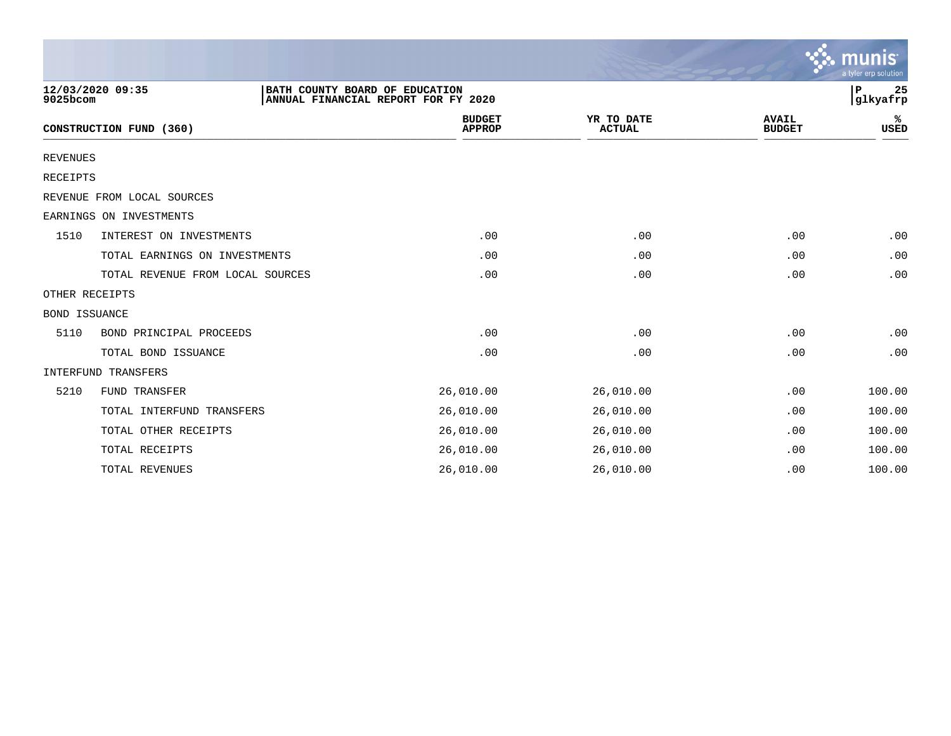|                 |                                  |                                |                                     |                             |                               | munis<br>a tyler erp solution |
|-----------------|----------------------------------|--------------------------------|-------------------------------------|-----------------------------|-------------------------------|-------------------------------|
| 9025bcom        | 12/03/2020 09:35                 | BATH COUNTY BOARD OF EDUCATION | ANNUAL FINANCIAL REPORT FOR FY 2020 |                             |                               | 25<br>ΙP<br>glkyafrp          |
|                 | CONSTRUCTION FUND (360)          |                                | <b>BUDGET</b><br><b>APPROP</b>      | YR TO DATE<br><b>ACTUAL</b> | <b>AVAIL</b><br><b>BUDGET</b> | ℁<br><b>USED</b>              |
| <b>REVENUES</b> |                                  |                                |                                     |                             |                               |                               |
| <b>RECEIPTS</b> |                                  |                                |                                     |                             |                               |                               |
|                 | REVENUE FROM LOCAL SOURCES       |                                |                                     |                             |                               |                               |
|                 | EARNINGS ON INVESTMENTS          |                                |                                     |                             |                               |                               |
| 1510            | INTEREST ON INVESTMENTS          |                                | .00                                 | .00                         | .00                           | .00                           |
|                 | TOTAL EARNINGS ON INVESTMENTS    |                                | .00                                 | .00                         | .00                           | .00                           |
|                 | TOTAL REVENUE FROM LOCAL SOURCES |                                | .00                                 | .00                         | .00                           | .00                           |
| OTHER RECEIPTS  |                                  |                                |                                     |                             |                               |                               |
| BOND ISSUANCE   |                                  |                                |                                     |                             |                               |                               |
| 5110            | BOND PRINCIPAL PROCEEDS          |                                | .00                                 | .00                         | .00                           | .00                           |
|                 | TOTAL BOND ISSUANCE              |                                | .00                                 | .00                         | .00                           | .00                           |
|                 | INTERFUND TRANSFERS              |                                |                                     |                             |                               |                               |
| 5210            | FUND TRANSFER                    |                                | 26,010.00                           | 26,010.00                   | .00                           | 100.00                        |
|                 | TOTAL INTERFUND TRANSFERS        |                                | 26,010.00                           | 26,010.00                   | .00                           | 100.00                        |
|                 | TOTAL OTHER RECEIPTS             |                                | 26,010.00                           | 26,010.00                   | .00                           | 100.00                        |
|                 | TOTAL RECEIPTS                   |                                | 26,010.00                           | 26,010.00                   | .00                           | 100.00                        |
|                 | TOTAL REVENUES                   |                                | 26,010.00                           | 26,010.00                   | .00                           | 100.00                        |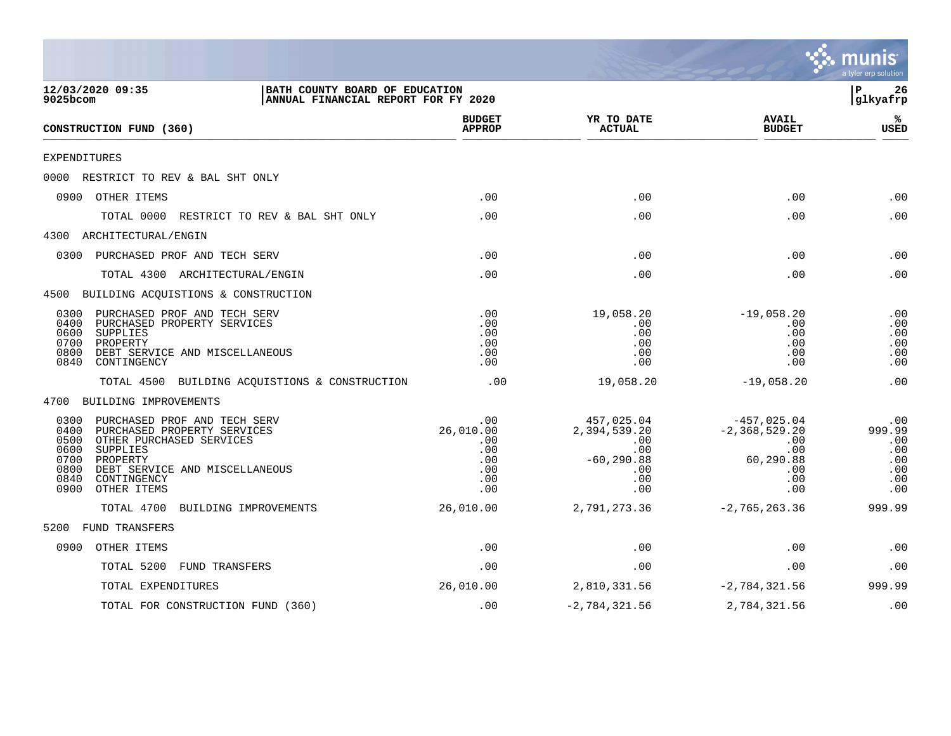|                                                                                                                                                                                                                                                 |                                                            |                                                                                     |                                                                                    | a tyler erp solution                                    |
|-------------------------------------------------------------------------------------------------------------------------------------------------------------------------------------------------------------------------------------------------|------------------------------------------------------------|-------------------------------------------------------------------------------------|------------------------------------------------------------------------------------|---------------------------------------------------------|
| 12/03/2020 09:35<br>BATH COUNTY BOARD OF EDUCATION<br>$9025$ bcom<br>ANNUAL FINANCIAL REPORT FOR FY 2020                                                                                                                                        |                                                            |                                                                                     |                                                                                    | 26<br>ΙP<br>glkyafrp                                    |
| CONSTRUCTION FUND (360)                                                                                                                                                                                                                         | <b>BUDGET</b><br><b>APPROP</b>                             | YR TO DATE<br><b>ACTUAL</b>                                                         | <b>AVAIL</b><br><b>BUDGET</b>                                                      | ℁<br><b>USED</b>                                        |
| EXPENDITURES                                                                                                                                                                                                                                    |                                                            |                                                                                     |                                                                                    |                                                         |
| 0000<br>RESTRICT TO REV & BAL SHT ONLY                                                                                                                                                                                                          |                                                            |                                                                                     |                                                                                    |                                                         |
| 0900 OTHER ITEMS                                                                                                                                                                                                                                | .00                                                        | .00                                                                                 | .00                                                                                | .00                                                     |
| TOTAL 0000<br>RESTRICT TO REV & BAL SHT ONLY                                                                                                                                                                                                    | .00                                                        | .00                                                                                 | .00                                                                                | .00                                                     |
| 4300 ARCHITECTURAL/ENGIN                                                                                                                                                                                                                        |                                                            |                                                                                     |                                                                                    |                                                         |
| 0300 PURCHASED PROF AND TECH SERV                                                                                                                                                                                                               | .00                                                        | .00                                                                                 | .00                                                                                | .00                                                     |
| TOTAL 4300 ARCHITECTURAL/ENGIN                                                                                                                                                                                                                  | .00                                                        | .00                                                                                 | .00                                                                                | .00                                                     |
| 4500 BUILDING ACQUISTIONS & CONSTRUCTION                                                                                                                                                                                                        |                                                            |                                                                                     |                                                                                    |                                                         |
| PURCHASED PROF AND TECH SERV<br>0300<br>0400<br>PURCHASED PROPERTY SERVICES<br>0600<br>SUPPLIES<br>0700<br>PROPERTY<br>0800<br>DEBT SERVICE AND MISCELLANEOUS<br>0840<br>CONTINGENCY                                                            | .00<br>.00<br>.00<br>.00<br>.00<br>.00                     | 19,058.20<br>.00<br>.00<br>.00<br>.00<br>.00                                        | $-19,058.20$<br>.00<br>.00<br>.00<br>.00<br>.00                                    | .00<br>.00<br>.00<br>.00<br>.00<br>.00                  |
| TOTAL 4500 BUILDING ACQUISTIONS & CONSTRUCTION                                                                                                                                                                                                  | .00                                                        | 19,058.20                                                                           | $-19,058.20$                                                                       | .00                                                     |
| 4700 BUILDING IMPROVEMENTS                                                                                                                                                                                                                      |                                                            |                                                                                     |                                                                                    |                                                         |
| PURCHASED PROF AND TECH SERV<br>0300<br>0400<br>PURCHASED PROPERTY SERVICES<br>0500<br>OTHER PURCHASED SERVICES<br>0600<br>SUPPLIES<br>0700<br>PROPERTY<br>0800<br>DEBT SERVICE AND MISCELLANEOUS<br>0840<br>CONTINGENCY<br>OTHER ITEMS<br>0900 | .00<br>26,010.00<br>.00<br>.00<br>.00<br>.00<br>.00<br>.00 | 457,025.04<br>2,394,539.20<br>$.00 \,$<br>.00<br>$-60, 290.88$<br>.00<br>.00<br>.00 | $-457,025.04$<br>$-2, 368, 529.20$<br>.00<br>.00<br>60,290.88<br>.00<br>.00<br>.00 | .00<br>999.99<br>.00<br>.00<br>.00<br>.00<br>.00<br>.00 |
| TOTAL 4700<br>BUILDING IMPROVEMENTS                                                                                                                                                                                                             | 26,010.00                                                  | 2,791,273.36                                                                        | $-2, 765, 263.36$                                                                  | 999.99                                                  |
| FUND TRANSFERS<br>5200                                                                                                                                                                                                                          |                                                            |                                                                                     |                                                                                    |                                                         |
| 0900<br>OTHER ITEMS                                                                                                                                                                                                                             | .00                                                        | .00                                                                                 | .00                                                                                | .00                                                     |
| FUND TRANSFERS<br>TOTAL 5200                                                                                                                                                                                                                    | .00                                                        | .00                                                                                 | .00                                                                                | .00                                                     |
| TOTAL EXPENDITURES                                                                                                                                                                                                                              | 26,010.00                                                  | 2,810,331.56                                                                        | $-2,784,321.56$                                                                    | 999.99                                                  |
| TOTAL FOR CONSTRUCTION FUND (360)                                                                                                                                                                                                               | .00                                                        | $-2,784,321.56$                                                                     | 2,784,321.56                                                                       | .00                                                     |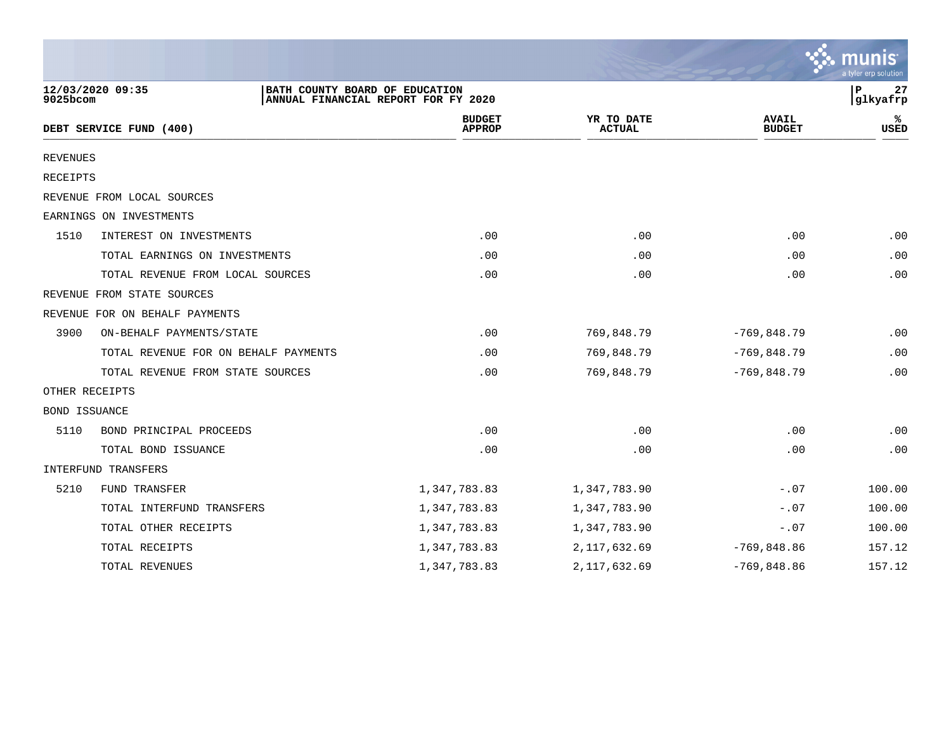|                      |                                      |                                                                       |                             |                               | a tyler erp solution |
|----------------------|--------------------------------------|-----------------------------------------------------------------------|-----------------------------|-------------------------------|----------------------|
| 9025bcom             | 12/03/2020 09:35                     | BATH COUNTY BOARD OF EDUCATION<br>ANNUAL FINANCIAL REPORT FOR FY 2020 |                             |                               | 27<br>ΙP<br>glkyafrp |
|                      | DEBT SERVICE FUND (400)              | <b>BUDGET</b><br><b>APPROP</b>                                        | YR TO DATE<br><b>ACTUAL</b> | <b>AVAIL</b><br><b>BUDGET</b> | ℁<br>USED            |
| <b>REVENUES</b>      |                                      |                                                                       |                             |                               |                      |
| <b>RECEIPTS</b>      |                                      |                                                                       |                             |                               |                      |
|                      | REVENUE FROM LOCAL SOURCES           |                                                                       |                             |                               |                      |
|                      | EARNINGS ON INVESTMENTS              |                                                                       |                             |                               |                      |
| 1510                 | INTEREST ON INVESTMENTS              | .00                                                                   | .00                         | .00                           | .00                  |
|                      | TOTAL EARNINGS ON INVESTMENTS        | .00                                                                   | .00                         | .00                           | .00                  |
|                      | TOTAL REVENUE FROM LOCAL SOURCES     | .00                                                                   | .00                         | .00                           | .00                  |
|                      | REVENUE FROM STATE SOURCES           |                                                                       |                             |                               |                      |
|                      | REVENUE FOR ON BEHALF PAYMENTS       |                                                                       |                             |                               |                      |
| 3900                 | ON-BEHALF PAYMENTS/STATE             | .00                                                                   | 769,848.79                  | $-769,848.79$                 | .00                  |
|                      | TOTAL REVENUE FOR ON BEHALF PAYMENTS | .00                                                                   | 769,848.79                  | $-769,848.79$                 | .00                  |
|                      | TOTAL REVENUE FROM STATE SOURCES     | .00                                                                   | 769,848.79                  | $-769,848.79$                 | .00                  |
|                      | OTHER RECEIPTS                       |                                                                       |                             |                               |                      |
| <b>BOND ISSUANCE</b> |                                      |                                                                       |                             |                               |                      |
| 5110                 | BOND PRINCIPAL PROCEEDS              | .00                                                                   | .00                         | .00                           | .00                  |
|                      | TOTAL BOND ISSUANCE                  | .00                                                                   | .00                         | .00                           | .00                  |
|                      | INTERFUND TRANSFERS                  |                                                                       |                             |                               |                      |
| 5210                 | FUND TRANSFER                        | 1,347,783.83                                                          | 1,347,783.90                | $-.07$                        | 100.00               |
|                      | TOTAL INTERFUND TRANSFERS            | 1,347,783.83                                                          | 1,347,783.90                | $-.07$                        | 100.00               |
|                      | TOTAL OTHER RECEIPTS                 | 1,347,783.83                                                          | 1,347,783.90                | $-.07$                        | 100.00               |
|                      | TOTAL RECEIPTS                       | 1,347,783.83                                                          | 2, 117, 632.69              | $-769,848.86$                 | 157.12               |
|                      | TOTAL REVENUES                       | 1,347,783.83                                                          | 2, 117, 632.69              | $-769,848.86$                 | 157.12               |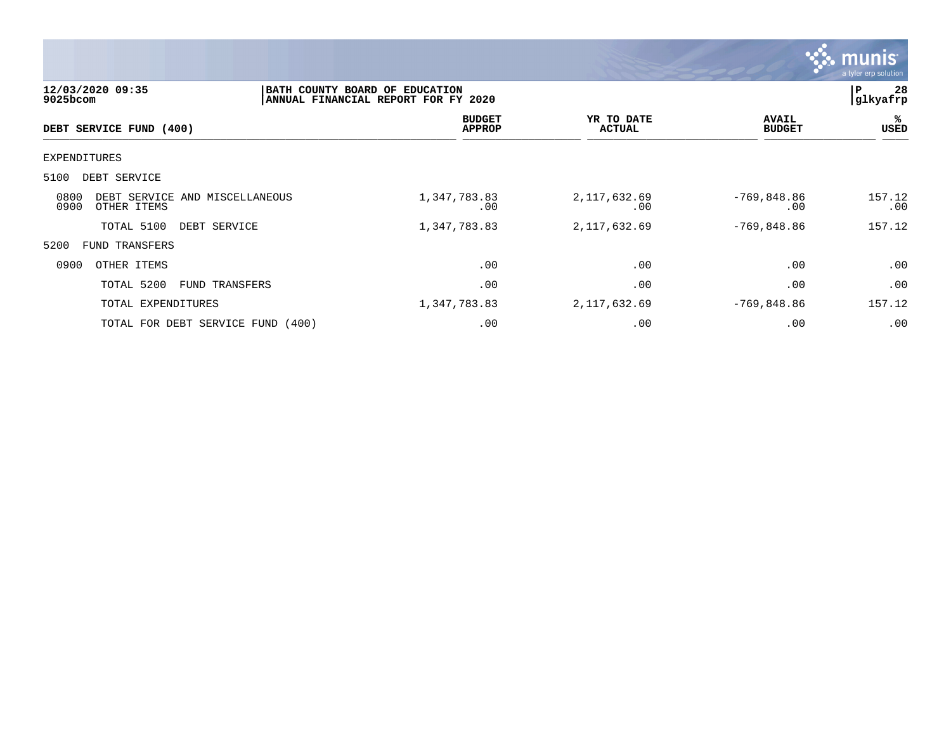

| 12/03/2020 09:35<br>9025bcom                                  | BATH COUNTY BOARD OF EDUCATION<br>ANNUAL FINANCIAL REPORT FOR FY 2020 |     |                             |                               | 28<br>ΙP<br> glkyafrp |
|---------------------------------------------------------------|-----------------------------------------------------------------------|-----|-----------------------------|-------------------------------|-----------------------|
| DEBT SERVICE FUND (400)                                       | <b>BUDGET</b><br><b>APPROP</b>                                        |     | YR TO DATE<br><b>ACTUAL</b> | <b>AVAIL</b><br><b>BUDGET</b> | %ะ<br>USED            |
| EXPENDITURES                                                  |                                                                       |     |                             |                               |                       |
| DEBT SERVICE<br>5100                                          |                                                                       |     |                             |                               |                       |
| 0800<br>DEBT SERVICE AND MISCELLANEOUS<br>0900<br>OTHER ITEMS | 1,347,783.83                                                          | .00 | 2, 117, 632.69<br>.00       | $-769,848.86$<br>.00          | 157.12<br>.00         |
| TOTAL 5100<br>DEBT SERVICE                                    | 1,347,783.83                                                          |     | 2, 117, 632.69              | $-769,848.86$                 | 157.12                |
| 5200<br><b>FUND TRANSFERS</b>                                 |                                                                       |     |                             |                               |                       |
| 0900<br>OTHER ITEMS                                           |                                                                       | .00 | .00                         | .00                           | .00                   |
| TOTAL 5200<br>FUND TRANSFERS                                  |                                                                       | .00 | .00                         | .00                           | .00                   |
| TOTAL EXPENDITURES                                            | 1,347,783.83                                                          |     | 2,117,632.69                | $-769,848.86$                 | 157.12                |
| TOTAL FOR DEBT SERVICE FUND (400)                             |                                                                       | .00 | .00                         | .00                           | .00                   |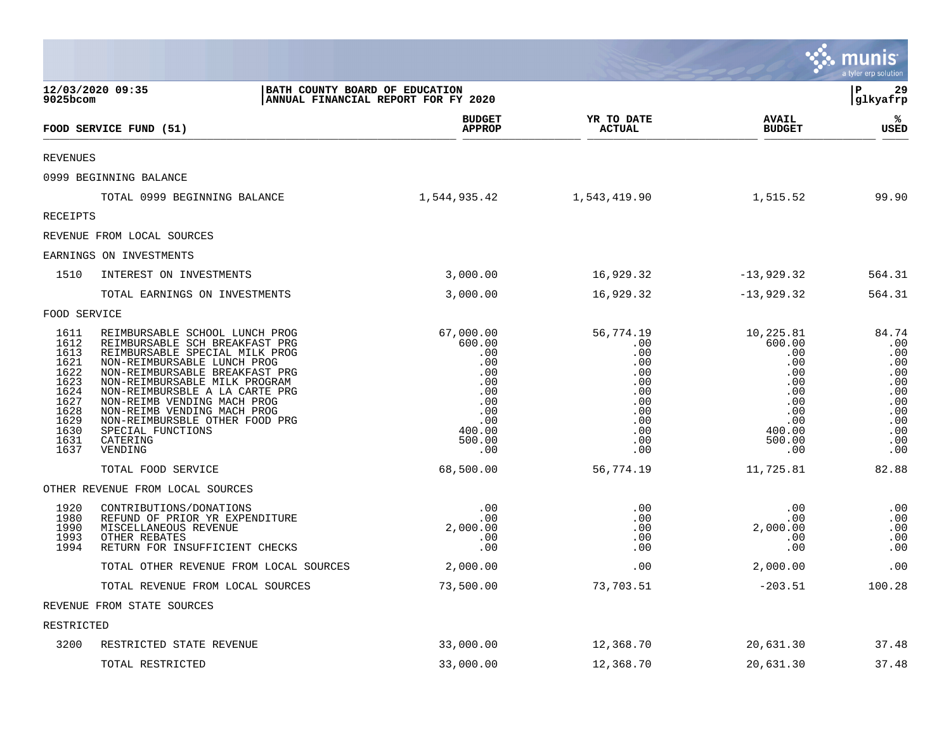|                                                                                                      |                                                                                                                                                                                                                                                                                                                                                                                    |                                                                                                        |                                                                                               |                                                                                                        | munis<br>a tyler erp solution                                                             |
|------------------------------------------------------------------------------------------------------|------------------------------------------------------------------------------------------------------------------------------------------------------------------------------------------------------------------------------------------------------------------------------------------------------------------------------------------------------------------------------------|--------------------------------------------------------------------------------------------------------|-----------------------------------------------------------------------------------------------|--------------------------------------------------------------------------------------------------------|-------------------------------------------------------------------------------------------|
| 9025bcom                                                                                             | 12/03/2020 09:35<br>BATH COUNTY BOARD OF EDUCATION                                                                                                                                                                                                                                                                                                                                 | ANNUAL FINANCIAL REPORT FOR FY 2020                                                                    |                                                                                               |                                                                                                        | 29<br>l P<br> glkyafrp                                                                    |
|                                                                                                      | FOOD SERVICE FUND (51)                                                                                                                                                                                                                                                                                                                                                             | <b>BUDGET</b><br><b>APPROP</b>                                                                         | YR TO DATE<br>ACTUAL                                                                          | <b>AVAIL</b><br><b>BUDGET</b>                                                                          | ℁<br><b>USED</b>                                                                          |
| <b>REVENUES</b>                                                                                      |                                                                                                                                                                                                                                                                                                                                                                                    |                                                                                                        |                                                                                               |                                                                                                        |                                                                                           |
|                                                                                                      | 0999 BEGINNING BALANCE                                                                                                                                                                                                                                                                                                                                                             |                                                                                                        |                                                                                               |                                                                                                        |                                                                                           |
|                                                                                                      | TOTAL 0999 BEGINNING BALANCE                                                                                                                                                                                                                                                                                                                                                       | 1,544,935.42                                                                                           | 1,543,419.90                                                                                  | 1,515.52                                                                                               | 99.90                                                                                     |
| <b>RECEIPTS</b>                                                                                      |                                                                                                                                                                                                                                                                                                                                                                                    |                                                                                                        |                                                                                               |                                                                                                        |                                                                                           |
|                                                                                                      | REVENUE FROM LOCAL SOURCES                                                                                                                                                                                                                                                                                                                                                         |                                                                                                        |                                                                                               |                                                                                                        |                                                                                           |
|                                                                                                      | EARNINGS ON INVESTMENTS                                                                                                                                                                                                                                                                                                                                                            |                                                                                                        |                                                                                               |                                                                                                        |                                                                                           |
| 1510                                                                                                 | INTEREST ON INVESTMENTS                                                                                                                                                                                                                                                                                                                                                            | 3,000.00                                                                                               | 16,929.32                                                                                     | $-13,929.32$                                                                                           | 564.31                                                                                    |
|                                                                                                      | TOTAL EARNINGS ON INVESTMENTS                                                                                                                                                                                                                                                                                                                                                      | 3,000.00                                                                                               | 16,929.32                                                                                     | $-13,929.32$                                                                                           | 564.31                                                                                    |
| FOOD SERVICE                                                                                         |                                                                                                                                                                                                                                                                                                                                                                                    |                                                                                                        |                                                                                               |                                                                                                        |                                                                                           |
| 1611<br>1612<br>1613<br>1621<br>1622<br>1623<br>1624<br>1627<br>1628<br>1629<br>1630<br>1631<br>1637 | REIMBURSABLE SCHOOL LUNCH PROG<br>REIMBURSABLE SCH BREAKFAST PRG<br>REIMBURSABLE SPECIAL MILK PROG<br>NON-REIMBURSABLE LUNCH PROG<br>NON-REIMBURSABLE BREAKFAST PRG<br>NON-REIMBURSABLE MILK PROGRAM<br>NON-REIMBURSBLE A LA CARTE PRG<br>NON-REIMB VENDING MACH PROG<br>NON-REIMB VENDING MACH PROG<br>NON-REIMBURSBLE OTHER FOOD PRG<br>SPECIAL FUNCTIONS<br>CATERING<br>VENDING | 67,000.00<br>600.00<br>.00<br>.00<br>.00<br>.00<br>.00<br>.00<br>.00<br>.00<br>400.00<br>500.00<br>.00 | 56,774.19<br>.00<br>.00<br>.00<br>.00<br>.00<br>.00<br>.00<br>.00<br>.00<br>.00<br>.00<br>.00 | 10,225.81<br>600.00<br>.00<br>.00<br>.00<br>.00<br>.00<br>.00<br>.00<br>.00<br>400.00<br>500.00<br>.00 | 84.74<br>.00<br>.00<br>.00<br>.00<br>.00<br>.00<br>.00<br>.00<br>.00<br>.00<br>.00<br>.00 |
|                                                                                                      | TOTAL FOOD SERVICE                                                                                                                                                                                                                                                                                                                                                                 | 68,500.00                                                                                              | 56,774.19                                                                                     | 11,725.81                                                                                              | 82.88                                                                                     |
| 1920<br>1980<br>1990<br>1993<br>1994                                                                 | OTHER REVENUE FROM LOCAL SOURCES<br>CONTRIBUTIONS/DONATIONS<br>REFUND OF PRIOR YR EXPENDITURE<br>MISCELLANEOUS REVENUE<br>OTHER REBATES<br>RETURN FOR INSUFFICIENT CHECKS<br>TOTAL OTHER REVENUE FROM LOCAL SOURCES                                                                                                                                                                | .00<br>.00<br>2,000.00<br>.00<br>.00<br>2,000.00                                                       | .00<br>.00<br>.00<br>.00<br>.00<br>.00                                                        | .00<br>.00<br>2,000.00<br>.00<br>.00<br>2,000.00                                                       | .00<br>.00<br>.00<br>.00<br>.00<br>.00                                                    |
|                                                                                                      |                                                                                                                                                                                                                                                                                                                                                                                    |                                                                                                        |                                                                                               |                                                                                                        |                                                                                           |
|                                                                                                      | TOTAL REVENUE FROM LOCAL SOURCES                                                                                                                                                                                                                                                                                                                                                   | 73,500.00                                                                                              | 73,703.51                                                                                     | $-203.51$                                                                                              | 100.28                                                                                    |
|                                                                                                      | REVENUE FROM STATE SOURCES                                                                                                                                                                                                                                                                                                                                                         |                                                                                                        |                                                                                               |                                                                                                        |                                                                                           |
| RESTRICTED<br>3200                                                                                   | RESTRICTED STATE REVENUE                                                                                                                                                                                                                                                                                                                                                           | 33,000.00                                                                                              | 12,368.70                                                                                     | 20,631.30                                                                                              | 37.48                                                                                     |
|                                                                                                      | TOTAL RESTRICTED                                                                                                                                                                                                                                                                                                                                                                   | 33,000.00                                                                                              | 12,368.70                                                                                     | 20,631.30                                                                                              | 37.48                                                                                     |

the contract of the contract of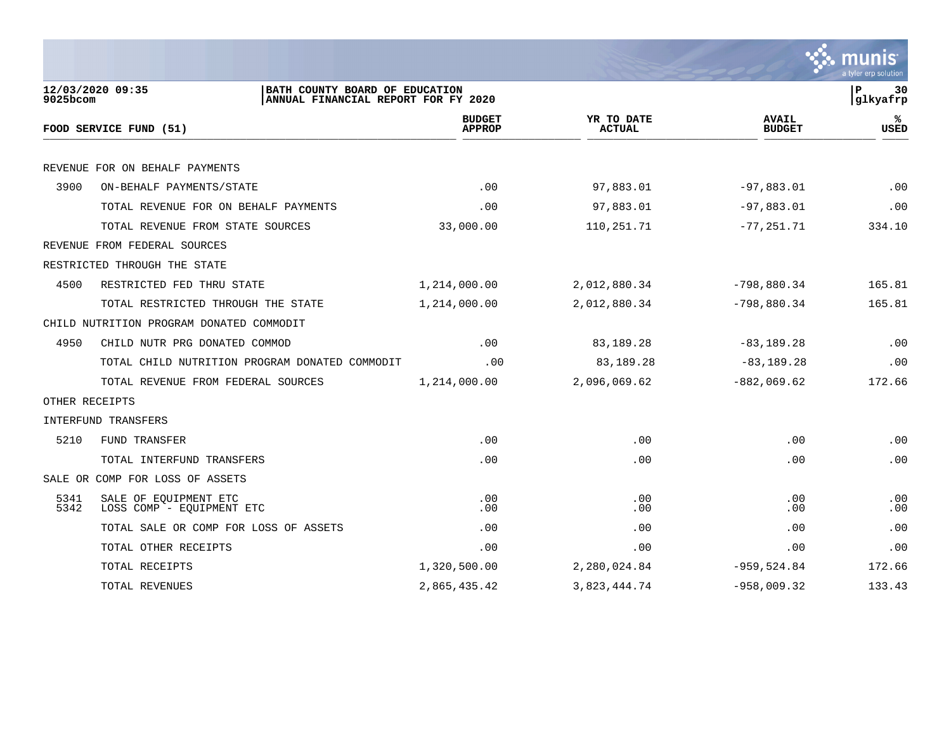

| 12/03/2020 09:35<br>BATH COUNTY BOARD OF EDUCATION<br>$9025$ bcom<br>ANNUAL FINANCIAL REPORT FOR FY 2020 |                                |                             |                               | P<br>30<br>glkyafrp |
|----------------------------------------------------------------------------------------------------------|--------------------------------|-----------------------------|-------------------------------|---------------------|
| FOOD SERVICE FUND (51)                                                                                   | <b>BUDGET</b><br><b>APPROP</b> | YR TO DATE<br><b>ACTUAL</b> | <b>AVAIL</b><br><b>BUDGET</b> | %ร<br><b>USED</b>   |
|                                                                                                          |                                |                             |                               |                     |
| REVENUE FOR ON BEHALF PAYMENTS                                                                           |                                |                             |                               |                     |
| 3900<br>ON-BEHALF PAYMENTS/STATE                                                                         | $.00 \ \rm$                    | 97,883.01                   | $-97,883.01$                  | .00                 |
| TOTAL REVENUE FOR ON BEHALF PAYMENTS                                                                     | .00                            | 97,883.01                   | $-97,883.01$                  | .00                 |
| TOTAL REVENUE FROM STATE SOURCES                                                                         | 33,000.00                      | 110,251.71                  | $-77, 251, 71$                | 334.10              |
| REVENUE FROM FEDERAL SOURCES                                                                             |                                |                             |                               |                     |
| RESTRICTED THROUGH THE STATE                                                                             |                                |                             |                               |                     |
| 4500<br>RESTRICTED FED THRU STATE                                                                        | 1,214,000.00                   | 2,012,880.34                | $-798,880.34$                 | 165.81              |
| TOTAL RESTRICTED THROUGH THE STATE                                                                       | 1,214,000.00                   | 2,012,880.34                | $-798,880.34$                 | 165.81              |
| CHILD NUTRITION PROGRAM DONATED COMMODIT                                                                 |                                |                             |                               |                     |
| 4950<br>CHILD NUTR PRG DONATED COMMOD                                                                    | .00                            | 83,189.28                   | $-83, 189.28$                 | .00                 |
| TOTAL CHILD NUTRITION PROGRAM DONATED COMMODIT                                                           | .00                            | 83,189.28                   | $-83, 189.28$                 | .00                 |
| TOTAL REVENUE FROM FEDERAL SOURCES                                                                       | 1,214,000.00                   | 2,096,069.62                | $-882,069.62$                 | 172.66              |
| OTHER RECEIPTS                                                                                           |                                |                             |                               |                     |
| INTERFUND TRANSFERS                                                                                      |                                |                             |                               |                     |
| 5210<br>FUND TRANSFER                                                                                    | .00                            | .00                         | .00                           | .00                 |
| TOTAL INTERFUND TRANSFERS                                                                                | .00                            | .00                         | .00                           | .00                 |
| SALE OR COMP FOR LOSS OF ASSETS                                                                          |                                |                             |                               |                     |
| 5341<br>SALE OF EQUIPMENT ETC<br>5342<br>LOSS COMP - EOUIPMENT ETC                                       | .00<br>.00                     | .00<br>.00                  | .00<br>.00                    | .00<br>.00          |
| TOTAL SALE OR COMP FOR LOSS OF ASSETS                                                                    | .00                            | .00                         | .00                           | .00                 |
| TOTAL OTHER RECEIPTS                                                                                     | .00                            | .00                         | .00                           | .00                 |
| TOTAL RECEIPTS                                                                                           | 1,320,500.00                   | 2,280,024.84                | $-959,524.84$                 | 172.66              |
| TOTAL REVENUES                                                                                           | 2,865,435.42                   | 3,823,444.74                | $-958,009.32$                 | 133.43              |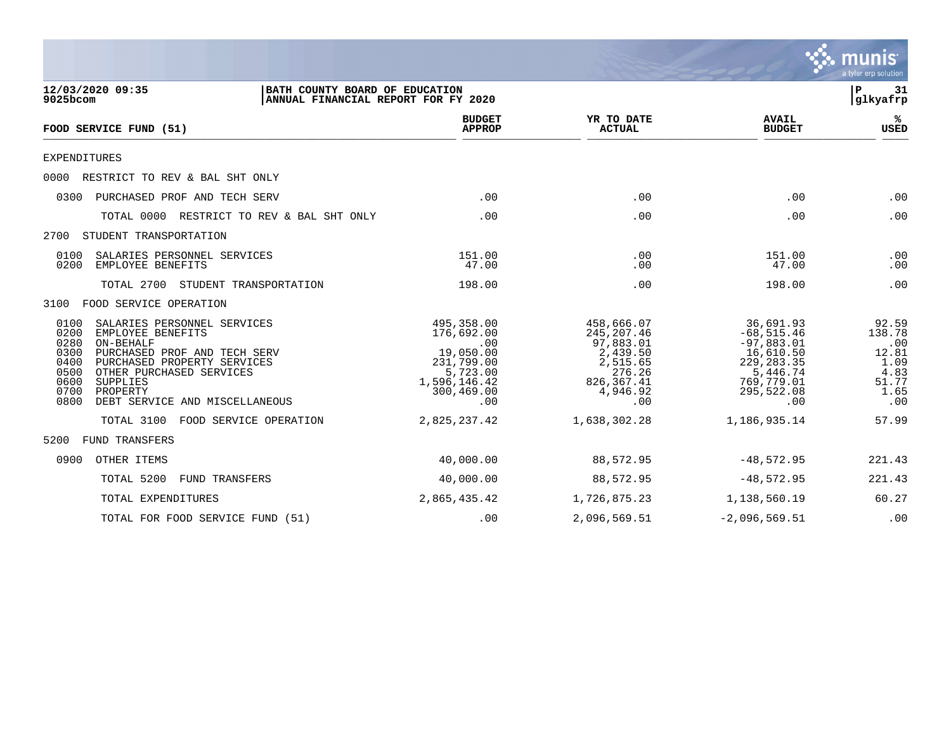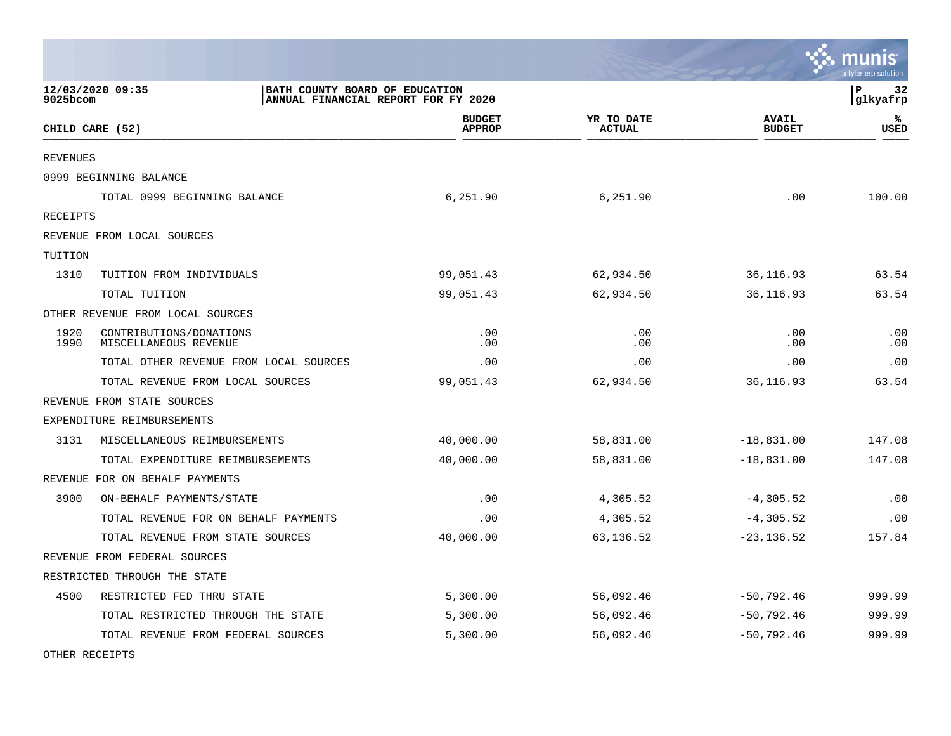|                 |                                                                                           |                                |                             |                               | nıs<br>mu<br>a tvler erp solutior |
|-----------------|-------------------------------------------------------------------------------------------|--------------------------------|-----------------------------|-------------------------------|-----------------------------------|
| 9025bcom        | 12/03/2020 09:35<br>BATH COUNTY BOARD OF EDUCATION<br>ANNUAL FINANCIAL REPORT FOR FY 2020 |                                |                             |                               | l P<br>32<br> glkyafrp            |
|                 | CHILD CARE (52)                                                                           | <b>BUDGET</b><br><b>APPROP</b> | YR TO DATE<br><b>ACTUAL</b> | <b>AVAIL</b><br><b>BUDGET</b> | ℁<br><b>USED</b>                  |
| <b>REVENUES</b> |                                                                                           |                                |                             |                               |                                   |
|                 | 0999 BEGINNING BALANCE                                                                    |                                |                             |                               |                                   |
|                 | TOTAL 0999 BEGINNING BALANCE                                                              | 6,251.90                       | 6,251.90                    | .00                           | 100.00                            |
| RECEIPTS        |                                                                                           |                                |                             |                               |                                   |
|                 | REVENUE FROM LOCAL SOURCES                                                                |                                |                             |                               |                                   |
| TUITION         |                                                                                           |                                |                             |                               |                                   |
| 1310            | TUITION FROM INDIVIDUALS                                                                  | 99,051.43                      | 62,934.50                   | 36, 116.93                    | 63.54                             |
|                 | TOTAL TUITION                                                                             | 99,051.43                      | 62,934.50                   | 36,116.93                     | 63.54                             |
|                 | OTHER REVENUE FROM LOCAL SOURCES                                                          |                                |                             |                               |                                   |
| 1920<br>1990    | CONTRIBUTIONS/DONATIONS<br>MISCELLANEOUS REVENUE                                          | .00<br>.00                     | .00<br>.00                  | .00<br>.00                    | .00<br>.00                        |
|                 | TOTAL OTHER REVENUE FROM LOCAL SOURCES                                                    | .00                            | .00                         | .00                           | .00                               |
|                 | TOTAL REVENUE FROM LOCAL SOURCES                                                          | 99,051.43                      | 62,934.50                   | 36,116.93                     | 63.54                             |
|                 | REVENUE FROM STATE SOURCES                                                                |                                |                             |                               |                                   |
|                 | EXPENDITURE REIMBURSEMENTS                                                                |                                |                             |                               |                                   |
| 3131            | MISCELLANEOUS REIMBURSEMENTS                                                              | 40,000.00                      | 58,831.00                   | $-18,831.00$                  | 147.08                            |
|                 | TOTAL EXPENDITURE REIMBURSEMENTS                                                          | 40,000.00                      | 58,831.00                   | $-18,831.00$                  | 147.08                            |
|                 | REVENUE FOR ON BEHALF PAYMENTS                                                            |                                |                             |                               |                                   |
| 3900            | ON-BEHALF PAYMENTS/STATE                                                                  | .00                            | 4,305.52                    | $-4, 305.52$                  | .00                               |
|                 | TOTAL REVENUE FOR ON BEHALF PAYMENTS                                                      | .00                            | 4,305.52                    | $-4,305.52$                   | .00                               |
|                 | TOTAL REVENUE FROM STATE SOURCES                                                          | 40,000.00                      | 63,136.52                   | $-23, 136.52$                 | 157.84                            |
|                 | REVENUE FROM FEDERAL SOURCES                                                              |                                |                             |                               |                                   |
|                 | RESTRICTED THROUGH THE STATE                                                              |                                |                             |                               |                                   |
| 4500            | RESTRICTED FED THRU STATE                                                                 | 5,300.00                       | 56,092.46                   | $-50,792.46$                  | 999.99                            |
|                 | TOTAL RESTRICTED THROUGH THE STATE                                                        | 5,300.00                       | 56,092.46                   | $-50,792.46$                  | 999.99                            |
|                 | TOTAL REVENUE FROM FEDERAL SOURCES                                                        | 5,300.00                       | 56,092.46                   | $-50, 792.46$                 | 999.99                            |

 $\bullet$ 

OTHER RECEIPTS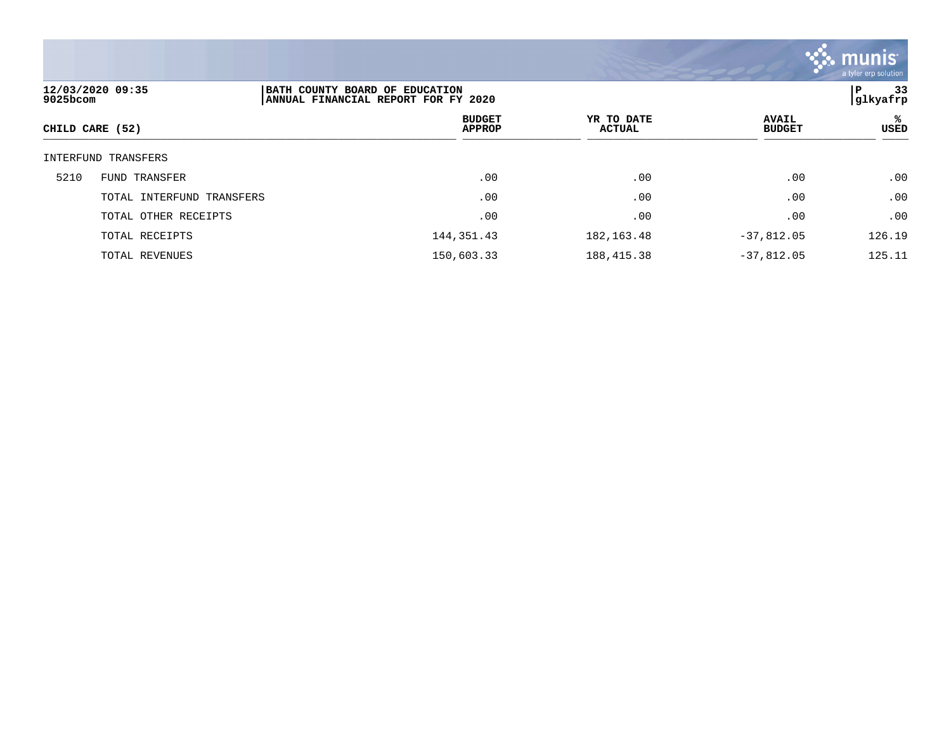

| 12/03/2020 09:35<br>9025bcom | BATH COUNTY BOARD OF EDUCATION<br>ANNUAL FINANCIAL REPORT FOR FY 2020 |                                |                             |                               | 33<br>P<br> glkyafrp |
|------------------------------|-----------------------------------------------------------------------|--------------------------------|-----------------------------|-------------------------------|----------------------|
| CHILD CARE (52)              |                                                                       | <b>BUDGET</b><br><b>APPROP</b> | YR TO DATE<br><b>ACTUAL</b> | <b>AVAIL</b><br><b>BUDGET</b> | ℁<br><b>USED</b>     |
| INTERFUND TRANSFERS          |                                                                       |                                |                             |                               |                      |
| 5210<br>FUND TRANSFER        |                                                                       | .00                            | .00                         | .00                           | .00                  |
| TOTAL INTERFUND TRANSFERS    |                                                                       | .00                            | .00                         | .00                           | .00                  |
| TOTAL OTHER RECEIPTS         |                                                                       | .00                            | .00                         | .00                           | .00                  |
| TOTAL RECEIPTS               |                                                                       | 144, 351.43                    | 182, 163. 48                | $-37,812.05$                  | 126.19               |
| TOTAL REVENUES               |                                                                       | 150,603.33                     | 188, 415.38                 | $-37,812.05$                  | 125.11               |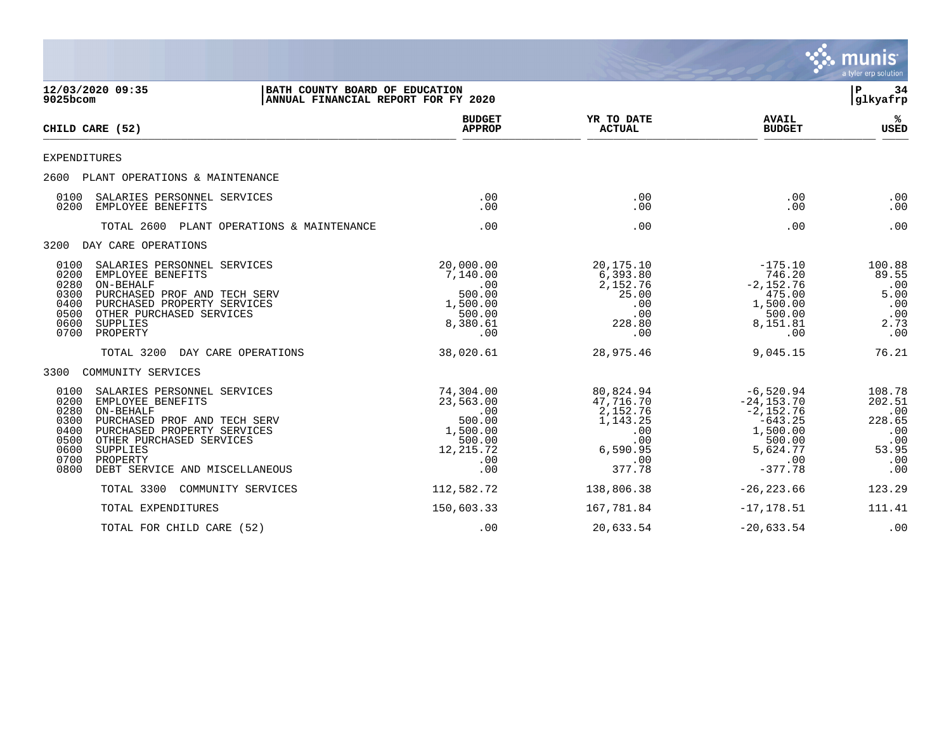|                                                                      |                                                                                                                                                                                                                    |                                                                                           |                                                                                           |                                                                                                                | munis<br>a tyler erp solution                                          |
|----------------------------------------------------------------------|--------------------------------------------------------------------------------------------------------------------------------------------------------------------------------------------------------------------|-------------------------------------------------------------------------------------------|-------------------------------------------------------------------------------------------|----------------------------------------------------------------------------------------------------------------|------------------------------------------------------------------------|
| 9025bcom                                                             | 12/03/2020 09:35<br>BATH COUNTY BOARD OF EDUCATION<br>ANNUAL FINANCIAL REPORT FOR FY 2020                                                                                                                          |                                                                                           |                                                                                           |                                                                                                                | 34<br>P<br>glkyafrp                                                    |
|                                                                      | CHILD CARE (52)                                                                                                                                                                                                    | <b>BUDGET</b><br><b>APPROP</b>                                                            | YR TO DATE<br><b>ACTUAL</b>                                                               | <b>AVAIL</b><br><b>BUDGET</b>                                                                                  | ℁<br>USED                                                              |
|                                                                      | EXPENDITURES                                                                                                                                                                                                       |                                                                                           |                                                                                           |                                                                                                                |                                                                        |
|                                                                      | 2600 PLANT OPERATIONS & MAINTENANCE                                                                                                                                                                                |                                                                                           |                                                                                           |                                                                                                                |                                                                        |
| 0100<br>0200                                                         | SALARIES PERSONNEL SERVICES<br>EMPLOYEE BENEFITS                                                                                                                                                                   | .00<br>.00                                                                                | .00<br>.00                                                                                | .00<br>.00                                                                                                     | .00<br>.00                                                             |
|                                                                      | TOTAL 2600 PLANT OPERATIONS & MAINTENANCE                                                                                                                                                                          | .00                                                                                       | .00                                                                                       | .00                                                                                                            | .00                                                                    |
|                                                                      | 3200 DAY CARE OPERATIONS                                                                                                                                                                                           |                                                                                           |                                                                                           |                                                                                                                |                                                                        |
| 0100<br>0200<br>0280<br>0300<br>0400<br>0500<br>0600<br>0700         | SALARIES PERSONNEL SERVICES<br>EMPLOYEE BENEFITS<br>ON-BEHALF<br>PURCHASED PROF AND TECH SERV<br>PURCHASED PROPERTY SERVICES<br>OTHER PURCHASED SERVICES<br>SUPPLIES<br>PROPERTY                                   | 20,000.00<br>7,140.00<br>.00<br>500.00<br>1,500.00<br>500.00<br>8,380.61<br>.00           | 20,175.10<br>6,393.80<br>2,152.76<br>25.00<br>.00<br>.00<br>228.80<br>.00                 | $-175.10$<br>746.20<br>$-2,152.76$<br>475.00<br>1,500.00<br>500.00<br>8,151.81<br>.00                          | 100.88<br>89.55<br>.00<br>5.00<br>.00<br>.00<br>2.73<br>.00            |
|                                                                      | TOTAL 3200<br>DAY CARE OPERATIONS                                                                                                                                                                                  | 38,020.61                                                                                 | 28,975.46                                                                                 | 9,045.15                                                                                                       | 76.21                                                                  |
| 3300                                                                 | COMMUNITY SERVICES                                                                                                                                                                                                 |                                                                                           |                                                                                           |                                                                                                                |                                                                        |
| 0100<br>0200<br>0280<br>0300<br>0400<br>0500<br>0600<br>0700<br>0800 | SALARIES PERSONNEL SERVICES<br>EMPLOYEE BENEFITS<br>ON-BEHALF<br>PURCHASED PROF AND TECH SERV<br>PURCHASED PROPERTY SERVICES<br>OTHER PURCHASED SERVICES<br>SUPPLIES<br>PROPERTY<br>DEBT SERVICE AND MISCELLANEOUS | 74,304.00<br>23,563.00<br>.00<br>500.00<br>1,500.00<br>500.00<br>12, 215.72<br>.00<br>.00 | 80,824.94<br>47,716.70<br>2,152.76<br>1,143.25<br>.00<br>.00<br>6,590.95<br>.00<br>377.78 | $-6,520.94$<br>$-24, 153.70$<br>$-2,152.76$<br>$-643.25$<br>1,500.00<br>500.00<br>5,624.77<br>.00<br>$-377.78$ | 108.78<br>202.51<br>.00<br>228.65<br>.00<br>.00<br>53.95<br>.00<br>.00 |
|                                                                      | TOTAL 3300<br>COMMUNITY SERVICES                                                                                                                                                                                   | 112,582.72                                                                                | 138,806.38                                                                                | $-26, 223.66$                                                                                                  | 123.29                                                                 |
|                                                                      | TOTAL EXPENDITURES                                                                                                                                                                                                 | 150,603.33                                                                                | 167,781.84                                                                                | $-17, 178.51$                                                                                                  | 111.41                                                                 |
|                                                                      | TOTAL FOR CHILD CARE (52)                                                                                                                                                                                          | .00                                                                                       | 20,633.54                                                                                 | $-20,633.54$                                                                                                   | .00                                                                    |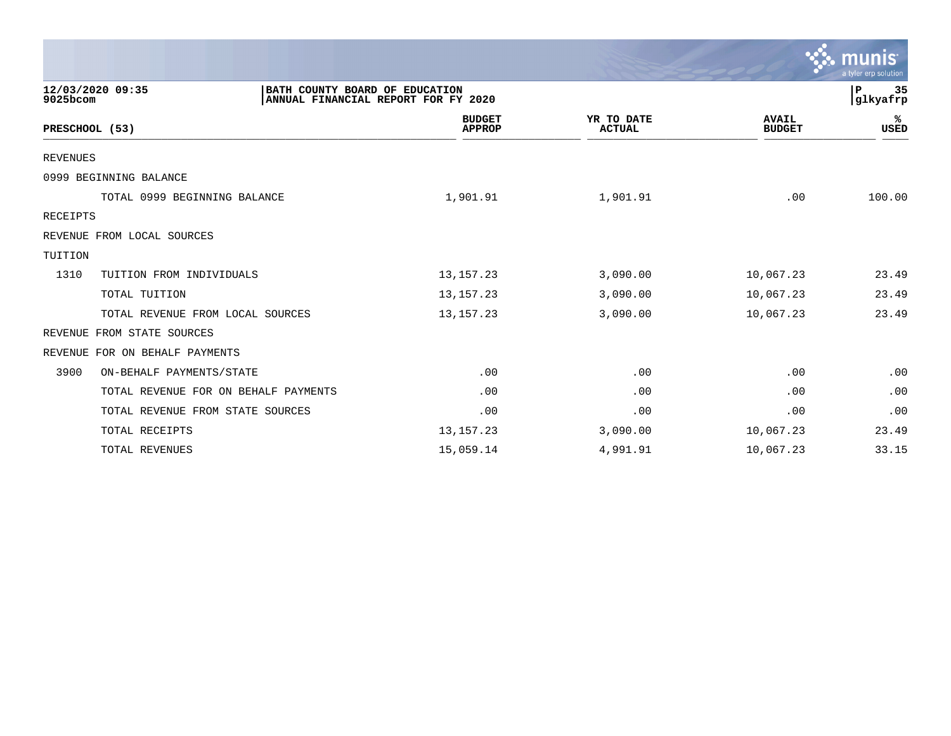|                                      |                                                                       |                                |                             |                               | <b>munis</b><br>a tyler erp solution |
|--------------------------------------|-----------------------------------------------------------------------|--------------------------------|-----------------------------|-------------------------------|--------------------------------------|
| 12/03/2020 09:35<br>9025bcom         | BATH COUNTY BOARD OF EDUCATION<br>ANNUAL FINANCIAL REPORT FOR FY 2020 |                                |                             |                               | 35<br>ΙP<br>glkyafrp                 |
| PRESCHOOL (53)                       |                                                                       | <b>BUDGET</b><br><b>APPROP</b> | YR TO DATE<br><b>ACTUAL</b> | <b>AVAIL</b><br><b>BUDGET</b> | %ะ<br>USED                           |
| <b>REVENUES</b>                      |                                                                       |                                |                             |                               |                                      |
| 0999 BEGINNING BALANCE               |                                                                       |                                |                             |                               |                                      |
| TOTAL 0999 BEGINNING BALANCE         |                                                                       | 1,901.91                       | 1,901.91                    | .00                           | 100.00                               |
| RECEIPTS                             |                                                                       |                                |                             |                               |                                      |
| REVENUE FROM LOCAL SOURCES           |                                                                       |                                |                             |                               |                                      |
| TUITION                              |                                                                       |                                |                             |                               |                                      |
| 1310<br>TUITION FROM INDIVIDUALS     |                                                                       | 13, 157. 23                    | 3,090.00                    | 10,067.23                     | 23.49                                |
| TOTAL TUITION                        |                                                                       | 13, 157. 23                    | 3,090.00                    | 10,067.23                     | 23.49                                |
| TOTAL REVENUE FROM LOCAL SOURCES     |                                                                       | 13, 157. 23                    | 3,090.00                    | 10,067.23                     | 23.49                                |
| FROM STATE SOURCES<br>REVENUE        |                                                                       |                                |                             |                               |                                      |
| FOR ON BEHALF PAYMENTS<br>REVENUE    |                                                                       |                                |                             |                               |                                      |
| 3900<br>ON-BEHALF PAYMENTS/STATE     |                                                                       | .00                            | .00                         | .00                           | .00                                  |
| TOTAL REVENUE FOR ON BEHALF PAYMENTS |                                                                       | .00                            | .00                         | .00                           | .00                                  |
| TOTAL REVENUE FROM STATE SOURCES     |                                                                       | .00                            | .00                         | .00                           | .00                                  |
| TOTAL RECEIPTS                       |                                                                       | 13, 157. 23                    | 3,090.00                    | 10,067.23                     | 23.49                                |
| TOTAL REVENUES                       |                                                                       | 15,059.14                      | 4,991.91                    | 10,067.23                     | 33.15                                |

**Tara**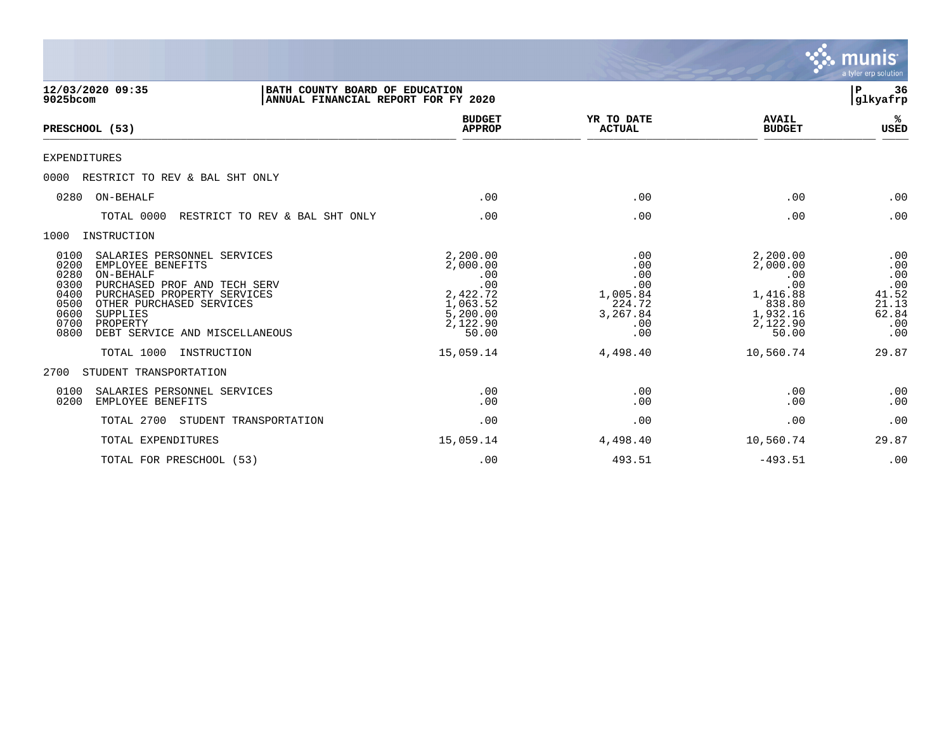|                                                                                                                                                                                                                                                                                            |                                                                                             |                                                                          |                                                                                           | munis<br>a tyler erp solution                                     |
|--------------------------------------------------------------------------------------------------------------------------------------------------------------------------------------------------------------------------------------------------------------------------------------------|---------------------------------------------------------------------------------------------|--------------------------------------------------------------------------|-------------------------------------------------------------------------------------------|-------------------------------------------------------------------|
| 12/03/2020 09:35<br>BATH COUNTY BOARD OF EDUCATION<br>9025bcom<br>ANNUAL FINANCIAL REPORT FOR FY 2020                                                                                                                                                                                      |                                                                                             |                                                                          |                                                                                           | $\mathbf P$<br>36<br> glkyafrp                                    |
| PRESCHOOL (53)                                                                                                                                                                                                                                                                             | <b>BUDGET</b><br><b>APPROP</b>                                                              | YR TO DATE<br><b>ACTUAL</b>                                              | <b>AVAIL</b><br><b>BUDGET</b>                                                             | ℁<br><b>USED</b>                                                  |
| <b>EXPENDITURES</b>                                                                                                                                                                                                                                                                        |                                                                                             |                                                                          |                                                                                           |                                                                   |
| 0000<br>RESTRICT TO REV & BAL SHT ONLY                                                                                                                                                                                                                                                     |                                                                                             |                                                                          |                                                                                           |                                                                   |
| ON-BEHALF<br>0280                                                                                                                                                                                                                                                                          | .00                                                                                         | .00                                                                      | .00                                                                                       | .00                                                               |
| TOTAL 0000<br>RESTRICT TO REV & BAL SHT ONLY                                                                                                                                                                                                                                               | .00                                                                                         | .00                                                                      | .00                                                                                       | .00                                                               |
| INSTRUCTION<br>1000                                                                                                                                                                                                                                                                        |                                                                                             |                                                                          |                                                                                           |                                                                   |
| 0100<br>SALARIES PERSONNEL SERVICES<br>0200<br>EMPLOYEE BENEFITS<br>0280<br>ON-BEHALF<br>0300<br>PURCHASED PROF AND TECH SERV<br>0400<br>PURCHASED PROPERTY SERVICES<br>0500<br>OTHER PURCHASED SERVICES<br>0600<br>SUPPLIES<br>0700<br>PROPERTY<br>0800<br>DEBT SERVICE AND MISCELLANEOUS | 2,200.00<br>2,000.00<br>.00<br>.00<br>2,422.72<br>1,063.52<br>5,200.00<br>2,122.90<br>50.00 | .00<br>.00<br>.00<br>.00<br>1,005.84<br>224.72<br>3,267.84<br>.00<br>.00 | 2,200.00<br>2,000.00<br>.00<br>.00<br>1,416.88<br>838.80<br>1,932.16<br>2,122.90<br>50.00 | .00<br>.00<br>.00<br>.00<br>41.52<br>21.13<br>62.84<br>.00<br>.00 |
| TOTAL 1000<br>INSTRUCTION                                                                                                                                                                                                                                                                  | 15,059.14                                                                                   | 4,498.40                                                                 | 10,560.74                                                                                 | 29.87                                                             |
| STUDENT TRANSPORTATION<br>2700                                                                                                                                                                                                                                                             |                                                                                             |                                                                          |                                                                                           |                                                                   |
| 0100<br>SALARIES PERSONNEL SERVICES<br>0200<br>EMPLOYEE BENEFITS                                                                                                                                                                                                                           | .00<br>.00                                                                                  | .00<br>.00                                                               | .00<br>.00                                                                                | .00<br>.00                                                        |
| TOTAL 2700<br>STUDENT TRANSPORTATION                                                                                                                                                                                                                                                       | .00                                                                                         | .00                                                                      | .00                                                                                       | .00                                                               |
| TOTAL EXPENDITURES                                                                                                                                                                                                                                                                         | 15,059.14                                                                                   | 4,498.40                                                                 | 10,560.74                                                                                 | 29.87                                                             |
| TOTAL FOR PRESCHOOL (53)                                                                                                                                                                                                                                                                   | .00                                                                                         | 493.51                                                                   | $-493.51$                                                                                 | .00                                                               |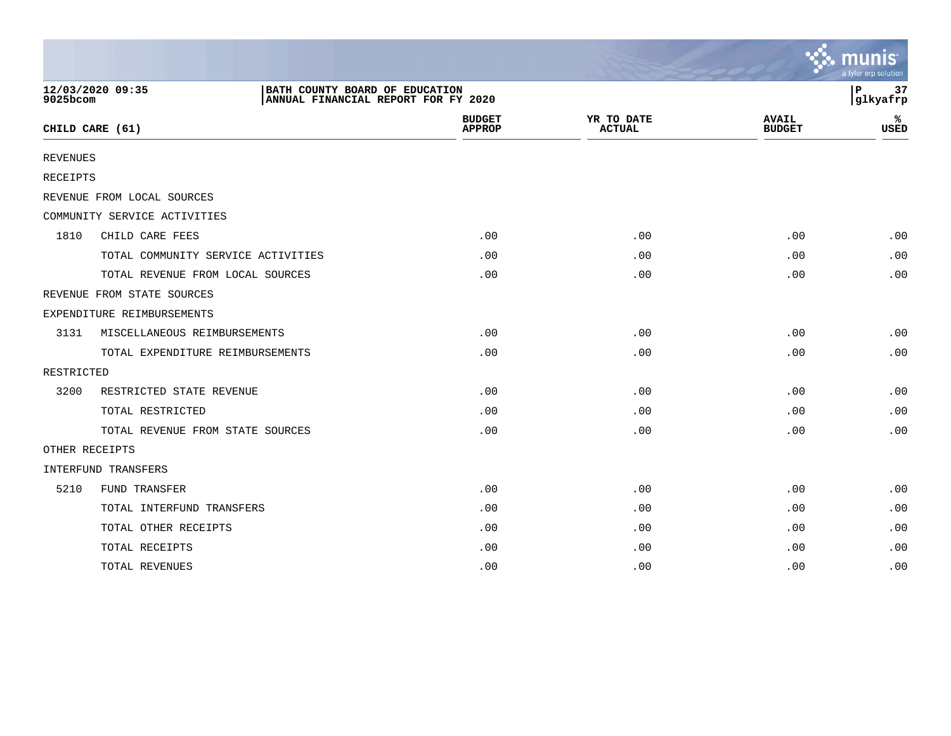|                 |                                    |                                                                       |                                |                             |                               | a tyler erp solution |
|-----------------|------------------------------------|-----------------------------------------------------------------------|--------------------------------|-----------------------------|-------------------------------|----------------------|
| 9025bcom        | 12/03/2020 09:35                   | BATH COUNTY BOARD OF EDUCATION<br>ANNUAL FINANCIAL REPORT FOR FY 2020 |                                |                             |                               | 37<br>ΙP<br>glkyafrp |
|                 | CHILD CARE (61)                    |                                                                       | <b>BUDGET</b><br><b>APPROP</b> | YR TO DATE<br><b>ACTUAL</b> | <b>AVAIL</b><br><b>BUDGET</b> | ℁<br><b>USED</b>     |
| <b>REVENUES</b> |                                    |                                                                       |                                |                             |                               |                      |
| RECEIPTS        |                                    |                                                                       |                                |                             |                               |                      |
|                 | REVENUE FROM LOCAL SOURCES         |                                                                       |                                |                             |                               |                      |
|                 | COMMUNITY SERVICE ACTIVITIES       |                                                                       |                                |                             |                               |                      |
| 1810            | CHILD CARE FEES                    |                                                                       | .00                            | .00                         | .00                           | .00                  |
|                 | TOTAL COMMUNITY SERVICE ACTIVITIES |                                                                       | .00                            | .00                         | .00                           | .00                  |
|                 | TOTAL REVENUE FROM LOCAL SOURCES   |                                                                       | .00                            | .00                         | .00                           | .00                  |
|                 | REVENUE FROM STATE SOURCES         |                                                                       |                                |                             |                               |                      |
|                 | EXPENDITURE REIMBURSEMENTS         |                                                                       |                                |                             |                               |                      |
| 3131            | MISCELLANEOUS REIMBURSEMENTS       |                                                                       | .00                            | .00                         | .00                           | .00                  |
|                 | TOTAL EXPENDITURE REIMBURSEMENTS   |                                                                       | .00                            | .00                         | .00                           | .00                  |
| RESTRICTED      |                                    |                                                                       |                                |                             |                               |                      |
| 3200            | RESTRICTED STATE REVENUE           |                                                                       | .00                            | .00                         | .00                           | .00                  |
|                 | TOTAL RESTRICTED                   |                                                                       | .00                            | .00                         | .00                           | .00                  |
|                 | TOTAL REVENUE FROM STATE SOURCES   |                                                                       | .00                            | .00                         | .00                           | .00                  |
| OTHER RECEIPTS  |                                    |                                                                       |                                |                             |                               |                      |
|                 | <b>INTERFUND TRANSFERS</b>         |                                                                       |                                |                             |                               |                      |
| 5210            | FUND TRANSFER                      |                                                                       | .00                            | .00                         | .00                           | .00                  |
|                 | TOTAL INTERFUND TRANSFERS          |                                                                       | .00                            | .00                         | .00                           | .00                  |
|                 | TOTAL OTHER RECEIPTS               |                                                                       | .00                            | .00                         | .00                           | .00                  |
|                 | TOTAL RECEIPTS                     |                                                                       | .00                            | .00                         | .00                           | .00                  |
|                 | TOTAL REVENUES                     |                                                                       | .00                            | .00                         | .00                           | .00                  |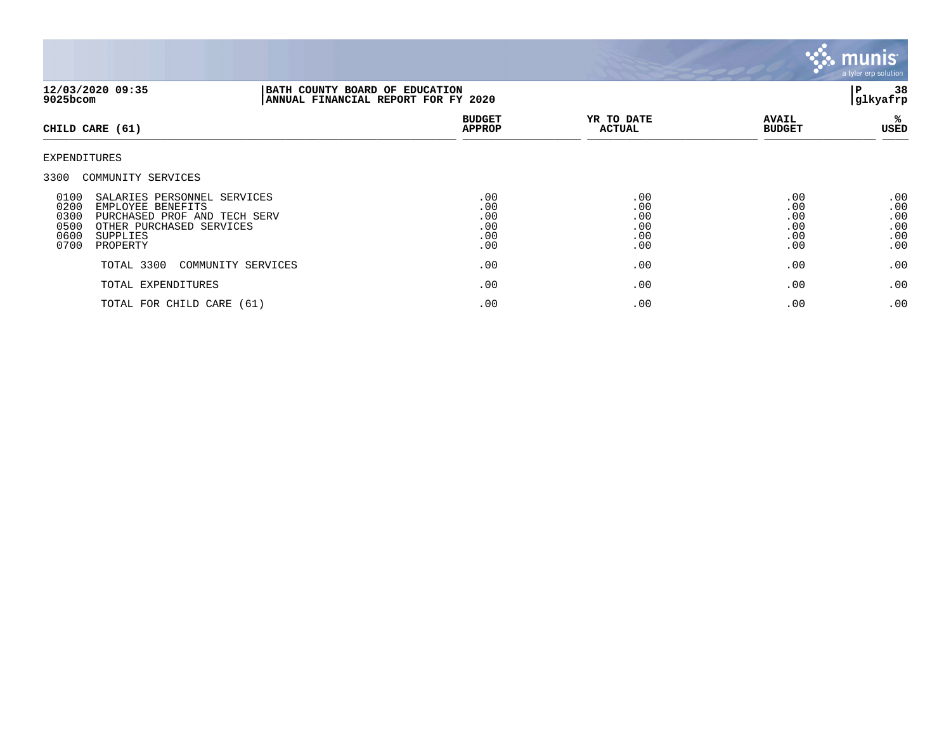

| 12/03/2020 09:35<br>9025bcom                                                                                                                                                         | BATH COUNTY BOARD OF EDUCATION<br>ANNUAL FINANCIAL REPORT FOR FY 2020 |                                        |                                        |                                        | 38<br>P<br>glkyafrp                    |  |
|--------------------------------------------------------------------------------------------------------------------------------------------------------------------------------------|-----------------------------------------------------------------------|----------------------------------------|----------------------------------------|----------------------------------------|----------------------------------------|--|
| CHILD CARE (61)                                                                                                                                                                      |                                                                       | <b>BUDGET</b><br><b>APPROP</b>         | YR TO DATE<br><b>ACTUAL</b>            | <b>AVAIL</b><br><b>BUDGET</b>          | %ะ<br>USED                             |  |
| EXPENDITURES                                                                                                                                                                         |                                                                       |                                        |                                        |                                        |                                        |  |
| 3300<br>COMMUNITY SERVICES                                                                                                                                                           |                                                                       |                                        |                                        |                                        |                                        |  |
| 0100<br>SALARIES PERSONNEL SERVICES<br>0200<br>EMPLOYEE BENEFITS<br>0300<br>PURCHASED PROF AND TECH SERV<br>0500<br>OTHER PURCHASED SERVICES<br>0600<br>SUPPLIES<br>0700<br>PROPERTY |                                                                       | .00<br>.00<br>.00<br>.00<br>.00<br>.00 | .00<br>.00<br>.00<br>.00<br>.00<br>.00 | .00<br>.00<br>.00<br>.00<br>.00<br>.00 | .00<br>.00<br>.00<br>.00<br>.00<br>.00 |  |
| TOTAL 3300                                                                                                                                                                           | COMMUNITY SERVICES                                                    | .00                                    | .00                                    | .00                                    | .00                                    |  |
| TOTAL EXPENDITURES                                                                                                                                                                   |                                                                       | .00                                    | .00                                    | .00                                    | .00                                    |  |
| TOTAL FOR CHILD CARE (61)                                                                                                                                                            |                                                                       | .00                                    | .00                                    | .00                                    | .00                                    |  |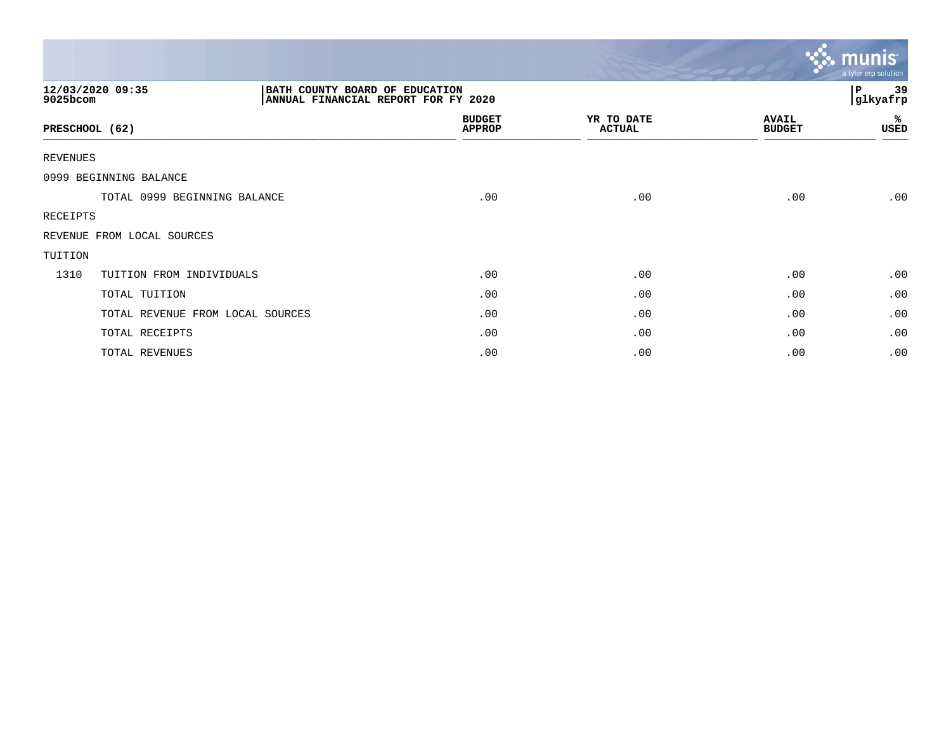|                 |                                                                                           |                                |                             |                               | $\ddotsc$ munis<br>a tyler erp solution |
|-----------------|-------------------------------------------------------------------------------------------|--------------------------------|-----------------------------|-------------------------------|-----------------------------------------|
| 9025bcom        | 12/03/2020 09:35<br>BATH COUNTY BOARD OF EDUCATION<br>ANNUAL FINANCIAL REPORT FOR FY 2020 |                                |                             |                               | 39<br>P<br>glkyafrp                     |
| PRESCHOOL (62)  |                                                                                           | <b>BUDGET</b><br><b>APPROP</b> | YR TO DATE<br><b>ACTUAL</b> | <b>AVAIL</b><br><b>BUDGET</b> | %<br>USED                               |
| <b>REVENUES</b> |                                                                                           |                                |                             |                               |                                         |
|                 | 0999 BEGINNING BALANCE                                                                    |                                |                             |                               |                                         |
|                 | TOTAL 0999 BEGINNING BALANCE                                                              | .00                            | .00                         | .00                           | .00                                     |
| RECEIPTS        |                                                                                           |                                |                             |                               |                                         |
|                 | REVENUE FROM LOCAL SOURCES                                                                |                                |                             |                               |                                         |
| TUITION         |                                                                                           |                                |                             |                               |                                         |
| 1310            | TUITION FROM INDIVIDUALS                                                                  | .00                            | .00                         | .00                           | .00                                     |
|                 | TOTAL TUITION                                                                             | .00                            | .00                         | .00                           | .00                                     |
|                 | TOTAL REVENUE FROM LOCAL SOURCES                                                          | .00                            | .00                         | .00                           | .00                                     |
|                 | TOTAL RECEIPTS                                                                            | .00                            | .00                         | .00                           | .00                                     |
|                 | TOTAL REVENUES                                                                            | .00                            | .00                         | .00                           | .00                                     |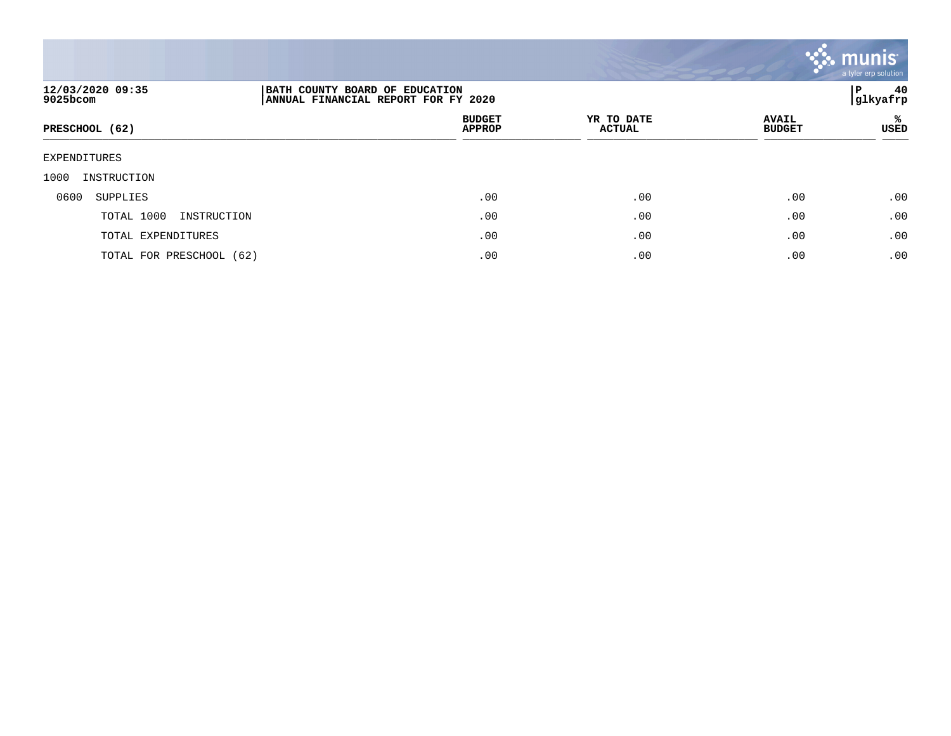

| 12/03/2020 09:35<br>9025bcom | BATH COUNTY BOARD OF EDUCATION<br>ANNUAL FINANCIAL REPORT FOR FY 2020 |                             |                               | 40<br>P<br> glkyafrp |
|------------------------------|-----------------------------------------------------------------------|-----------------------------|-------------------------------|----------------------|
| PRESCHOOL (62)               | <b>BUDGET</b><br><b>APPROP</b>                                        | YR TO DATE<br><b>ACTUAL</b> | <b>AVAIL</b><br><b>BUDGET</b> | ℁<br>USED            |
| EXPENDITURES                 |                                                                       |                             |                               |                      |
| 1000<br>INSTRUCTION          |                                                                       |                             |                               |                      |
| 0600<br>SUPPLIES             | .00                                                                   | .00                         | .00                           | .00                  |
| TOTAL 1000<br>INSTRUCTION    | .00                                                                   | .00                         | .00                           | .00                  |
| TOTAL EXPENDITURES           | .00                                                                   | .00                         | .00                           | .00                  |
| TOTAL FOR PRESCHOOL (62)     | .00                                                                   | .00                         | .00                           | .00                  |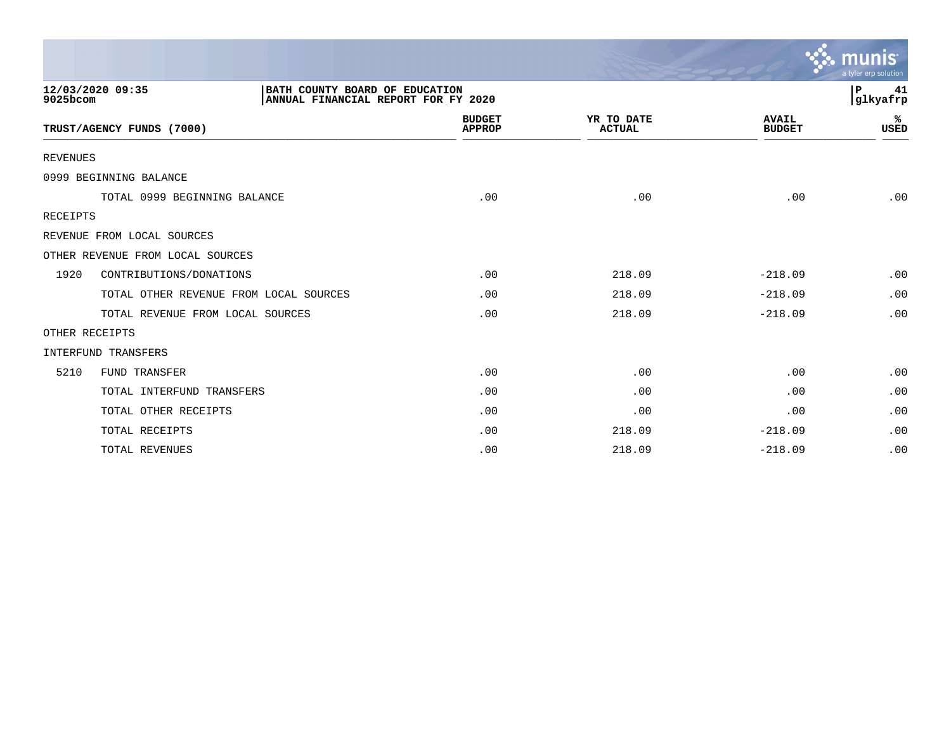|                 |                                                                                           |                                |                             |                               | a tyler erp solution |
|-----------------|-------------------------------------------------------------------------------------------|--------------------------------|-----------------------------|-------------------------------|----------------------|
| 9025bcom        | 12/03/2020 09:35<br>BATH COUNTY BOARD OF EDUCATION<br>ANNUAL FINANCIAL REPORT FOR FY 2020 |                                |                             |                               | P<br>41<br> glkyafrp |
|                 | TRUST/AGENCY FUNDS (7000)                                                                 | <b>BUDGET</b><br><b>APPROP</b> | YR TO DATE<br><b>ACTUAL</b> | <b>AVAIL</b><br><b>BUDGET</b> | %ะ<br><b>USED</b>    |
| <b>REVENUES</b> |                                                                                           |                                |                             |                               |                      |
|                 | 0999 BEGINNING BALANCE                                                                    |                                |                             |                               |                      |
|                 | TOTAL 0999 BEGINNING BALANCE                                                              | .00                            | .00                         | .00                           | .00                  |
| <b>RECEIPTS</b> |                                                                                           |                                |                             |                               |                      |
|                 | REVENUE FROM LOCAL SOURCES                                                                |                                |                             |                               |                      |
|                 | OTHER REVENUE FROM LOCAL SOURCES                                                          |                                |                             |                               |                      |
| 1920            | CONTRIBUTIONS/DONATIONS                                                                   | .00                            | 218.09                      | $-218.09$                     | .00                  |
|                 | TOTAL OTHER REVENUE FROM LOCAL SOURCES                                                    | .00                            | 218.09                      | $-218.09$                     | .00                  |
|                 | TOTAL REVENUE FROM LOCAL SOURCES                                                          | .00                            | 218.09                      | $-218.09$                     | .00                  |
|                 | OTHER RECEIPTS                                                                            |                                |                             |                               |                      |
|                 | INTERFUND TRANSFERS                                                                       |                                |                             |                               |                      |
| 5210            | FUND TRANSFER                                                                             | .00                            | .00                         | .00                           | .00                  |
|                 | TOTAL INTERFUND TRANSFERS                                                                 | .00                            | .00                         | .00                           | .00                  |
|                 | TOTAL OTHER RECEIPTS                                                                      | .00                            | .00                         | .00                           | .00                  |
|                 | TOTAL RECEIPTS                                                                            | .00                            | 218.09                      | $-218.09$                     | .00                  |
|                 | <b>TOTAL REVENUES</b>                                                                     | .00                            | 218.09                      | $-218.09$                     | .00                  |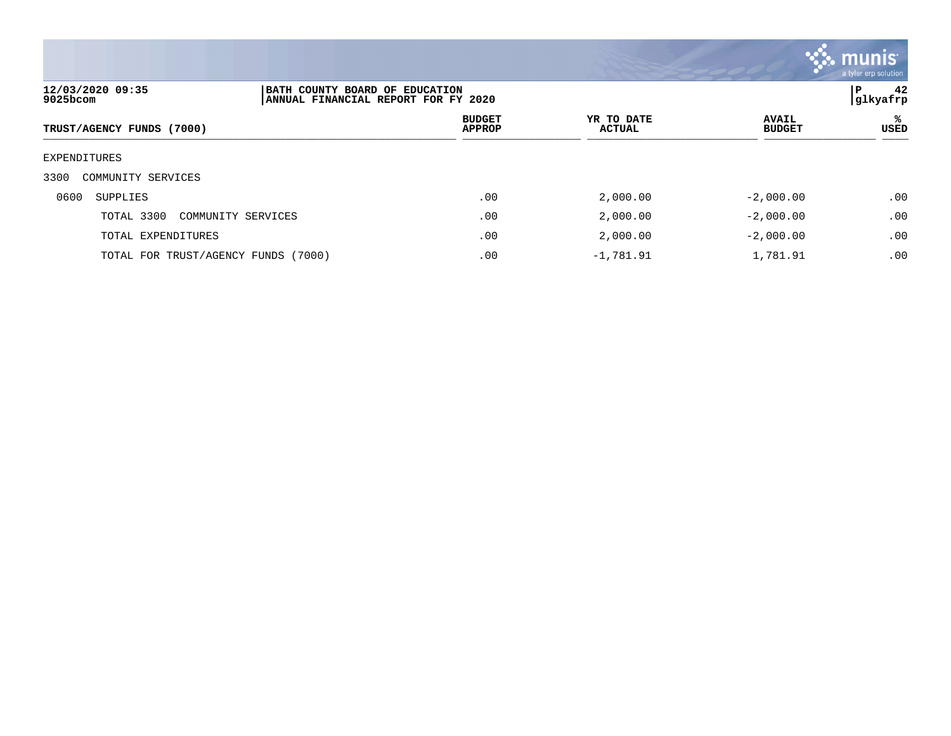

| 9025bcom     | 12/03/2020 09:35                       | BATH COUNTY BOARD OF EDUCATION<br>ANNUAL FINANCIAL REPORT FOR FY 2020 |                             |                               |           |
|--------------|----------------------------------------|-----------------------------------------------------------------------|-----------------------------|-------------------------------|-----------|
|              | TRUST/AGENCY FUNDS (7000)              | <b>BUDGET</b><br><b>APPROP</b>                                        | YR TO DATE<br><b>ACTUAL</b> | <b>AVAIL</b><br><b>BUDGET</b> | ℁<br>USED |
| EXPENDITURES |                                        |                                                                       |                             |                               |           |
| 3300         | COMMUNITY SERVICES                     |                                                                       |                             |                               |           |
| 0600         | SUPPLIES                               | .00                                                                   | 2,000.00                    | $-2,000.00$                   | .00       |
|              | TOTAL 3300<br>COMMUNITY SERVICES       | .00                                                                   | 2,000.00                    | $-2,000.00$                   | .00       |
|              | TOTAL EXPENDITURES                     | .00                                                                   | 2,000.00                    | $-2,000.00$                   | .00       |
|              | TOTAL FOR TRUST/AGENCY FUNDS<br>(7000) | .00                                                                   | $-1,781.91$                 | 1,781.91                      | .00       |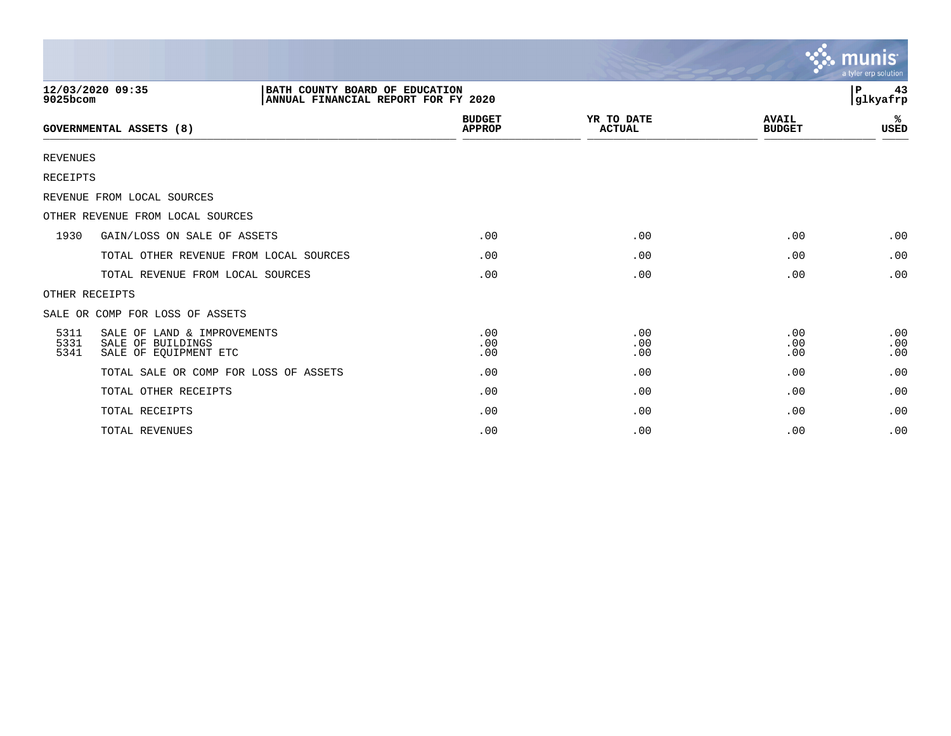|                      |                                                                           |                                                                       |                   |                             |                               | <b>munis</b><br>a tyler erp solution |
|----------------------|---------------------------------------------------------------------------|-----------------------------------------------------------------------|-------------------|-----------------------------|-------------------------------|--------------------------------------|
| 9025bcom             | 12/03/2020 09:35                                                          | BATH COUNTY BOARD OF EDUCATION<br>ANNUAL FINANCIAL REPORT FOR FY 2020 |                   |                             |                               | 43<br>l P<br>glkyafrp                |
|                      | GOVERNMENTAL ASSETS (8)                                                   | <b>BUDGET</b><br><b>APPROP</b>                                        |                   | YR TO DATE<br><b>ACTUAL</b> | <b>AVAIL</b><br><b>BUDGET</b> | ℁<br>USED                            |
| <b>REVENUES</b>      |                                                                           |                                                                       |                   |                             |                               |                                      |
| <b>RECEIPTS</b>      |                                                                           |                                                                       |                   |                             |                               |                                      |
|                      | REVENUE FROM LOCAL SOURCES                                                |                                                                       |                   |                             |                               |                                      |
|                      | OTHER REVENUE FROM LOCAL SOURCES                                          |                                                                       |                   |                             |                               |                                      |
| 1930                 | GAIN/LOSS ON SALE OF ASSETS                                               |                                                                       | .00               | .00                         | .00                           | .00                                  |
|                      | TOTAL OTHER REVENUE FROM LOCAL SOURCES                                    |                                                                       | .00               | .00                         | .00                           | .00                                  |
|                      | TOTAL REVENUE FROM LOCAL SOURCES                                          |                                                                       | .00               | .00                         | .00                           | .00                                  |
|                      | OTHER RECEIPTS                                                            |                                                                       |                   |                             |                               |                                      |
|                      | SALE OR COMP FOR LOSS OF ASSETS                                           |                                                                       |                   |                             |                               |                                      |
| 5311<br>5331<br>5341 | SALE OF LAND & IMPROVEMENTS<br>SALE OF BUILDINGS<br>SALE OF EQUIPMENT ETC |                                                                       | .00<br>.00<br>.00 | .00<br>.00<br>.00           | .00<br>.00<br>.00             | .00<br>.00<br>.00                    |
|                      | TOTAL SALE OR COMP FOR LOSS OF ASSETS                                     |                                                                       | .00               | .00                         | .00                           | .00                                  |
|                      | TOTAL OTHER RECEIPTS                                                      |                                                                       | .00               | .00                         | .00                           | .00                                  |
|                      | TOTAL RECEIPTS                                                            |                                                                       | .00               | .00                         | .00                           | .00                                  |
|                      | TOTAL REVENUES                                                            |                                                                       | .00               | .00                         | .00                           | .00                                  |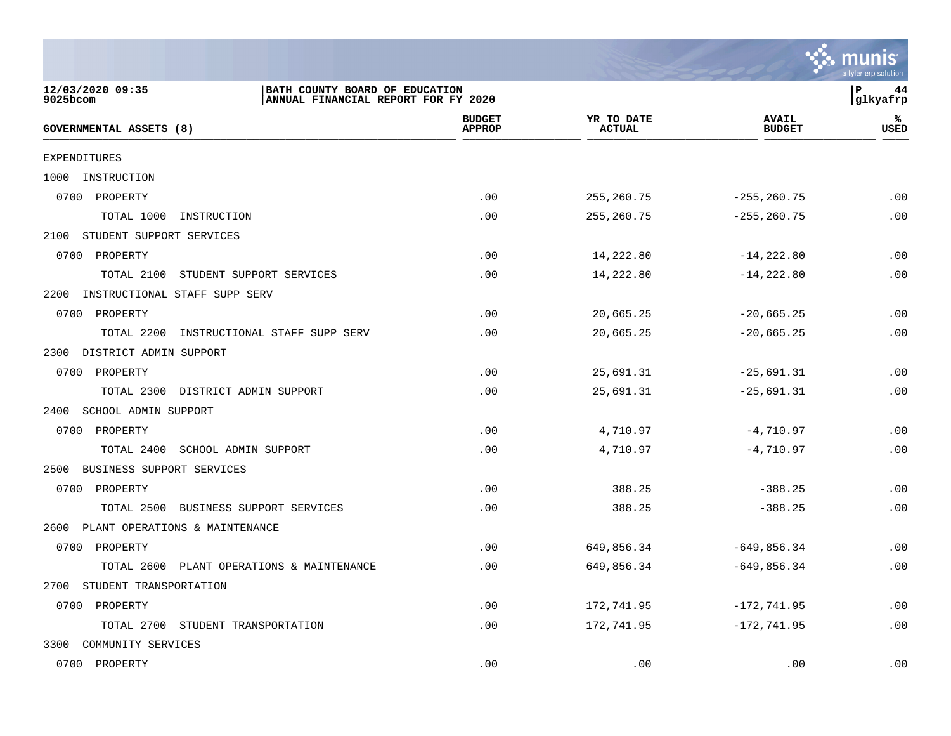

| <b>EXPENDITURES</b>                          |     |             |                |     |
|----------------------------------------------|-----|-------------|----------------|-----|
| 1000<br>INSTRUCTION                          |     |             |                |     |
| 0700 PROPERTY                                | .00 | 255, 260.75 | $-255, 260.75$ | .00 |
| TOTAL 1000<br>INSTRUCTION                    | .00 | 255, 260.75 | $-255, 260.75$ | .00 |
| 2100 STUDENT SUPPORT SERVICES                |     |             |                |     |
| 0700<br>PROPERTY                             | .00 | 14,222.80   | $-14, 222.80$  | .00 |
| TOTAL 2100<br>STUDENT SUPPORT SERVICES       | .00 | 14,222.80   | $-14,222.80$   | .00 |
| 2200<br>INSTRUCTIONAL STAFF SUPP SERV        |     |             |                |     |
| 0700 PROPERTY                                | .00 | 20,665.25   | $-20,665.25$   | .00 |
| TOTAL 2200<br>INSTRUCTIONAL STAFF SUPP SERV  | .00 | 20,665.25   | $-20,665.25$   | .00 |
| DISTRICT ADMIN SUPPORT<br>2300               |     |             |                |     |
| 0700<br>PROPERTY                             | .00 | 25,691.31   | $-25,691.31$   | .00 |
| TOTAL 2300 DISTRICT ADMIN SUPPORT            | .00 | 25,691.31   | $-25,691.31$   | .00 |
| 2400 SCHOOL ADMIN SUPPORT                    |     |             |                |     |
| PROPERTY<br>0700                             | .00 | 4,710.97    | $-4,710.97$    | .00 |
| TOTAL 2400<br>SCHOOL ADMIN SUPPORT           | .00 | 4,710.97    | $-4,710.97$    | .00 |
| BUSINESS SUPPORT SERVICES<br>2500            |     |             |                |     |
| 0700<br>PROPERTY                             | .00 | 388.25      | $-388.25$      | .00 |
| TOTAL 2500 BUSINESS SUPPORT SERVICES         | .00 | 388.25      | $-388.25$      | .00 |
| 2600 PLANT OPERATIONS & MAINTENANCE          |     |             |                |     |
| 0700<br>PROPERTY                             | .00 | 649,856.34  | $-649, 856.34$ | .00 |
| TOTAL 2600<br>PLANT OPERATIONS & MAINTENANCE | .00 | 649,856.34  | $-649,856.34$  | .00 |
| 2700<br>STUDENT TRANSPORTATION               |     |             |                |     |
| 0700 PROPERTY                                | .00 | 172,741.95  | $-172, 741.95$ | .00 |
| TOTAL 2700 STUDENT TRANSPORTATION            | .00 | 172,741.95  | $-172, 741.95$ | .00 |
| COMMUNITY SERVICES<br>3300                   |     |             |                |     |
| 0700 PROPERTY                                | .00 | .00         | .00            | .00 |

 $GOVERNMENTIAL ASSETS (8)$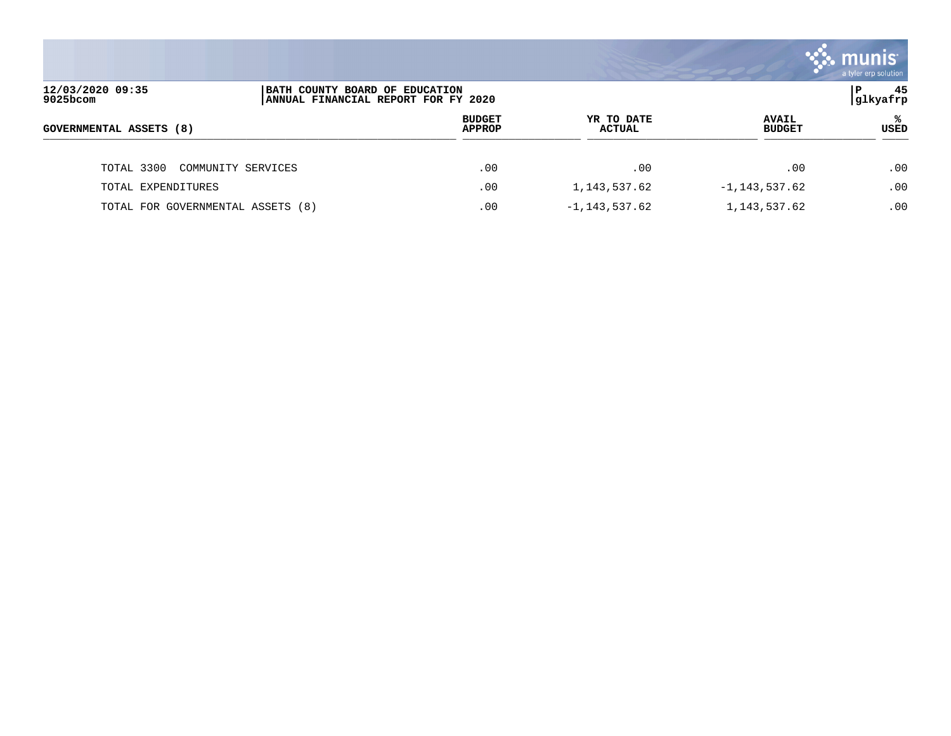|                                                                                                            |                    |                                |                             |                               | a tyler erp solution |
|------------------------------------------------------------------------------------------------------------|--------------------|--------------------------------|-----------------------------|-------------------------------|----------------------|
| 12/03/2020 09:35<br>BATH COUNTY BOARD OF EDUCATION<br>P<br>9025bcom<br>ANNUAL FINANCIAL REPORT FOR FY 2020 |                    |                                |                             |                               | 45<br> glkyafrp      |
| GOVERNMENTAL ASSETS (8)                                                                                    |                    | <b>BUDGET</b><br><b>APPROP</b> | YR TO DATE<br><b>ACTUAL</b> | <b>AVAIL</b><br><b>BUDGET</b> | ℁<br>USED            |
| TOTAL 3300                                                                                                 | COMMUNITY SERVICES | .00                            | .00                         | .00                           | .00                  |
| TOTAL EXPENDITURES                                                                                         |                    | .00                            | 1,143,537.62                | $-1, 143, 537.62$             | .00.                 |
| TOTAL FOR GOVERNMENTAL ASSETS (8)                                                                          |                    | .00                            | $-1, 143, 537.62$           | 1, 143, 537.62                | .00                  |

and the contract of the contract of the contract of the contract of the contract of the contract of the contract of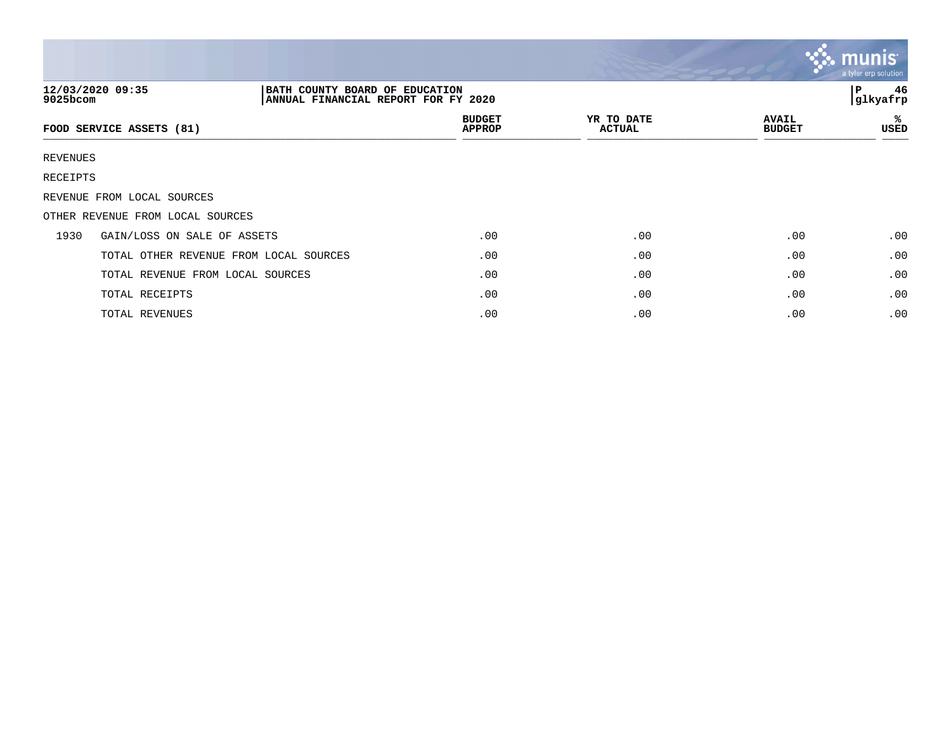|          |                                                                                           |                                |                             |                               | $\mathbf{C}$ munis<br>a tyler erp solution |
|----------|-------------------------------------------------------------------------------------------|--------------------------------|-----------------------------|-------------------------------|--------------------------------------------|
| 9025bcom | 12/03/2020 09:35<br>BATH COUNTY BOARD OF EDUCATION<br>ANNUAL FINANCIAL REPORT FOR FY 2020 |                                |                             |                               | 46<br>l P<br> glkyafrp                     |
|          | FOOD SERVICE ASSETS (81)                                                                  | <b>BUDGET</b><br><b>APPROP</b> | YR TO DATE<br><b>ACTUAL</b> | <b>AVAIL</b><br><b>BUDGET</b> | ℁<br>USED                                  |
| REVENUES |                                                                                           |                                |                             |                               |                                            |
| RECEIPTS |                                                                                           |                                |                             |                               |                                            |
|          | REVENUE FROM LOCAL SOURCES                                                                |                                |                             |                               |                                            |
|          | OTHER REVENUE FROM LOCAL SOURCES                                                          |                                |                             |                               |                                            |
| 1930     | GAIN/LOSS ON SALE OF ASSETS                                                               | .00                            | .00                         | .00                           | .00                                        |
|          | TOTAL OTHER REVENUE FROM LOCAL SOURCES                                                    | .00                            | .00                         | .00                           | .00                                        |
|          | TOTAL REVENUE FROM LOCAL SOURCES                                                          | .00                            | .00                         | .00                           | .00                                        |
|          | TOTAL RECEIPTS                                                                            | .00                            | .00                         | .00                           | .00                                        |
|          | TOTAL REVENUES                                                                            | .00                            | .00                         | .00                           | .00                                        |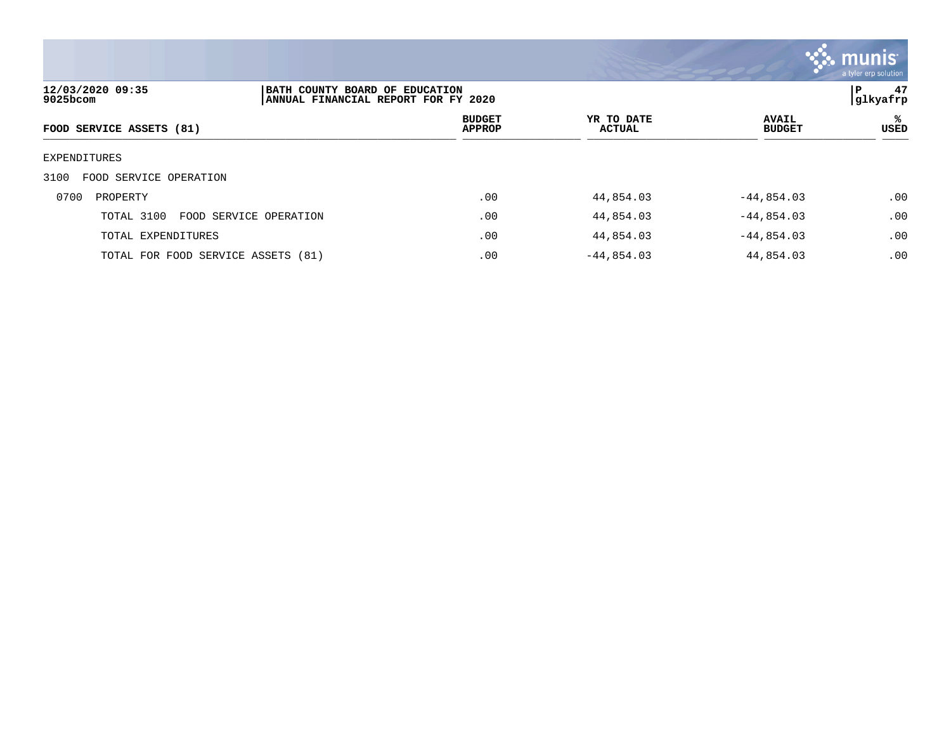

| 12/03/2020 09:35<br>9025bcom         | BATH COUNTY BOARD OF EDUCATION<br>ANNUAL FINANCIAL REPORT FOR FY 2020 |                                |                             |                               | 47<br>P<br> glkyafrp |  |
|--------------------------------------|-----------------------------------------------------------------------|--------------------------------|-----------------------------|-------------------------------|----------------------|--|
| FOOD SERVICE ASSETS (81)             |                                                                       | <b>BUDGET</b><br><b>APPROP</b> | YR TO DATE<br><b>ACTUAL</b> | <b>AVAIL</b><br><b>BUDGET</b> | ℁<br>USED            |  |
| EXPENDITURES                         |                                                                       |                                |                             |                               |                      |  |
| FOOD SERVICE OPERATION<br>3100       |                                                                       |                                |                             |                               |                      |  |
| 0700<br>PROPERTY                     |                                                                       | .00                            | 44,854.03                   | $-44,854.03$                  | .00                  |  |
| TOTAL 3100<br>FOOD SERVICE OPERATION |                                                                       | .00                            | 44,854.03                   | $-44,854.03$                  | .00                  |  |
| TOTAL EXPENDITURES                   |                                                                       | .00                            | 44,854.03                   | $-44,854.03$                  | .00                  |  |
| TOTAL FOR FOOD SERVICE ASSETS (81)   |                                                                       | .00                            | $-44,854.03$                | 44,854.03                     | .00                  |  |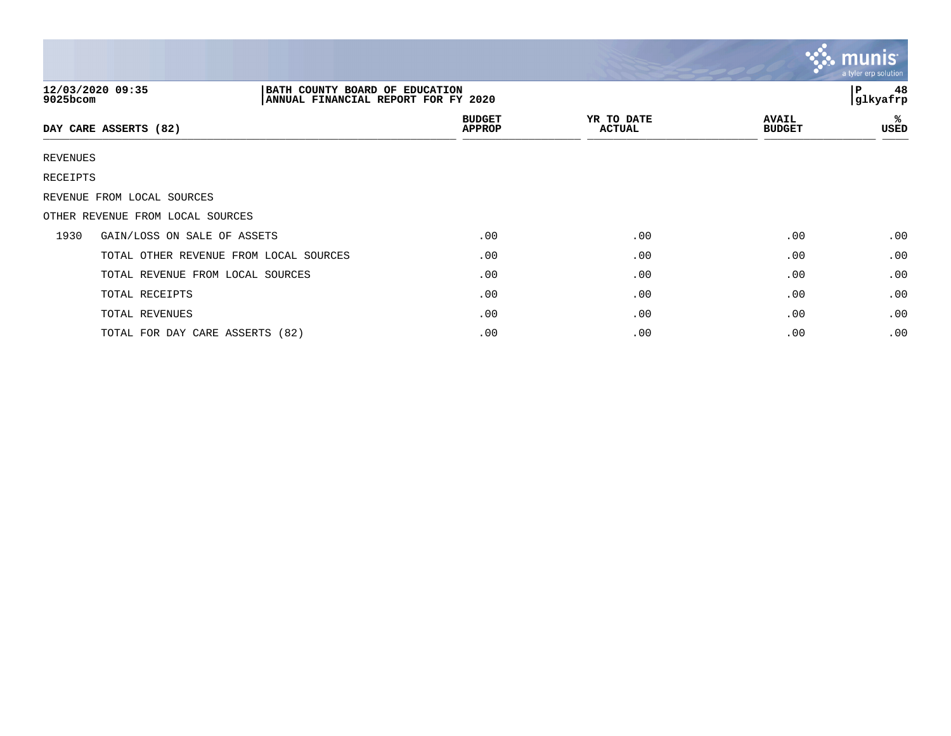|          |                                                                                           |                                |                             |                               | $\mathbf{\mathcal{C}}$ . munis<br>a tyler erp solution |
|----------|-------------------------------------------------------------------------------------------|--------------------------------|-----------------------------|-------------------------------|--------------------------------------------------------|
| 9025bcom | 12/03/2020 09:35<br>BATH COUNTY BOARD OF EDUCATION<br>ANNUAL FINANCIAL REPORT FOR FY 2020 |                                |                             |                               | 48<br>ιP.<br>glkyafrp                                  |
|          | DAY CARE ASSERTS (82)                                                                     | <b>BUDGET</b><br><b>APPROP</b> | YR TO DATE<br><b>ACTUAL</b> | <b>AVAIL</b><br><b>BUDGET</b> | ℁<br>USED                                              |
| REVENUES |                                                                                           |                                |                             |                               |                                                        |
| RECEIPTS |                                                                                           |                                |                             |                               |                                                        |
|          | REVENUE FROM LOCAL SOURCES                                                                |                                |                             |                               |                                                        |
|          | OTHER REVENUE FROM LOCAL SOURCES                                                          |                                |                             |                               |                                                        |
| 1930     | GAIN/LOSS ON SALE OF ASSETS                                                               | .00                            | .00                         | .00                           | .00                                                    |
|          | TOTAL OTHER REVENUE FROM LOCAL SOURCES                                                    | .00                            | .00                         | .00                           | .00                                                    |
|          | TOTAL REVENUE FROM LOCAL SOURCES                                                          | .00                            | .00                         | .00                           | .00                                                    |
|          | TOTAL RECEIPTS                                                                            | .00                            | .00                         | .00                           | .00                                                    |
|          | TOTAL REVENUES                                                                            | .00                            | .00                         | .00                           | .00                                                    |
|          | TOTAL FOR DAY CARE ASSERTS (82)                                                           | .00                            | .00                         | .00                           | .00                                                    |

 $\mathcal{L} = \mathcal{L}$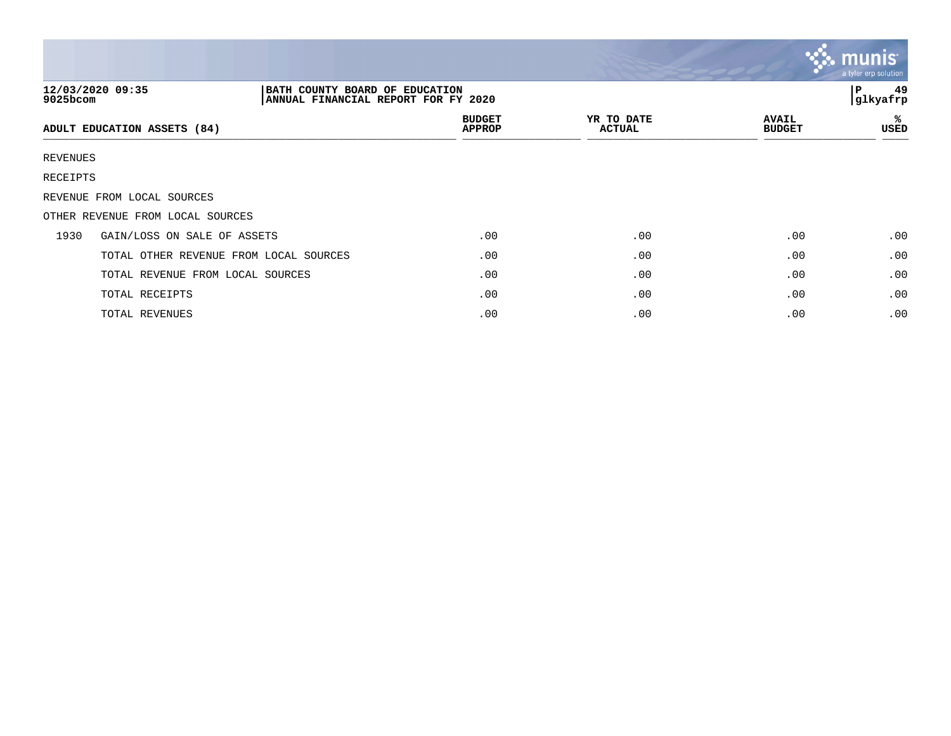|             |                                                                                           |                                |                             |                               | $\mathbf{\ddot{\cdot}}\mathbf{\ddot{\cdot}}$ munis<br>a tyler erp solution |
|-------------|-------------------------------------------------------------------------------------------|--------------------------------|-----------------------------|-------------------------------|----------------------------------------------------------------------------|
| $9025$ bcom | 12/03/2020 09:35<br>BATH COUNTY BOARD OF EDUCATION<br>ANNUAL FINANCIAL REPORT FOR FY 2020 |                                |                             |                               | 49<br>P<br>glkyafrp                                                        |
|             | ADULT EDUCATION ASSETS (84)                                                               | <b>BUDGET</b><br><b>APPROP</b> | YR TO DATE<br><b>ACTUAL</b> | <b>AVAIL</b><br><b>BUDGET</b> | ℁<br>USED                                                                  |
| REVENUES    |                                                                                           |                                |                             |                               |                                                                            |
| RECEIPTS    |                                                                                           |                                |                             |                               |                                                                            |
|             | REVENUE FROM LOCAL SOURCES                                                                |                                |                             |                               |                                                                            |
|             | OTHER REVENUE FROM LOCAL SOURCES                                                          |                                |                             |                               |                                                                            |
| 1930        | GAIN/LOSS ON SALE OF ASSETS                                                               | .00                            | .00                         | .00                           | .00                                                                        |
|             | TOTAL OTHER REVENUE FROM LOCAL SOURCES                                                    | .00                            | .00                         | .00                           | .00                                                                        |
|             | TOTAL REVENUE FROM LOCAL SOURCES                                                          | .00                            | .00                         | .00                           | .00                                                                        |
|             | TOTAL RECEIPTS                                                                            | .00                            | .00                         | .00                           | .00                                                                        |
|             | TOTAL REVENUES                                                                            | .00                            | .00                         | .00                           | .00                                                                        |

and the contract of the contract of the contract of the contract of the contract of the contract of the contract of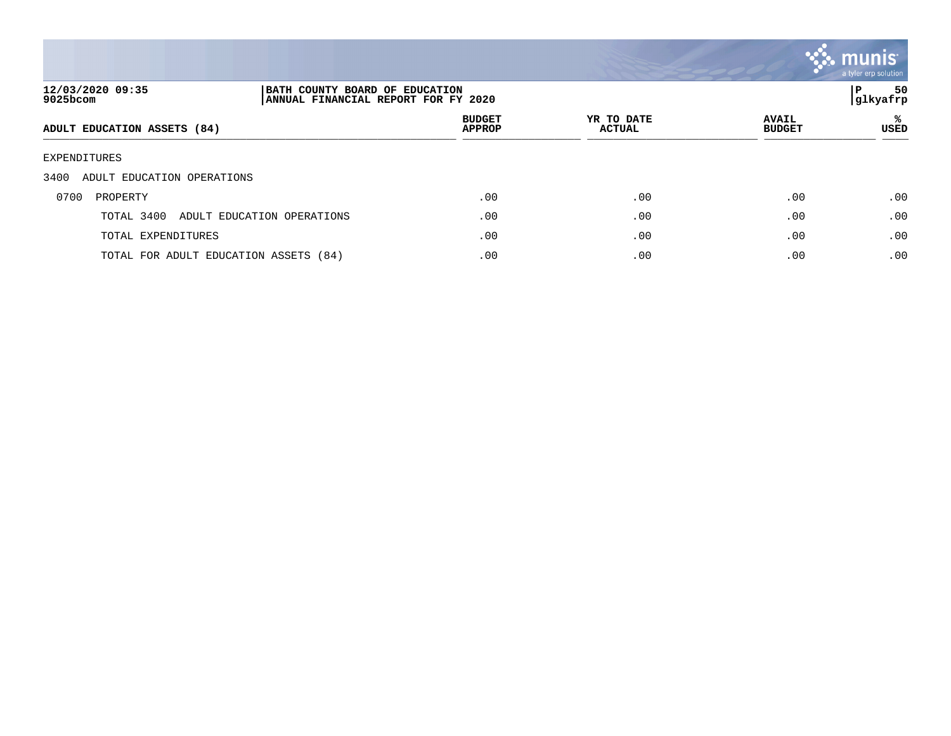

| 12/03/2020 09:35<br>9025bcom          |                            | BATH COUNTY BOARD OF EDUCATION<br>ANNUAL FINANCIAL REPORT FOR FY 2020 |                             |                               |           |
|---------------------------------------|----------------------------|-----------------------------------------------------------------------|-----------------------------|-------------------------------|-----------|
| ADULT EDUCATION ASSETS (84)           |                            | <b>BUDGET</b><br><b>APPROP</b>                                        | YR TO DATE<br><b>ACTUAL</b> | <b>AVAIL</b><br><b>BUDGET</b> | ℁<br>USED |
| EXPENDITURES                          |                            |                                                                       |                             |                               |           |
| 3400<br>ADULT EDUCATION OPERATIONS    |                            |                                                                       |                             |                               |           |
| 0700<br>PROPERTY                      |                            | .00                                                                   | .00                         | .00                           | .00       |
| TOTAL 3400                            | ADULT EDUCATION OPERATIONS | .00                                                                   | .00                         | .00                           | .00       |
| TOTAL EXPENDITURES                    |                            | .00                                                                   | .00                         | .00                           | .00       |
| TOTAL FOR ADULT EDUCATION ASSETS (84) |                            | .00                                                                   | .00                         | .00                           | .00       |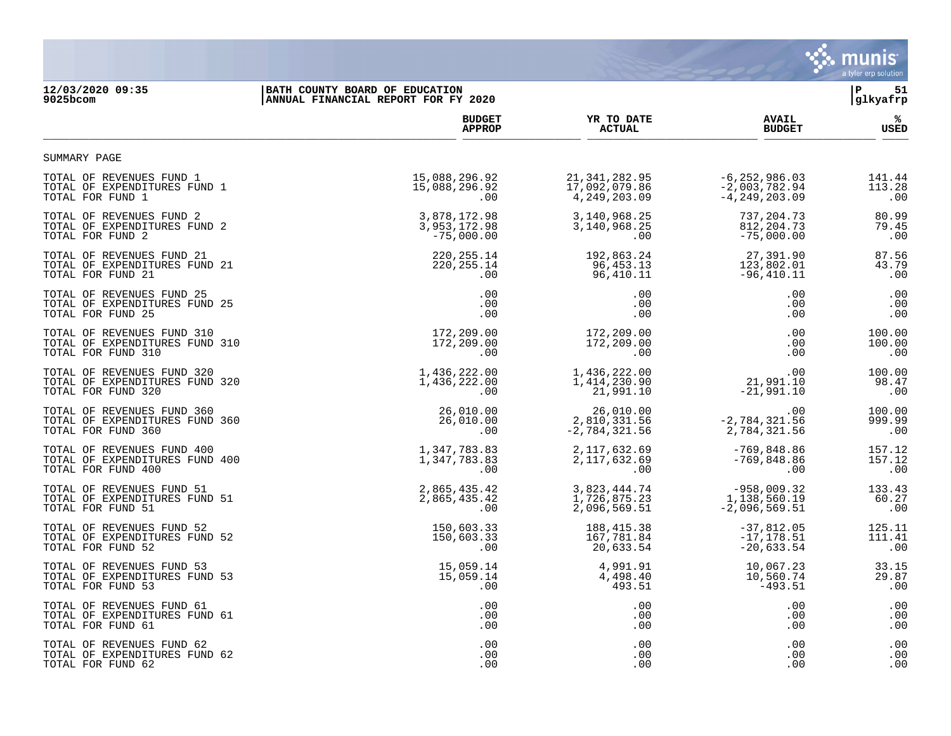

## **12/03/2020 09:35 |BATH COUNTY BOARD OF EDUCATION |P 51 9025bcom |ANNUAL FINANCIAL REPORT FOR FY 2020 |glkyafrp**

|                                | <b>BUDGET</b> | YR TO DATE      | <b>AVAIL</b>      | ℁      |
|--------------------------------|---------------|-----------------|-------------------|--------|
|                                | <b>APPROP</b> | <b>ACTUAL</b>   | <b>BUDGET</b>     | USED   |
| SUMMARY PAGE                   |               |                 |                   |        |
| TOTAL OF REVENUES FUND 1       | 15,088,296.92 | 21, 341, 282.95 | $-6, 252, 986.03$ | 141.44 |
| TOTAL OF EXPENDITURES FUND 1   | 15,088,296.92 | 17,092,079.86   | $-2,003,782.94$   | 113.28 |
| TOTAL FOR FUND 1               | .00           | 4, 249, 203.09  | $-4, 249, 203.09$ | .00    |
| TOTAL OF REVENUES FUND 2       | 3,878,172.98  | 3,140,968.25    | 737,204.73        | 80.99  |
| TOTAL OF EXPENDITURES FUND 2   | 3,953,172.98  | 3,140,968.25    | 812, 204. 73      | 79.45  |
| TOTAL FOR FUND 2               | $-75,000.00$  | .00             | $-75,000.00$      | .00    |
| TOTAL OF REVENUES FUND 21      | 220, 255. 14  | 192,863.24      | 27,391.90         | 87.56  |
| TOTAL OF EXPENDITURES FUND 21  | 220, 255. 14  | 96,453.13       | 123,802.01        | 43.79  |
| TOTAL FOR FUND 21              | .00           | 96,410.11       | $-96, 410.11$     | .00    |
| TOTAL OF REVENUES FUND 25      | .00           | .00             | .00               | .00    |
| TOTAL OF EXPENDITURES FUND 25  | .00           | .00             | .00               | .00    |
| TOTAL FOR FUND 25              | .00           | .00             | .00               | .00    |
| TOTAL OF REVENUES FUND 310     | 172,209.00    | 172,209.00      | .00               | 100.00 |
| TOTAL OF EXPENDITURES FUND 310 | 172,209.00    | 172,209.00      | .00               | 100.00 |
| TOTAL FOR FUND 310             | .00           | .00             | .00               | .00    |
| TOTAL OF REVENUES FUND 320     | 1,436,222.00  | 1,436,222.00    | .00               | 100.00 |
| TOTAL OF EXPENDITURES FUND 320 | 1,436,222.00  | 1,414,230.90    | 21,991.10         | 98.47  |
| TOTAL FOR FUND 320             | .00           | 21,991.10       | $-21,991,10$      | .00    |
| TOTAL OF REVENUES FUND 360     | 26,010.00     | 26,010.00       | .00               | 100.00 |
| TOTAL OF EXPENDITURES FUND 360 | 26,010.00     | 2,810,331.56    | $-2,784,321.56$   | 999.99 |
| TOTAL FOR FUND 360             | .00           | $-2,784,321.56$ | 2,784,321.56      | .00    |
| TOTAL OF REVENUES FUND 400     | 1,347,783.83  | 2, 117, 632.69  | $-769,848.86$     | 157.12 |
| TOTAL OF EXPENDITURES FUND 400 | 1,347,783.83  | 2, 117, 632.69  | $-769,848.86$     | 157.12 |
| TOTAL FOR FUND 400             | .00           | $.00 \,$        | .00               | .00    |
| TOTAL OF REVENUES FUND 51      | 2,865,435.42  | 3,823,444.74    | $-958,009.32$     | 133.43 |
| TOTAL OF EXPENDITURES FUND 51  | 2,865,435.42  | 1,726,875.23    | 1,138,560.19      | 60.27  |
| TOTAL FOR FUND 51              | .00           | 2,096,569.51    | $-2,096,569.51$   | .00    |
| TOTAL OF REVENUES FUND 52      | 150,603.33    | 188,415.38      | $-37,812.05$      | 125.11 |
| TOTAL OF EXPENDITURES FUND 52  | 150,603.33    | 167,781.84      | $-17, 178.51$     | 111.41 |
| TOTAL FOR FUND 52              | .00           | 20,633.54       | $-20,633.54$      | .00    |
| TOTAL OF REVENUES FUND 53      | 15,059.14     | 4,991.91        | 10,067.23         | 33.15  |
| TOTAL OF EXPENDITURES FUND 53  | 15,059.14     | 4,498.40        | 10,560.74         | 29.87  |
| TOTAL FOR FUND 53              | .00           | 493.51          | $-493.51$         | .00    |
| TOTAL OF REVENUES FUND 61      | .00           | .00             | .00               | .00    |
| TOTAL OF EXPENDITURES FUND 61  | .00           | .00             | .00               | .00    |
| TOTAL FOR FUND 61              | .00           | .00             | .00               | .00    |
| TOTAL OF REVENUES FUND 62      | .00           | .00             | .00               | .00    |
| TOTAL OF EXPENDITURES FUND 62  | .00           | .00             | .00               | .00    |
| TOTAL FOR FUND 62              | .00           | .00             | .00               | .00    |